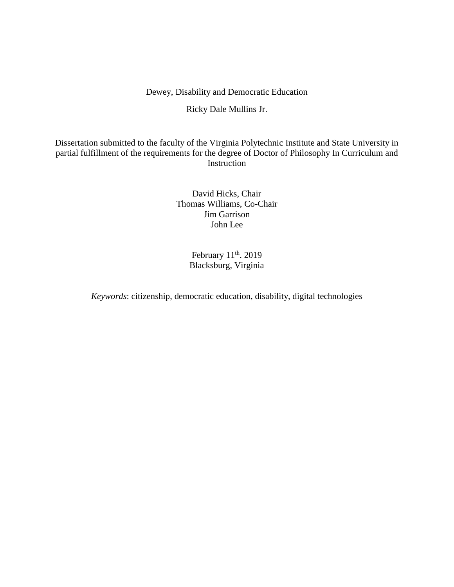# Dewey, Disability and Democratic Education

# Ricky Dale Mullins Jr.

Dissertation submitted to the faculty of the Virginia Polytechnic Institute and State University in partial fulfillment of the requirements for the degree of Doctor of Philosophy In Curriculum and Instruction

> David Hicks, Chair Thomas Williams, Co-Chair Jim Garrison John Lee

> > February  $11<sup>th</sup>$ . 2019 Blacksburg, Virginia

*Keywords*: citizenship, democratic education, disability, digital technologies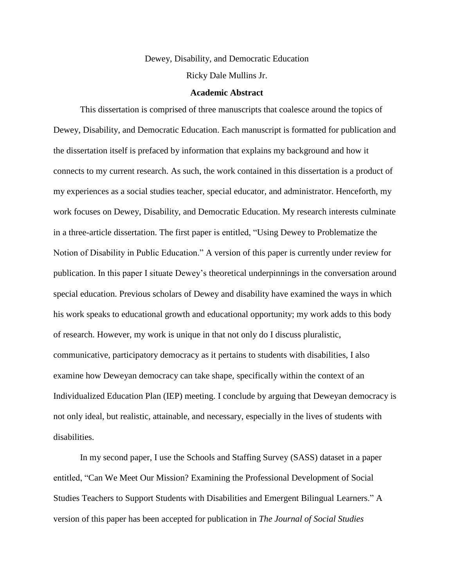# Dewey, Disability, and Democratic Education Ricky Dale Mullins Jr.

#### **Academic Abstract**

This dissertation is comprised of three manuscripts that coalesce around the topics of Dewey, Disability, and Democratic Education. Each manuscript is formatted for publication and the dissertation itself is prefaced by information that explains my background and how it connects to my current research. As such, the work contained in this dissertation is a product of my experiences as a social studies teacher, special educator, and administrator. Henceforth, my work focuses on Dewey, Disability, and Democratic Education. My research interests culminate in a three-article dissertation. The first paper is entitled, "Using Dewey to Problematize the Notion of Disability in Public Education." A version of this paper is currently under review for publication. In this paper I situate Dewey's theoretical underpinnings in the conversation around special education. Previous scholars of Dewey and disability have examined the ways in which his work speaks to educational growth and educational opportunity; my work adds to this body of research. However, my work is unique in that not only do I discuss pluralistic, communicative, participatory democracy as it pertains to students with disabilities, I also examine how Deweyan democracy can take shape, specifically within the context of an Individualized Education Plan (IEP) meeting. I conclude by arguing that Deweyan democracy is not only ideal, but realistic, attainable, and necessary, especially in the lives of students with disabilities.

In my second paper, I use the Schools and Staffing Survey (SASS) dataset in a paper entitled, "Can We Meet Our Mission? Examining the Professional Development of Social Studies Teachers to Support Students with Disabilities and Emergent Bilingual Learners." A version of this paper has been accepted for publication in *The Journal of Social Studies*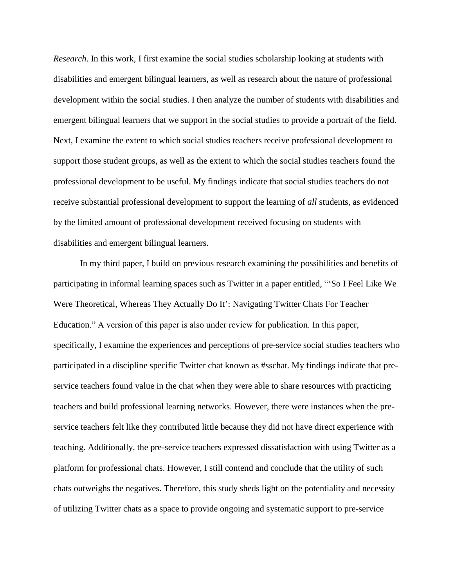*Research*. In this work, I first examine the social studies scholarship looking at students with disabilities and emergent bilingual learners, as well as research about the nature of professional development within the social studies. I then analyze the number of students with disabilities and emergent bilingual learners that we support in the social studies to provide a portrait of the field. Next, I examine the extent to which social studies teachers receive professional development to support those student groups, as well as the extent to which the social studies teachers found the professional development to be useful. My findings indicate that social studies teachers do not receive substantial professional development to support the learning of *all* students, as evidenced by the limited amount of professional development received focusing on students with disabilities and emergent bilingual learners.

In my third paper, I build on previous research examining the possibilities and benefits of participating in informal learning spaces such as Twitter in a paper entitled, "'So I Feel Like We Were Theoretical, Whereas They Actually Do It': Navigating Twitter Chats For Teacher Education." A version of this paper is also under review for publication. In this paper, specifically, I examine the experiences and perceptions of pre-service social studies teachers who participated in a discipline specific Twitter chat known as #sschat. My findings indicate that preservice teachers found value in the chat when they were able to share resources with practicing teachers and build professional learning networks. However, there were instances when the preservice teachers felt like they contributed little because they did not have direct experience with teaching. Additionally, the pre-service teachers expressed dissatisfaction with using Twitter as a platform for professional chats. However, I still contend and conclude that the utility of such chats outweighs the negatives. Therefore, this study sheds light on the potentiality and necessity of utilizing Twitter chats as a space to provide ongoing and systematic support to pre-service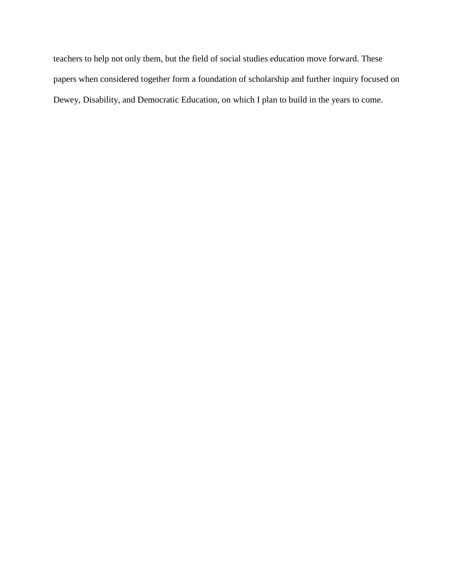teachers to help not only them, but the field of social studies education move forward. These papers when considered together form a foundation of scholarship and further inquiry focused on Dewey, Disability, and Democratic Education, on which I plan to build in the years to come.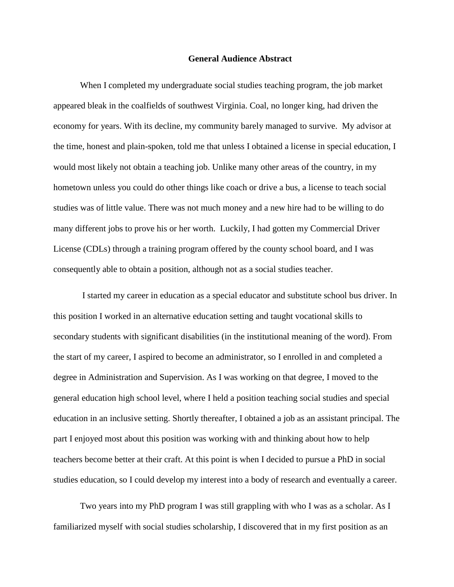### **General Audience Abstract**

When I completed my undergraduate social studies teaching program, the job market appeared bleak in the coalfields of southwest Virginia. Coal, no longer king, had driven the economy for years. With its decline, my community barely managed to survive. My advisor at the time, honest and plain-spoken, told me that unless I obtained a license in special education, I would most likely not obtain a teaching job. Unlike many other areas of the country, in my hometown unless you could do other things like coach or drive a bus, a license to teach social studies was of little value. There was not much money and a new hire had to be willing to do many different jobs to prove his or her worth. Luckily, I had gotten my Commercial Driver License (CDLs) through a training program offered by the county school board, and I was consequently able to obtain a position, although not as a social studies teacher.

I started my career in education as a special educator and substitute school bus driver. In this position I worked in an alternative education setting and taught vocational skills to secondary students with significant disabilities (in the institutional meaning of the word). From the start of my career, I aspired to become an administrator, so I enrolled in and completed a degree in Administration and Supervision. As I was working on that degree, I moved to the general education high school level, where I held a position teaching social studies and special education in an inclusive setting. Shortly thereafter, I obtained a job as an assistant principal. The part I enjoyed most about this position was working with and thinking about how to help teachers become better at their craft. At this point is when I decided to pursue a PhD in social studies education, so I could develop my interest into a body of research and eventually a career.

Two years into my PhD program I was still grappling with who I was as a scholar. As I familiarized myself with social studies scholarship, I discovered that in my first position as an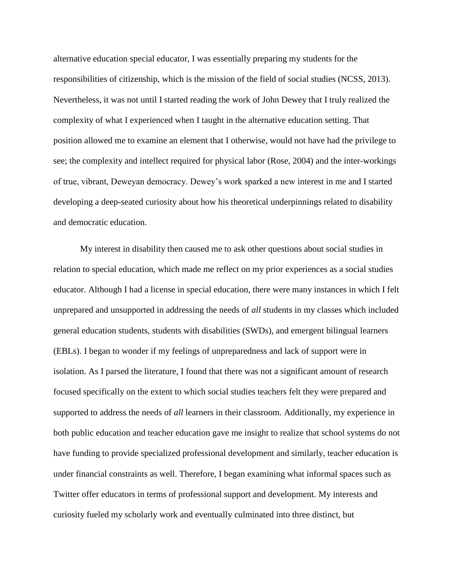alternative education special educator, I was essentially preparing my students for the responsibilities of citizenship, which is the mission of the field of social studies (NCSS, 2013). Nevertheless, it was not until I started reading the work of John Dewey that I truly realized the complexity of what I experienced when I taught in the alternative education setting. That position allowed me to examine an element that I otherwise, would not have had the privilege to see; the complexity and intellect required for physical labor (Rose, 2004) and the inter-workings of true, vibrant, Deweyan democracy. Dewey's work sparked a new interest in me and I started developing a deep-seated curiosity about how his theoretical underpinnings related to disability and democratic education.

My interest in disability then caused me to ask other questions about social studies in relation to special education, which made me reflect on my prior experiences as a social studies educator. Although I had a license in special education, there were many instances in which I felt unprepared and unsupported in addressing the needs of *all* students in my classes which included general education students, students with disabilities (SWDs), and emergent bilingual learners (EBLs). I began to wonder if my feelings of unpreparedness and lack of support were in isolation. As I parsed the literature, I found that there was not a significant amount of research focused specifically on the extent to which social studies teachers felt they were prepared and supported to address the needs of *all* learners in their classroom. Additionally, my experience in both public education and teacher education gave me insight to realize that school systems do not have funding to provide specialized professional development and similarly, teacher education is under financial constraints as well. Therefore, I began examining what informal spaces such as Twitter offer educators in terms of professional support and development. My interests and curiosity fueled my scholarly work and eventually culminated into three distinct, but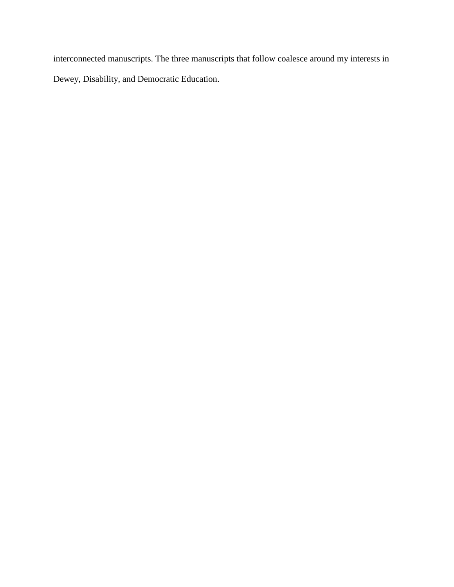interconnected manuscripts. The three manuscripts that follow coalesce around my interests in Dewey, Disability, and Democratic Education.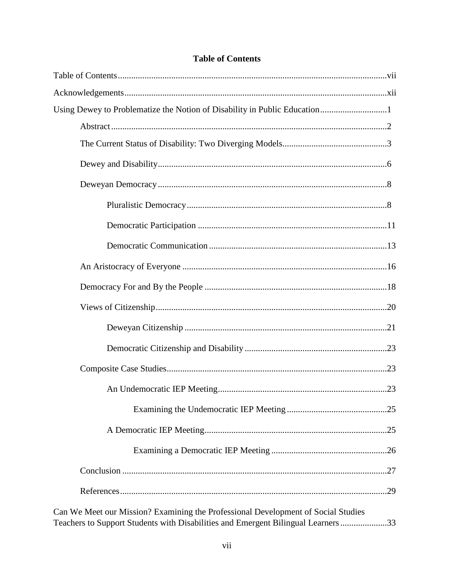# **Table of Contents**

| Using Dewey to Problematize the Notion of Disability in Public Education1                                                                                             |  |
|-----------------------------------------------------------------------------------------------------------------------------------------------------------------------|--|
|                                                                                                                                                                       |  |
|                                                                                                                                                                       |  |
|                                                                                                                                                                       |  |
|                                                                                                                                                                       |  |
|                                                                                                                                                                       |  |
|                                                                                                                                                                       |  |
|                                                                                                                                                                       |  |
|                                                                                                                                                                       |  |
|                                                                                                                                                                       |  |
|                                                                                                                                                                       |  |
|                                                                                                                                                                       |  |
|                                                                                                                                                                       |  |
|                                                                                                                                                                       |  |
|                                                                                                                                                                       |  |
|                                                                                                                                                                       |  |
|                                                                                                                                                                       |  |
|                                                                                                                                                                       |  |
|                                                                                                                                                                       |  |
|                                                                                                                                                                       |  |
| Can We Meet our Mission? Examining the Professional Development of Social Studies<br>Teachers to Support Students with Disabilities and Emergent Bilingual Learners33 |  |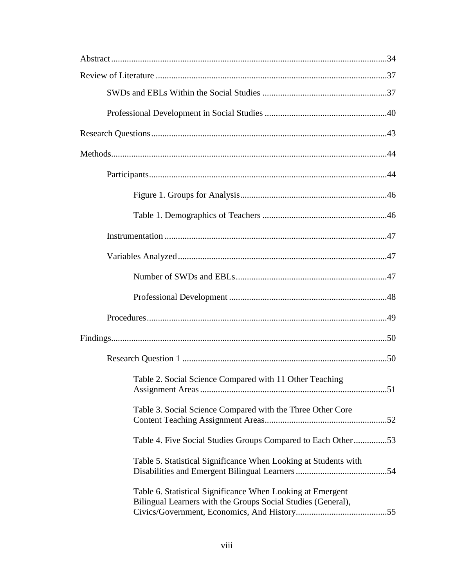| Table 2. Social Science Compared with 11 Other Teaching                                                                    |  |
|----------------------------------------------------------------------------------------------------------------------------|--|
| Table 3. Social Science Compared with the Three Other Core                                                                 |  |
| Table 4. Five Social Studies Groups Compared to Each Other53                                                               |  |
| Table 5. Statistical Significance When Looking at Students with                                                            |  |
| Table 6. Statistical Significance When Looking at Emergent<br>Bilingual Learners with the Groups Social Studies (General), |  |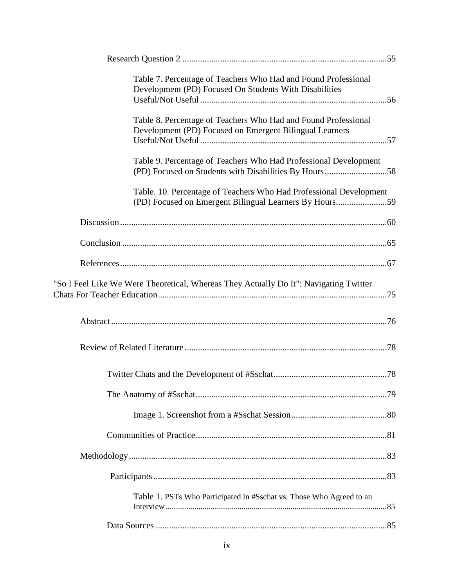| Table 7. Percentage of Teachers Who Had and Found Professional<br>Development (PD) Focused On Students With Disabilities     |  |
|------------------------------------------------------------------------------------------------------------------------------|--|
| Table 8. Percentage of Teachers Who Had and Found Professional<br>Development (PD) Focused on Emergent Bilingual Learners    |  |
| Table 9. Percentage of Teachers Who Had Professional Development<br>(PD) Focused on Students with Disabilities By Hours58    |  |
| Table. 10. Percentage of Teachers Who Had Professional Development<br>(PD) Focused on Emergent Bilingual Learners By Hours59 |  |
|                                                                                                                              |  |
|                                                                                                                              |  |
|                                                                                                                              |  |
| "So I Feel Like We Were Theoretical, Whereas They Actually Do It": Navigating Twitter                                        |  |
|                                                                                                                              |  |
|                                                                                                                              |  |
|                                                                                                                              |  |
|                                                                                                                              |  |
|                                                                                                                              |  |
|                                                                                                                              |  |
|                                                                                                                              |  |
|                                                                                                                              |  |
| Table 1. PSTs Who Participated in #Sschat vs. Those Who Agreed to an                                                         |  |
|                                                                                                                              |  |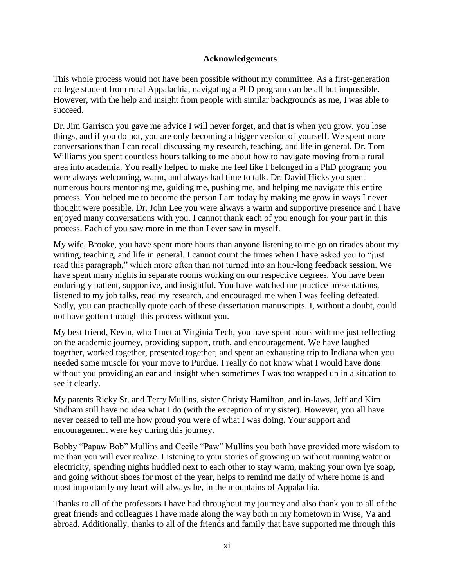## **Acknowledgements**

This whole process would not have been possible without my committee. As a first-generation college student from rural Appalachia, navigating a PhD program can be all but impossible. However, with the help and insight from people with similar backgrounds as me, I was able to succeed.

Dr. Jim Garrison you gave me advice I will never forget, and that is when you grow, you lose things, and if you do not, you are only becoming a bigger version of yourself. We spent more conversations than I can recall discussing my research, teaching, and life in general. Dr. Tom Williams you spent countless hours talking to me about how to navigate moving from a rural area into academia. You really helped to make me feel like I belonged in a PhD program; you were always welcoming, warm, and always had time to talk. Dr. David Hicks you spent numerous hours mentoring me, guiding me, pushing me, and helping me navigate this entire process. You helped me to become the person I am today by making me grow in ways I never thought were possible. Dr. John Lee you were always a warm and supportive presence and I have enjoyed many conversations with you. I cannot thank each of you enough for your part in this process. Each of you saw more in me than I ever saw in myself.

My wife, Brooke, you have spent more hours than anyone listening to me go on tirades about my writing, teaching, and life in general. I cannot count the times when I have asked you to "just read this paragraph," which more often than not turned into an hour-long feedback session. We have spent many nights in separate rooms working on our respective degrees. You have been enduringly patient, supportive, and insightful. You have watched me practice presentations, listened to my job talks, read my research, and encouraged me when I was feeling defeated. Sadly, you can practically quote each of these dissertation manuscripts. I, without a doubt, could not have gotten through this process without you.

My best friend, Kevin, who I met at Virginia Tech, you have spent hours with me just reflecting on the academic journey, providing support, truth, and encouragement. We have laughed together, worked together, presented together, and spent an exhausting trip to Indiana when you needed some muscle for your move to Purdue. I really do not know what I would have done without you providing an ear and insight when sometimes I was too wrapped up in a situation to see it clearly.

My parents Ricky Sr. and Terry Mullins, sister Christy Hamilton, and in-laws, Jeff and Kim Stidham still have no idea what I do (with the exception of my sister). However, you all have never ceased to tell me how proud you were of what I was doing. Your support and encouragement were key during this journey.

Bobby "Papaw Bob" Mullins and Cecile "Paw" Mullins you both have provided more wisdom to me than you will ever realize. Listening to your stories of growing up without running water or electricity, spending nights huddled next to each other to stay warm, making your own lye soap, and going without shoes for most of the year, helps to remind me daily of where home is and most importantly my heart will always be, in the mountains of Appalachia.

Thanks to all of the professors I have had throughout my journey and also thank you to all of the great friends and colleagues I have made along the way both in my hometown in Wise, Va and abroad. Additionally, thanks to all of the friends and family that have supported me through this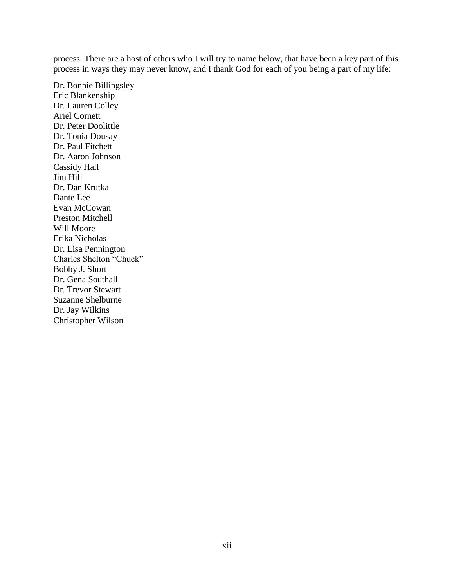process. There are a host of others who I will try to name below, that have been a key part of this process in ways they may never know, and I thank God for each of you being a part of my life:

Dr. Bonnie Billingsley Eric Blankenship Dr. Lauren Colley Ariel Cornett Dr. Peter Doolittle Dr. Tonia Dousay Dr. Paul Fitchett Dr. Aaron Johnson Cassidy Hall Jim Hill Dr. Dan Krutka Dante Lee Evan McCowan Preston Mitchell Will Moore Erika Nicholas Dr. Lisa Pennington Charles Shelton "Chuck" Bobby J. Short Dr. Gena Southall Dr. Trevor Stewart Suzanne Shelburne Dr. Jay Wilkins Christopher Wilson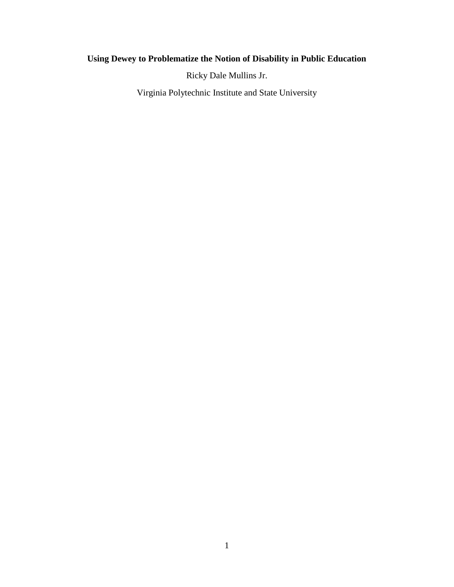# **Using Dewey to Problematize the Notion of Disability in Public Education**

Ricky Dale Mullins Jr.

Virginia Polytechnic Institute and State University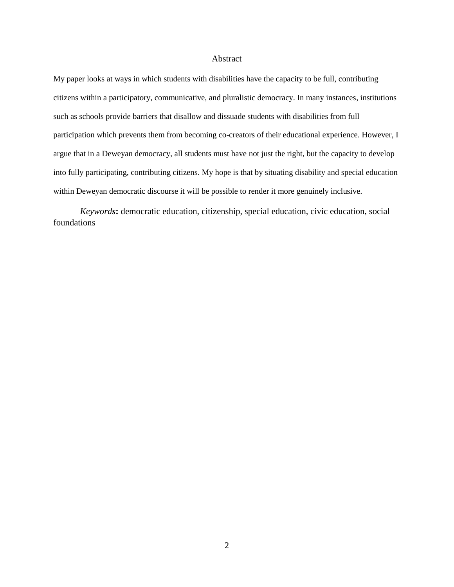#### Abstract

My paper looks at ways in which students with disabilities have the capacity to be full, contributing citizens within a participatory, communicative, and pluralistic democracy. In many instances, institutions such as schools provide barriers that disallow and dissuade students with disabilities from full participation which prevents them from becoming co-creators of their educational experience. However, I argue that in a Deweyan democracy, all students must have not just the right, but the capacity to develop into fully participating, contributing citizens. My hope is that by situating disability and special education within Deweyan democratic discourse it will be possible to render it more genuinely inclusive.

*Keywords***:** democratic education, citizenship, special education, civic education, social foundations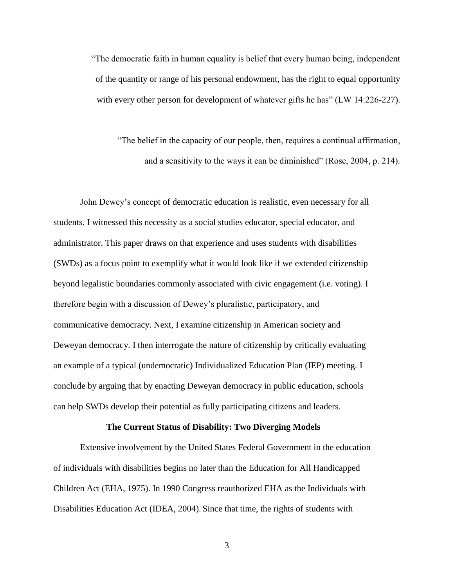"The democratic faith in human equality is belief that every human being, independent of the quantity or range of his personal endowment, has the right to equal opportunity with every other person for development of whatever gifts he has" (LW 14:226-227).

"The belief in the capacity of our people, then, requires a continual affirmation, and a sensitivity to the ways it can be diminished" (Rose, 2004, p. 214).

John Dewey's concept of democratic education is realistic, even necessary for all students. I witnessed this necessity as a social studies educator, special educator, and administrator. This paper draws on that experience and uses students with disabilities (SWDs) as a focus point to exemplify what it would look like if we extended citizenship beyond legalistic boundaries commonly associated with civic engagement (i.e. voting). I therefore begin with a discussion of Dewey's pluralistic, participatory, and communicative democracy. Next, I examine citizenship in American society and Deweyan democracy. I then interrogate the nature of citizenship by critically evaluating an example of a typical (undemocratic) Individualized Education Plan (IEP) meeting. I conclude by arguing that by enacting Deweyan democracy in public education, schools can help SWDs develop their potential as fully participating citizens and leaders.

#### **The Current Status of Disability: Two Diverging Models**

Extensive involvement by the United States Federal Government in the education of individuals with disabilities begins no later than the Education for All Handicapped Children Act (EHA, 1975). In 1990 Congress reauthorized EHA as the Individuals with Disabilities Education Act (IDEA, 2004). Since that time, the rights of students with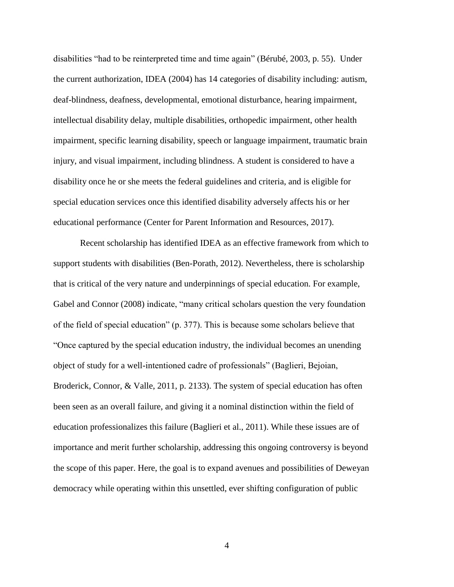disabilities "had to be reinterpreted time and time again" (Bérubé, 2003, p. 55). Under the current authorization, IDEA (2004) has 14 categories of disability including: autism, deaf-blindness, deafness, developmental, emotional disturbance, hearing impairment, intellectual disability delay, multiple disabilities, orthopedic impairment, other health impairment, specific learning disability, speech or language impairment, traumatic brain injury, and visual impairment, including blindness. A student is considered to have a disability once he or she meets the federal guidelines and criteria, and is eligible for special education services once this identified disability adversely affects his or her educational performance (Center for Parent Information and Resources, 2017).

Recent scholarship has identified IDEA as an effective framework from which to support students with disabilities (Ben-Porath, 2012). Nevertheless, there is scholarship that is critical of the very nature and underpinnings of special education. For example, Gabel and Connor (2008) indicate, "many critical scholars question the very foundation of the field of special education" (p. 377). This is because some scholars believe that "Once captured by the special education industry, the individual becomes an unending object of study for a well-intentioned cadre of professionals" (Baglieri, Bejoian, Broderick, Connor, & Valle, 2011, p. 2133). The system of special education has often been seen as an overall failure, and giving it a nominal distinction within the field of education professionalizes this failure (Baglieri et al., 2011). While these issues are of importance and merit further scholarship, addressing this ongoing controversy is beyond the scope of this paper. Here, the goal is to expand avenues and possibilities of Deweyan democracy while operating within this unsettled, ever shifting configuration of public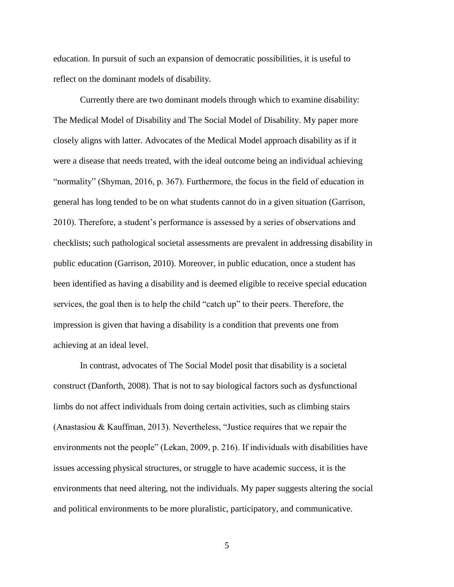education. In pursuit of such an expansion of democratic possibilities, it is useful to reflect on the dominant models of disability.

Currently there are two dominant models through which to examine disability: The Medical Model of Disability and The Social Model of Disability. My paper more closely aligns with latter. Advocates of the Medical Model approach disability as if it were a disease that needs treated, with the ideal outcome being an individual achieving "normality" (Shyman, 2016, p. 367). Furthermore, the focus in the field of education in general has long tended to be on what students cannot do in a given situation (Garrison, 2010). Therefore, a student's performance is assessed by a series of observations and checklists; such pathological societal assessments are prevalent in addressing disability in public education (Garrison, 2010). Moreover, in public education, once a student has been identified as having a disability and is deemed eligible to receive special education services, the goal then is to help the child "catch up" to their peers. Therefore, the impression is given that having a disability is a condition that prevents one from achieving at an ideal level.

In contrast, advocates of The Social Model posit that disability is a societal construct (Danforth, 2008). That is not to say biological factors such as dysfunctional limbs do not affect individuals from doing certain activities, such as climbing stairs (Anastasiou & Kauffman, 2013). Nevertheless, "Justice requires that we repair the environments not the people" (Lekan, 2009, p. 216). If individuals with disabilities have issues accessing physical structures, or struggle to have academic success, it is the environments that need altering, not the individuals. My paper suggests altering the social and political environments to be more pluralistic, participatory, and communicative.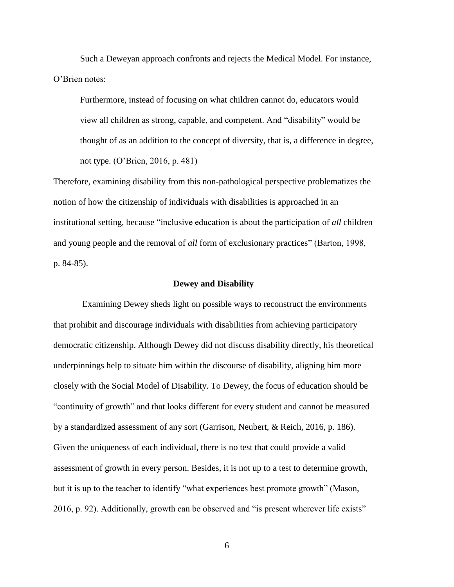Such a Deweyan approach confronts and rejects the Medical Model. For instance, O'Brien notes:

Furthermore, instead of focusing on what children cannot do, educators would view all children as strong, capable, and competent. And "disability" would be thought of as an addition to the concept of diversity, that is, a difference in degree, not type. (O'Brien, 2016, p. 481)

Therefore, examining disability from this non-pathological perspective problematizes the notion of how the citizenship of individuals with disabilities is approached in an institutional setting, because "inclusive education is about the participation of *all* children and young people and the removal of *all* form of exclusionary practices" (Barton, 1998, p. 84-85).

#### **Dewey and Disability**

Examining Dewey sheds light on possible ways to reconstruct the environments that prohibit and discourage individuals with disabilities from achieving participatory democratic citizenship. Although Dewey did not discuss disability directly, his theoretical underpinnings help to situate him within the discourse of disability, aligning him more closely with the Social Model of Disability. To Dewey, the focus of education should be "continuity of growth" and that looks different for every student and cannot be measured by a standardized assessment of any sort (Garrison, Neubert, & Reich, 2016, p. 186). Given the uniqueness of each individual, there is no test that could provide a valid assessment of growth in every person. Besides, it is not up to a test to determine growth, but it is up to the teacher to identify "what experiences best promote growth" (Mason, 2016, p. 92). Additionally, growth can be observed and "is present wherever life exists"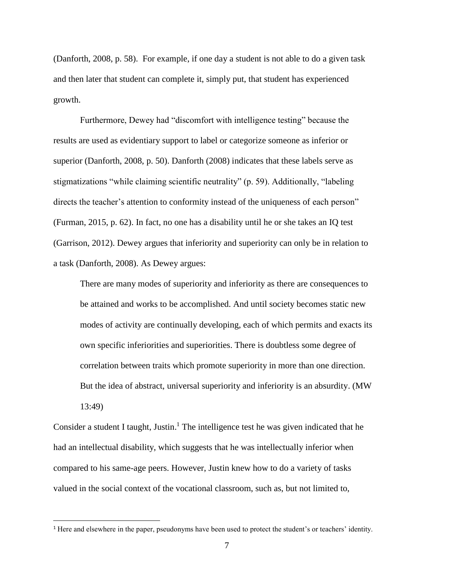(Danforth, 2008, p. 58). For example, if one day a student is not able to do a given task and then later that student can complete it, simply put, that student has experienced growth.

Furthermore, Dewey had "discomfort with intelligence testing" because the results are used as evidentiary support to label or categorize someone as inferior or superior (Danforth, 2008, p. 50). Danforth (2008) indicates that these labels serve as stigmatizations "while claiming scientific neutrality" (p. 59). Additionally, "labeling directs the teacher's attention to conformity instead of the uniqueness of each person" (Furman, 2015, p. 62). In fact, no one has a disability until he or she takes an IQ test (Garrison, 2012). Dewey argues that inferiority and superiority can only be in relation to a task (Danforth, 2008). As Dewey argues:

There are many modes of superiority and inferiority as there are consequences to be attained and works to be accomplished. And until society becomes static new modes of activity are continually developing, each of which permits and exacts its own specific inferiorities and superiorities. There is doubtless some degree of correlation between traits which promote superiority in more than one direction. But the idea of abstract, universal superiority and inferiority is an absurdity. (MW 13:49)

Consider a student I taught, Justin.<sup>1</sup> The intelligence test he was given indicated that he had an intellectual disability, which suggests that he was intellectually inferior when compared to his same-age peers. However, Justin knew how to do a variety of tasks valued in the social context of the vocational classroom, such as, but not limited to,

 $\overline{\phantom{a}}$ 

<sup>1</sup> Here and elsewhere in the paper, pseudonyms have been used to protect the student's or teachers' identity.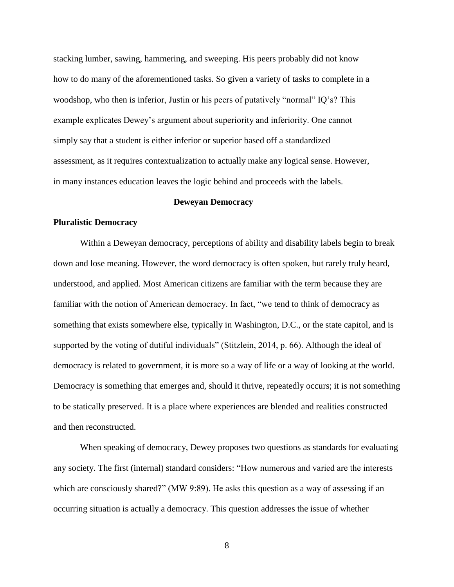stacking lumber, sawing, hammering, and sweeping. His peers probably did not know how to do many of the aforementioned tasks. So given a variety of tasks to complete in a woodshop, who then is inferior, Justin or his peers of putatively "normal" IQ's? This example explicates Dewey's argument about superiority and inferiority. One cannot simply say that a student is either inferior or superior based off a standardized assessment, as it requires contextualization to actually make any logical sense. However, in many instances education leaves the logic behind and proceeds with the labels.

## **Deweyan Democracy**

## **Pluralistic Democracy**

Within a Deweyan democracy, perceptions of ability and disability labels begin to break down and lose meaning. However, the word democracy is often spoken, but rarely truly heard, understood, and applied. Most American citizens are familiar with the term because they are familiar with the notion of American democracy. In fact, "we tend to think of democracy as something that exists somewhere else, typically in Washington, D.C., or the state capitol, and is supported by the voting of dutiful individuals" (Stitzlein, 2014, p. 66). Although the ideal of democracy is related to government, it is more so a way of life or a way of looking at the world. Democracy is something that emerges and, should it thrive, repeatedly occurs; it is not something to be statically preserved. It is a place where experiences are blended and realities constructed and then reconstructed.

When speaking of democracy, Dewey proposes two questions as standards for evaluating any society. The first (internal) standard considers: "How numerous and varied are the interests which are consciously shared?" (MW 9:89). He asks this question as a way of assessing if an occurring situation is actually a democracy. This question addresses the issue of whether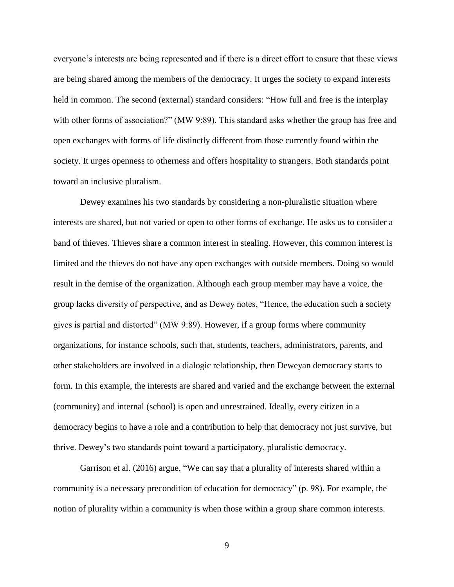everyone's interests are being represented and if there is a direct effort to ensure that these views are being shared among the members of the democracy. It urges the society to expand interests held in common. The second (external) standard considers: "How full and free is the interplay with other forms of association?" (MW 9:89). This standard asks whether the group has free and open exchanges with forms of life distinctly different from those currently found within the society. It urges openness to otherness and offers hospitality to strangers. Both standards point toward an inclusive pluralism.

Dewey examines his two standards by considering a non-pluralistic situation where interests are shared, but not varied or open to other forms of exchange. He asks us to consider a band of thieves. Thieves share a common interest in stealing. However, this common interest is limited and the thieves do not have any open exchanges with outside members. Doing so would result in the demise of the organization. Although each group member may have a voice, the group lacks diversity of perspective, and as Dewey notes, "Hence, the education such a society gives is partial and distorted" (MW 9:89). However, if a group forms where community organizations, for instance schools, such that, students, teachers, administrators, parents, and other stakeholders are involved in a dialogic relationship, then Deweyan democracy starts to form. In this example, the interests are shared and varied and the exchange between the external (community) and internal (school) is open and unrestrained. Ideally, every citizen in a democracy begins to have a role and a contribution to help that democracy not just survive, but thrive. Dewey's two standards point toward a participatory, pluralistic democracy.

Garrison et al. (2016) argue, "We can say that a plurality of interests shared within a community is a necessary precondition of education for democracy" (p. 98). For example, the notion of plurality within a community is when those within a group share common interests.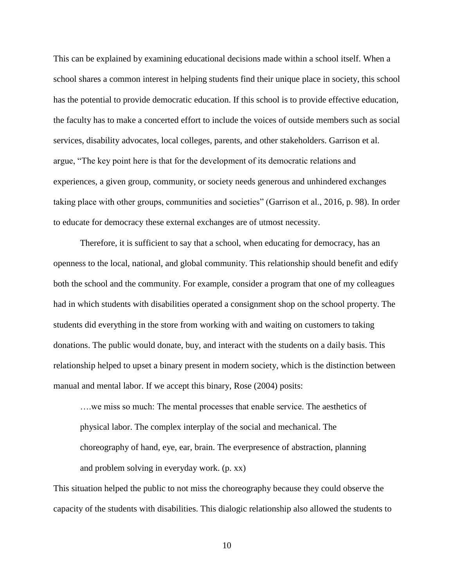This can be explained by examining educational decisions made within a school itself. When a school shares a common interest in helping students find their unique place in society, this school has the potential to provide democratic education. If this school is to provide effective education, the faculty has to make a concerted effort to include the voices of outside members such as social services, disability advocates, local colleges, parents, and other stakeholders. Garrison et al. argue, "The key point here is that for the development of its democratic relations and experiences, a given group, community, or society needs generous and unhindered exchanges taking place with other groups, communities and societies" (Garrison et al., 2016, p. 98). In order to educate for democracy these external exchanges are of utmost necessity.

Therefore, it is sufficient to say that a school, when educating for democracy, has an openness to the local, national, and global community. This relationship should benefit and edify both the school and the community. For example, consider a program that one of my colleagues had in which students with disabilities operated a consignment shop on the school property. The students did everything in the store from working with and waiting on customers to taking donations. The public would donate, buy, and interact with the students on a daily basis. This relationship helped to upset a binary present in modern society, which is the distinction between manual and mental labor. If we accept this binary, Rose (2004) posits:

….we miss so much: The mental processes that enable service. The aesthetics of physical labor. The complex interplay of the social and mechanical. The choreography of hand, eye, ear, brain. The everpresence of abstraction, planning and problem solving in everyday work. (p. xx)

This situation helped the public to not miss the choreography because they could observe the capacity of the students with disabilities. This dialogic relationship also allowed the students to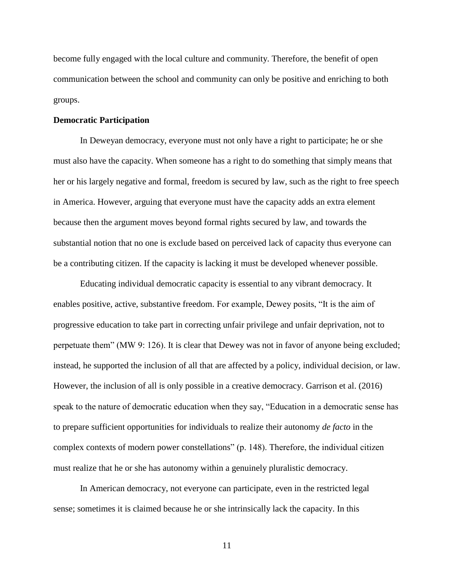become fully engaged with the local culture and community. Therefore, the benefit of open communication between the school and community can only be positive and enriching to both groups.

#### **Democratic Participation**

In Deweyan democracy, everyone must not only have a right to participate; he or she must also have the capacity. When someone has a right to do something that simply means that her or his largely negative and formal, freedom is secured by law, such as the right to free speech in America. However, arguing that everyone must have the capacity adds an extra element because then the argument moves beyond formal rights secured by law, and towards the substantial notion that no one is exclude based on perceived lack of capacity thus everyone can be a contributing citizen. If the capacity is lacking it must be developed whenever possible.

Educating individual democratic capacity is essential to any vibrant democracy. It enables positive, active, substantive freedom. For example, Dewey posits, "It is the aim of progressive education to take part in correcting unfair privilege and unfair deprivation, not to perpetuate them" (MW 9: 126). It is clear that Dewey was not in favor of anyone being excluded; instead, he supported the inclusion of all that are affected by a policy, individual decision, or law. However, the inclusion of all is only possible in a creative democracy. Garrison et al. (2016) speak to the nature of democratic education when they say, "Education in a democratic sense has to prepare sufficient opportunities for individuals to realize their autonomy *de facto* in the complex contexts of modern power constellations" (p. 148). Therefore, the individual citizen must realize that he or she has autonomy within a genuinely pluralistic democracy.

In American democracy, not everyone can participate, even in the restricted legal sense; sometimes it is claimed because he or she intrinsically lack the capacity. In this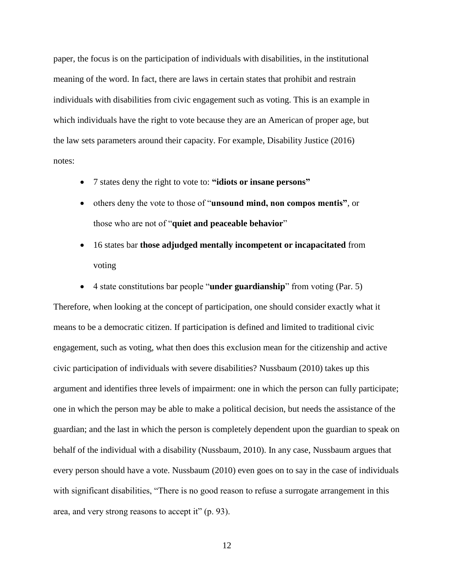paper, the focus is on the participation of individuals with disabilities, in the institutional meaning of the word. In fact, there are laws in certain states that prohibit and restrain individuals with disabilities from civic engagement such as voting. This is an example in which individuals have the right to vote because they are an American of proper age, but the law sets parameters around their capacity. For example, Disability Justice (2016) notes:

- 7 states deny the right to vote to: **"idiots or insane persons"**
- others deny the vote to those of "**unsound mind, non compos mentis"**, or those who are not of "**quiet and peaceable behavior**"
- 16 states bar **those adjudged mentally incompetent or incapacitated** from voting
- 4 state constitutions bar people "**under guardianship**" from voting (Par. 5)

Therefore, when looking at the concept of participation, one should consider exactly what it means to be a democratic citizen. If participation is defined and limited to traditional civic engagement, such as voting, what then does this exclusion mean for the citizenship and active civic participation of individuals with severe disabilities? Nussbaum (2010) takes up this argument and identifies three levels of impairment: one in which the person can fully participate; one in which the person may be able to make a political decision, but needs the assistance of the guardian; and the last in which the person is completely dependent upon the guardian to speak on behalf of the individual with a disability (Nussbaum, 2010). In any case, Nussbaum argues that every person should have a vote. Nussbaum (2010) even goes on to say in the case of individuals with significant disabilities, "There is no good reason to refuse a surrogate arrangement in this area, and very strong reasons to accept it" (p. 93).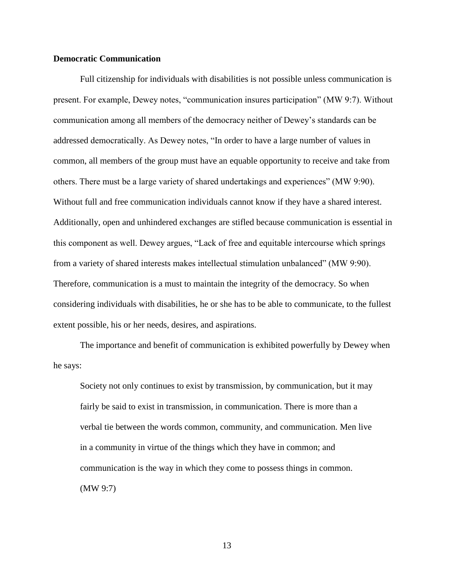## **Democratic Communication**

Full citizenship for individuals with disabilities is not possible unless communication is present. For example, Dewey notes, "communication insures participation" (MW 9:7). Without communication among all members of the democracy neither of Dewey's standards can be addressed democratically. As Dewey notes, "In order to have a large number of values in common, all members of the group must have an equable opportunity to receive and take from others. There must be a large variety of shared undertakings and experiences" (MW 9:90). Without full and free communication individuals cannot know if they have a shared interest. Additionally, open and unhindered exchanges are stifled because communication is essential in this component as well. Dewey argues, "Lack of free and equitable intercourse which springs from a variety of shared interests makes intellectual stimulation unbalanced" (MW 9:90). Therefore, communication is a must to maintain the integrity of the democracy. So when considering individuals with disabilities, he or she has to be able to communicate, to the fullest extent possible, his or her needs, desires, and aspirations.

The importance and benefit of communication is exhibited powerfully by Dewey when he says:

Society not only continues to exist by transmission, by communication, but it may fairly be said to exist in transmission, in communication. There is more than a verbal tie between the words common, community, and communication. Men live in a community in virtue of the things which they have in common; and communication is the way in which they come to possess things in common. (MW 9:7)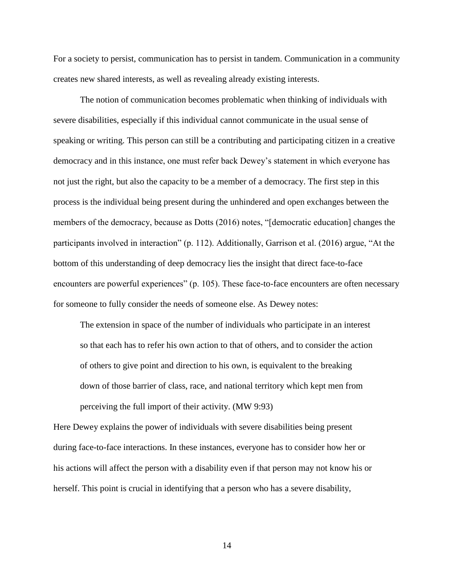For a society to persist, communication has to persist in tandem. Communication in a community creates new shared interests, as well as revealing already existing interests.

The notion of communication becomes problematic when thinking of individuals with severe disabilities, especially if this individual cannot communicate in the usual sense of speaking or writing. This person can still be a contributing and participating citizen in a creative democracy and in this instance, one must refer back Dewey's statement in which everyone has not just the right, but also the capacity to be a member of a democracy. The first step in this process is the individual being present during the unhindered and open exchanges between the members of the democracy, because as Dotts (2016) notes, "[democratic education] changes the participants involved in interaction" (p. 112). Additionally, Garrison et al. (2016) argue, "At the bottom of this understanding of deep democracy lies the insight that direct face-to-face encounters are powerful experiences" (p. 105). These face-to-face encounters are often necessary for someone to fully consider the needs of someone else. As Dewey notes:

The extension in space of the number of individuals who participate in an interest so that each has to refer his own action to that of others, and to consider the action of others to give point and direction to his own, is equivalent to the breaking down of those barrier of class, race, and national territory which kept men from perceiving the full import of their activity. (MW 9:93)

Here Dewey explains the power of individuals with severe disabilities being present during face-to-face interactions. In these instances, everyone has to consider how her or his actions will affect the person with a disability even if that person may not know his or herself. This point is crucial in identifying that a person who has a severe disability,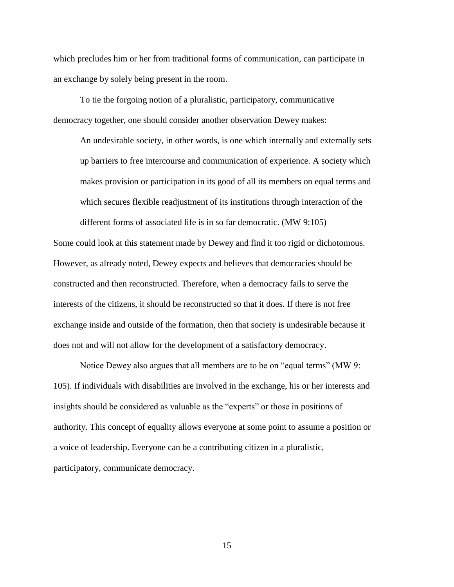which precludes him or her from traditional forms of communication, can participate in an exchange by solely being present in the room.

To tie the forgoing notion of a pluralistic, participatory, communicative democracy together, one should consider another observation Dewey makes:

An undesirable society, in other words, is one which internally and externally sets up barriers to free intercourse and communication of experience. A society which makes provision or participation in its good of all its members on equal terms and which secures flexible readjustment of its institutions through interaction of the different forms of associated life is in so far democratic. (MW 9:105)

Some could look at this statement made by Dewey and find it too rigid or dichotomous. However, as already noted, Dewey expects and believes that democracies should be constructed and then reconstructed. Therefore, when a democracy fails to serve the interests of the citizens, it should be reconstructed so that it does. If there is not free exchange inside and outside of the formation, then that society is undesirable because it does not and will not allow for the development of a satisfactory democracy.

Notice Dewey also argues that all members are to be on "equal terms" (MW 9: 105). If individuals with disabilities are involved in the exchange, his or her interests and insights should be considered as valuable as the "experts" or those in positions of authority. This concept of equality allows everyone at some point to assume a position or a voice of leadership. Everyone can be a contributing citizen in a pluralistic, participatory, communicate democracy.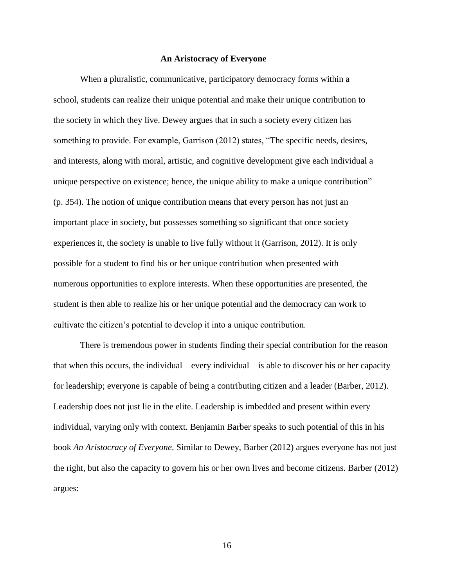#### **An Aristocracy of Everyone**

When a pluralistic, communicative, participatory democracy forms within a school, students can realize their unique potential and make their unique contribution to the society in which they live. Dewey argues that in such a society every citizen has something to provide. For example, Garrison (2012) states, "The specific needs, desires, and interests, along with moral, artistic, and cognitive development give each individual a unique perspective on existence; hence, the unique ability to make a unique contribution" (p. 354). The notion of unique contribution means that every person has not just an important place in society, but possesses something so significant that once society experiences it, the society is unable to live fully without it (Garrison, 2012). It is only possible for a student to find his or her unique contribution when presented with numerous opportunities to explore interests. When these opportunities are presented, the student is then able to realize his or her unique potential and the democracy can work to cultivate the citizen's potential to develop it into a unique contribution.

There is tremendous power in students finding their special contribution for the reason that when this occurs, the individual—every individual—is able to discover his or her capacity for leadership; everyone is capable of being a contributing citizen and a leader (Barber, 2012). Leadership does not just lie in the elite. Leadership is imbedded and present within every individual, varying only with context. Benjamin Barber speaks to such potential of this in his book *An Aristocracy of Everyone*. Similar to Dewey, Barber (2012) argues everyone has not just the right, but also the capacity to govern his or her own lives and become citizens. Barber (2012) argues: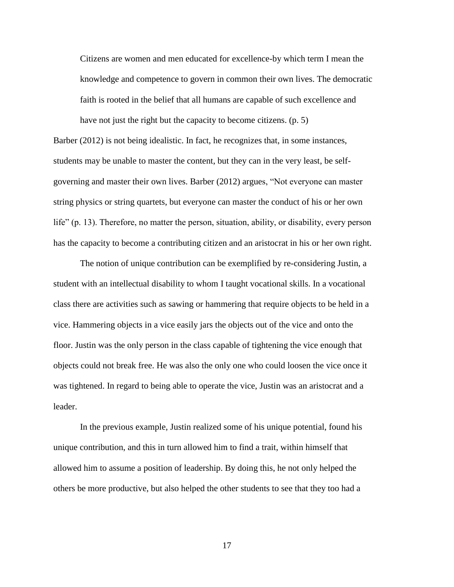Citizens are women and men educated for excellence-by which term I mean the knowledge and competence to govern in common their own lives. The democratic faith is rooted in the belief that all humans are capable of such excellence and have not just the right but the capacity to become citizens. (p. 5)

Barber (2012) is not being idealistic. In fact, he recognizes that, in some instances, students may be unable to master the content, but they can in the very least, be selfgoverning and master their own lives. Barber (2012) argues, "Not everyone can master string physics or string quartets, but everyone can master the conduct of his or her own life" (p. 13). Therefore, no matter the person, situation, ability, or disability, every person has the capacity to become a contributing citizen and an aristocrat in his or her own right.

The notion of unique contribution can be exemplified by re-considering Justin, a student with an intellectual disability to whom I taught vocational skills. In a vocational class there are activities such as sawing or hammering that require objects to be held in a vice. Hammering objects in a vice easily jars the objects out of the vice and onto the floor. Justin was the only person in the class capable of tightening the vice enough that objects could not break free. He was also the only one who could loosen the vice once it was tightened. In regard to being able to operate the vice, Justin was an aristocrat and a leader.

In the previous example, Justin realized some of his unique potential, found his unique contribution, and this in turn allowed him to find a trait, within himself that allowed him to assume a position of leadership. By doing this, he not only helped the others be more productive, but also helped the other students to see that they too had a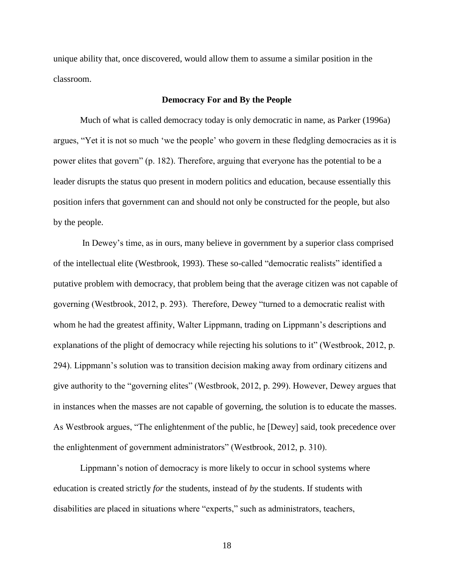unique ability that, once discovered, would allow them to assume a similar position in the classroom.

## **Democracy For and By the People**

Much of what is called democracy today is only democratic in name, as Parker (1996a) argues, "Yet it is not so much 'we the people' who govern in these fledgling democracies as it is power elites that govern" (p. 182). Therefore, arguing that everyone has the potential to be a leader disrupts the status quo present in modern politics and education, because essentially this position infers that government can and should not only be constructed for the people, but also by the people.

In Dewey's time, as in ours, many believe in government by a superior class comprised of the intellectual elite (Westbrook, 1993). These so-called "democratic realists" identified a putative problem with democracy, that problem being that the average citizen was not capable of governing (Westbrook, 2012, p. 293). Therefore, Dewey "turned to a democratic realist with whom he had the greatest affinity, Walter Lippmann, trading on Lippmann's descriptions and explanations of the plight of democracy while rejecting his solutions to it" (Westbrook, 2012, p. 294). Lippmann's solution was to transition decision making away from ordinary citizens and give authority to the "governing elites" (Westbrook, 2012, p. 299). However, Dewey argues that in instances when the masses are not capable of governing, the solution is to educate the masses. As Westbrook argues, "The enlightenment of the public, he [Dewey] said, took precedence over the enlightenment of government administrators" (Westbrook, 2012, p. 310).

Lippmann's notion of democracy is more likely to occur in school systems where education is created strictly *for* the students, instead of *by* the students. If students with disabilities are placed in situations where "experts," such as administrators, teachers,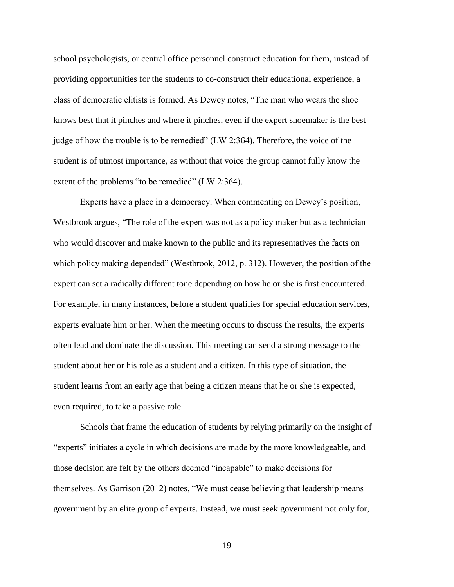school psychologists, or central office personnel construct education for them, instead of providing opportunities for the students to co-construct their educational experience, a class of democratic elitists is formed. As Dewey notes, "The man who wears the shoe knows best that it pinches and where it pinches, even if the expert shoemaker is the best judge of how the trouble is to be remedied" (LW 2:364). Therefore, the voice of the student is of utmost importance, as without that voice the group cannot fully know the extent of the problems "to be remedied" (LW 2:364).

Experts have a place in a democracy. When commenting on Dewey's position, Westbrook argues, "The role of the expert was not as a policy maker but as a technician who would discover and make known to the public and its representatives the facts on which policy making depended" (Westbrook, 2012, p. 312). However, the position of the expert can set a radically different tone depending on how he or she is first encountered. For example, in many instances, before a student qualifies for special education services, experts evaluate him or her. When the meeting occurs to discuss the results, the experts often lead and dominate the discussion. This meeting can send a strong message to the student about her or his role as a student and a citizen. In this type of situation, the student learns from an early age that being a citizen means that he or she is expected, even required, to take a passive role.

Schools that frame the education of students by relying primarily on the insight of "experts" initiates a cycle in which decisions are made by the more knowledgeable, and those decision are felt by the others deemed "incapable" to make decisions for themselves. As Garrison (2012) notes, "We must cease believing that leadership means government by an elite group of experts. Instead, we must seek government not only for,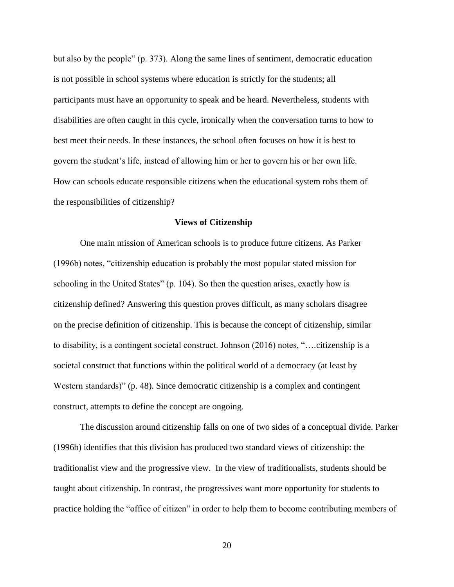but also by the people" (p. 373). Along the same lines of sentiment, democratic education is not possible in school systems where education is strictly for the students; all participants must have an opportunity to speak and be heard. Nevertheless, students with disabilities are often caught in this cycle, ironically when the conversation turns to how to best meet their needs. In these instances, the school often focuses on how it is best to govern the student's life, instead of allowing him or her to govern his or her own life. How can schools educate responsible citizens when the educational system robs them of the responsibilities of citizenship?

#### **Views of Citizenship**

One main mission of American schools is to produce future citizens. As Parker (1996b) notes, "citizenship education is probably the most popular stated mission for schooling in the United States" (p. 104). So then the question arises, exactly how is citizenship defined? Answering this question proves difficult, as many scholars disagree on the precise definition of citizenship. This is because the concept of citizenship, similar to disability, is a contingent societal construct. Johnson (2016) notes, "….citizenship is a societal construct that functions within the political world of a democracy (at least by Western standards)" (p. 48). Since democratic citizenship is a complex and contingent construct, attempts to define the concept are ongoing.

The discussion around citizenship falls on one of two sides of a conceptual divide. Parker (1996b) identifies that this division has produced two standard views of citizenship: the traditionalist view and the progressive view. In the view of traditionalists, students should be taught about citizenship. In contrast, the progressives want more opportunity for students to practice holding the "office of citizen" in order to help them to become contributing members of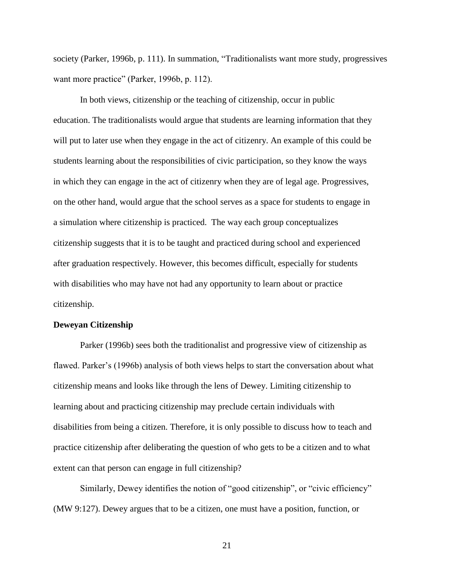society (Parker, 1996b, p. 111). In summation, "Traditionalists want more study, progressives want more practice" (Parker, 1996b, p. 112).

In both views, citizenship or the teaching of citizenship, occur in public education. The traditionalists would argue that students are learning information that they will put to later use when they engage in the act of citizenry. An example of this could be students learning about the responsibilities of civic participation, so they know the ways in which they can engage in the act of citizenry when they are of legal age. Progressives, on the other hand, would argue that the school serves as a space for students to engage in a simulation where citizenship is practiced. The way each group conceptualizes citizenship suggests that it is to be taught and practiced during school and experienced after graduation respectively. However, this becomes difficult, especially for students with disabilities who may have not had any opportunity to learn about or practice citizenship.

#### **Deweyan Citizenship**

Parker (1996b) sees both the traditionalist and progressive view of citizenship as flawed. Parker's (1996b) analysis of both views helps to start the conversation about what citizenship means and looks like through the lens of Dewey. Limiting citizenship to learning about and practicing citizenship may preclude certain individuals with disabilities from being a citizen. Therefore, it is only possible to discuss how to teach and practice citizenship after deliberating the question of who gets to be a citizen and to what extent can that person can engage in full citizenship?

Similarly, Dewey identifies the notion of "good citizenship", or "civic efficiency" (MW 9:127). Dewey argues that to be a citizen, one must have a position, function, or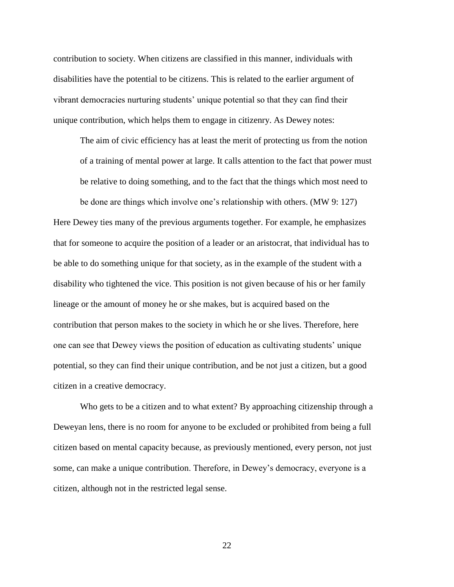contribution to society. When citizens are classified in this manner, individuals with disabilities have the potential to be citizens. This is related to the earlier argument of vibrant democracies nurturing students' unique potential so that they can find their unique contribution, which helps them to engage in citizenry. As Dewey notes:

The aim of civic efficiency has at least the merit of protecting us from the notion of a training of mental power at large. It calls attention to the fact that power must be relative to doing something, and to the fact that the things which most need to

be done are things which involve one's relationship with others. (MW 9: 127) Here Dewey ties many of the previous arguments together. For example, he emphasizes that for someone to acquire the position of a leader or an aristocrat, that individual has to be able to do something unique for that society, as in the example of the student with a disability who tightened the vice. This position is not given because of his or her family lineage or the amount of money he or she makes, but is acquired based on the contribution that person makes to the society in which he or she lives. Therefore, here one can see that Dewey views the position of education as cultivating students' unique potential, so they can find their unique contribution, and be not just a citizen, but a good citizen in a creative democracy.

Who gets to be a citizen and to what extent? By approaching citizenship through a Deweyan lens, there is no room for anyone to be excluded or prohibited from being a full citizen based on mental capacity because, as previously mentioned, every person, not just some, can make a unique contribution. Therefore, in Dewey's democracy, everyone is a citizen, although not in the restricted legal sense.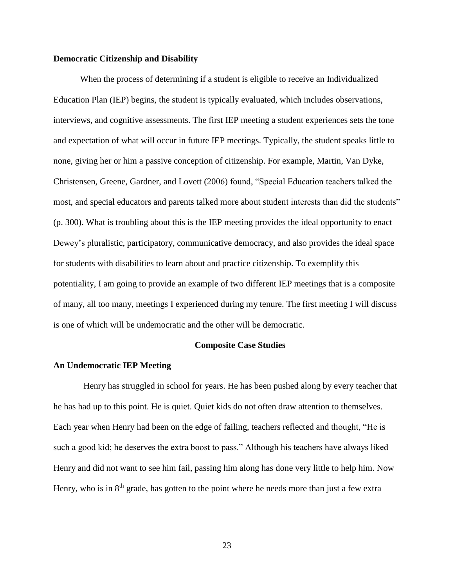#### **Democratic Citizenship and Disability**

When the process of determining if a student is eligible to receive an Individualized Education Plan (IEP) begins, the student is typically evaluated, which includes observations, interviews, and cognitive assessments. The first IEP meeting a student experiences sets the tone and expectation of what will occur in future IEP meetings. Typically, the student speaks little to none, giving her or him a passive conception of citizenship. For example, Martin, Van Dyke, Christensen, Greene, Gardner, and Lovett (2006) found, "Special Education teachers talked the most, and special educators and parents talked more about student interests than did the students" (p. 300). What is troubling about this is the IEP meeting provides the ideal opportunity to enact Dewey's pluralistic, participatory, communicative democracy, and also provides the ideal space for students with disabilities to learn about and practice citizenship. To exemplify this potentiality, I am going to provide an example of two different IEP meetings that is a composite of many, all too many, meetings I experienced during my tenure. The first meeting I will discuss is one of which will be undemocratic and the other will be democratic.

## **Composite Case Studies**

#### **An Undemocratic IEP Meeting**

Henry has struggled in school for years. He has been pushed along by every teacher that he has had up to this point. He is quiet. Quiet kids do not often draw attention to themselves. Each year when Henry had been on the edge of failing, teachers reflected and thought, "He is such a good kid; he deserves the extra boost to pass." Although his teachers have always liked Henry and did not want to see him fail, passing him along has done very little to help him. Now Henry, who is in  $8<sup>th</sup>$  grade, has gotten to the point where he needs more than just a few extra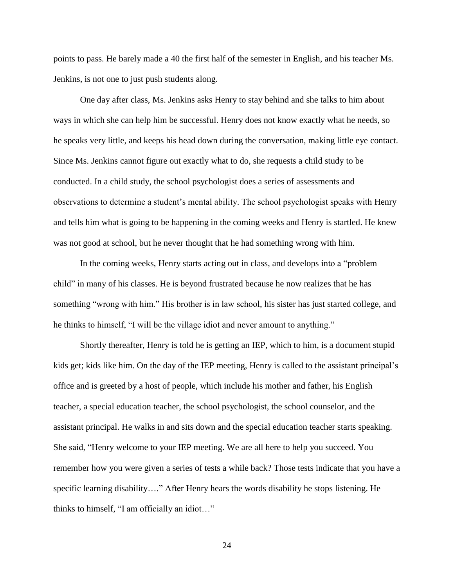points to pass. He barely made a 40 the first half of the semester in English, and his teacher Ms. Jenkins, is not one to just push students along.

One day after class, Ms. Jenkins asks Henry to stay behind and she talks to him about ways in which she can help him be successful. Henry does not know exactly what he needs, so he speaks very little, and keeps his head down during the conversation, making little eye contact. Since Ms. Jenkins cannot figure out exactly what to do, she requests a child study to be conducted. In a child study, the school psychologist does a series of assessments and observations to determine a student's mental ability. The school psychologist speaks with Henry and tells him what is going to be happening in the coming weeks and Henry is startled. He knew was not good at school, but he never thought that he had something wrong with him.

In the coming weeks, Henry starts acting out in class, and develops into a "problem child" in many of his classes. He is beyond frustrated because he now realizes that he has something "wrong with him." His brother is in law school, his sister has just started college, and he thinks to himself, "I will be the village idiot and never amount to anything."

Shortly thereafter, Henry is told he is getting an IEP, which to him, is a document stupid kids get; kids like him. On the day of the IEP meeting, Henry is called to the assistant principal's office and is greeted by a host of people, which include his mother and father, his English teacher, a special education teacher, the school psychologist, the school counselor, and the assistant principal. He walks in and sits down and the special education teacher starts speaking. She said, "Henry welcome to your IEP meeting. We are all here to help you succeed. You remember how you were given a series of tests a while back? Those tests indicate that you have a specific learning disability…." After Henry hears the words disability he stops listening. He thinks to himself, "I am officially an idiot…"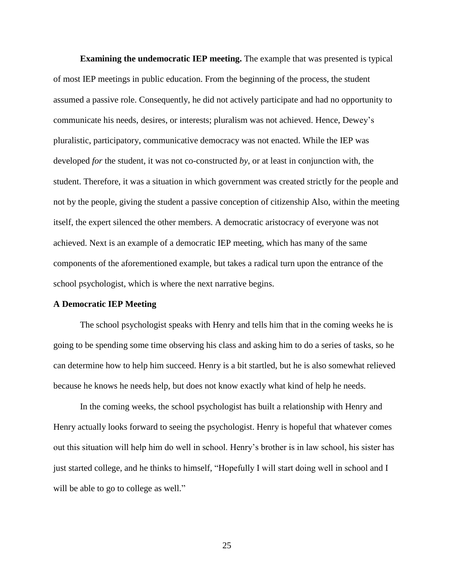**Examining the undemocratic IEP meeting.** The example that was presented is typical of most IEP meetings in public education. From the beginning of the process, the student assumed a passive role. Consequently, he did not actively participate and had no opportunity to communicate his needs, desires, or interests; pluralism was not achieved. Hence, Dewey's pluralistic, participatory, communicative democracy was not enacted. While the IEP was developed *for* the student, it was not co-constructed *by*, or at least in conjunction with, the student. Therefore, it was a situation in which government was created strictly for the people and not by the people, giving the student a passive conception of citizenship Also, within the meeting itself, the expert silenced the other members. A democratic aristocracy of everyone was not achieved. Next is an example of a democratic IEP meeting, which has many of the same components of the aforementioned example, but takes a radical turn upon the entrance of the school psychologist, which is where the next narrative begins.

#### **A Democratic IEP Meeting**

The school psychologist speaks with Henry and tells him that in the coming weeks he is going to be spending some time observing his class and asking him to do a series of tasks, so he can determine how to help him succeed. Henry is a bit startled, but he is also somewhat relieved because he knows he needs help, but does not know exactly what kind of help he needs.

In the coming weeks, the school psychologist has built a relationship with Henry and Henry actually looks forward to seeing the psychologist. Henry is hopeful that whatever comes out this situation will help him do well in school. Henry's brother is in law school, his sister has just started college, and he thinks to himself, "Hopefully I will start doing well in school and I will be able to go to college as well."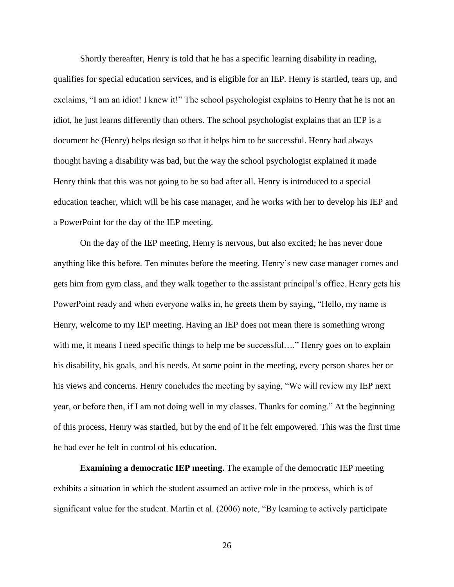Shortly thereafter, Henry is told that he has a specific learning disability in reading,

qualifies for special education services, and is eligible for an IEP. Henry is startled, tears up, and exclaims, "I am an idiot! I knew it!" The school psychologist explains to Henry that he is not an idiot, he just learns differently than others. The school psychologist explains that an IEP is a document he (Henry) helps design so that it helps him to be successful. Henry had always thought having a disability was bad, but the way the school psychologist explained it made Henry think that this was not going to be so bad after all. Henry is introduced to a special education teacher, which will be his case manager, and he works with her to develop his IEP and a PowerPoint for the day of the IEP meeting.

On the day of the IEP meeting, Henry is nervous, but also excited; he has never done anything like this before. Ten minutes before the meeting, Henry's new case manager comes and gets him from gym class, and they walk together to the assistant principal's office. Henry gets his PowerPoint ready and when everyone walks in, he greets them by saying, "Hello, my name is Henry, welcome to my IEP meeting. Having an IEP does not mean there is something wrong with me, it means I need specific things to help me be successful...." Henry goes on to explain his disability, his goals, and his needs. At some point in the meeting, every person shares her or his views and concerns. Henry concludes the meeting by saying, "We will review my IEP next year, or before then, if I am not doing well in my classes. Thanks for coming." At the beginning of this process, Henry was startled, but by the end of it he felt empowered. This was the first time he had ever he felt in control of his education.

**Examining a democratic IEP meeting.** The example of the democratic IEP meeting exhibits a situation in which the student assumed an active role in the process, which is of significant value for the student. Martin et al. (2006) note, "By learning to actively participate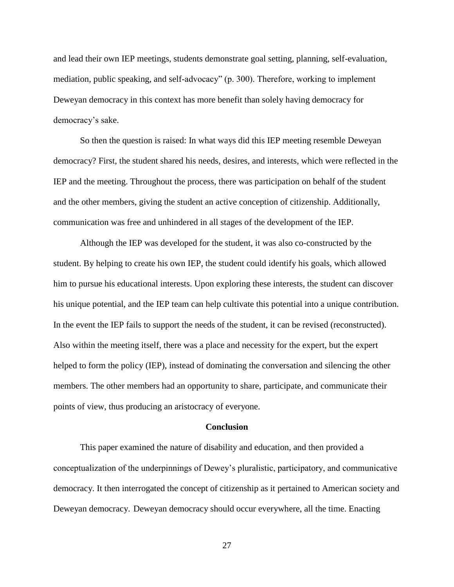and lead their own IEP meetings, students demonstrate goal setting, planning, self-evaluation, mediation, public speaking, and self-advocacy" (p. 300). Therefore, working to implement Deweyan democracy in this context has more benefit than solely having democracy for democracy's sake.

So then the question is raised: In what ways did this IEP meeting resemble Deweyan democracy? First, the student shared his needs, desires, and interests, which were reflected in the IEP and the meeting. Throughout the process, there was participation on behalf of the student and the other members, giving the student an active conception of citizenship. Additionally, communication was free and unhindered in all stages of the development of the IEP.

Although the IEP was developed for the student, it was also co-constructed by the student. By helping to create his own IEP, the student could identify his goals, which allowed him to pursue his educational interests. Upon exploring these interests, the student can discover his unique potential, and the IEP team can help cultivate this potential into a unique contribution. In the event the IEP fails to support the needs of the student, it can be revised (reconstructed). Also within the meeting itself, there was a place and necessity for the expert, but the expert helped to form the policy (IEP), instead of dominating the conversation and silencing the other members. The other members had an opportunity to share, participate, and communicate their points of view, thus producing an aristocracy of everyone.

#### **Conclusion**

This paper examined the nature of disability and education, and then provided a conceptualization of the underpinnings of Dewey's pluralistic, participatory, and communicative democracy. It then interrogated the concept of citizenship as it pertained to American society and Deweyan democracy. Deweyan democracy should occur everywhere, all the time. Enacting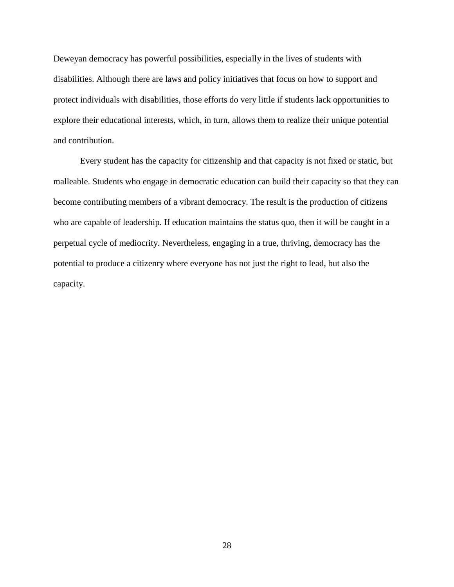Deweyan democracy has powerful possibilities, especially in the lives of students with disabilities. Although there are laws and policy initiatives that focus on how to support and protect individuals with disabilities, those efforts do very little if students lack opportunities to explore their educational interests, which, in turn, allows them to realize their unique potential and contribution.

Every student has the capacity for citizenship and that capacity is not fixed or static, but malleable. Students who engage in democratic education can build their capacity so that they can become contributing members of a vibrant democracy. The result is the production of citizens who are capable of leadership. If education maintains the status quo, then it will be caught in a perpetual cycle of mediocrity. Nevertheless, engaging in a true, thriving, democracy has the potential to produce a citizenry where everyone has not just the right to lead, but also the capacity.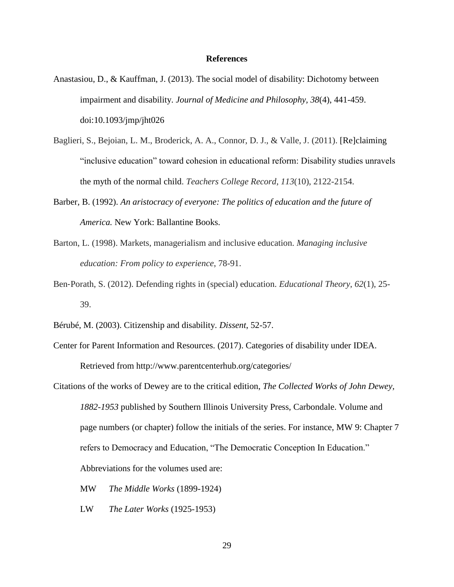#### **References**

- Anastasiou, D., & Kauffman, J. (2013). The social model of disability: Dichotomy between impairment and disability. *Journal of Medicine and Philosophy, 38*(4), 441-459. doi:10.1093/jmp/jht026
- Baglieri, S., Bejoian, L. M., Broderick, A. A., Connor, D. J., & Valle, J. (2011). [Re]claiming "inclusive education" toward cohesion in educational reform: Disability studies unravels the myth of the normal child. *Teachers College Record*, *113*(10), 2122-2154.
- Barber, B. (1992). *An aristocracy of everyone: The politics of education and the future of America.* New York: Ballantine Books.
- Barton, L. (1998). Markets, managerialism and inclusive education. *Managing inclusive education: From policy to experience*, 78-91.
- Ben‐Porath, S. (2012). Defending rights in (special) education. *Educational Theory*, *62*(1), 25- 39.
- Bérubé, M. (2003). Citizenship and disability. *Dissent*, 52-57.
- Center for Parent Information and Resources. (2017). Categories of disability under IDEA. Retrieved from http://www.parentcenterhub.org/categories/
- Citations of the works of Dewey are to the critical edition, *The Collected Works of John Dewey, 1882-1953* published by Southern Illinois University Press, Carbondale. Volume and page numbers (or chapter) follow the initials of the series. For instance, MW 9: Chapter 7 refers to Democracy and Education, "The Democratic Conception In Education." Abbreviations for the volumes used are:
	- MW *The Middle Works* (1899-1924)
	- LW *The Later Works* (1925-1953)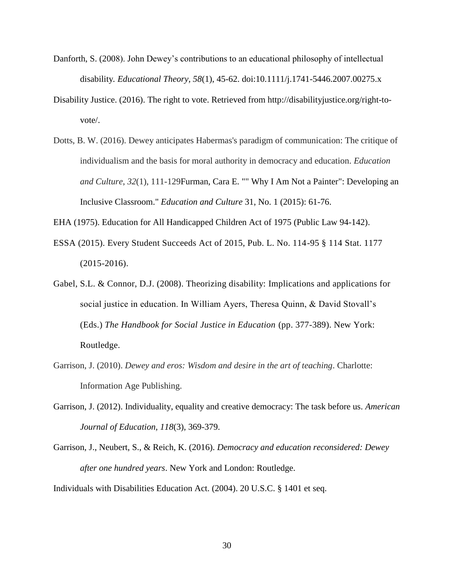- Danforth, S. (2008). John Dewey's contributions to an educational philosophy of intellectual disability*. Educational Theory, 58*(1), 45-62. doi:10.1111/j.1741-5446.2007.00275.x
- Disability Justice. (2016). The right to vote. Retrieved from http://disabilityjustice.org/right-tovote/.
- Dotts, B. W. (2016). Dewey anticipates Habermas's paradigm of communication: The critique of individualism and the basis for moral authority in democracy and education. *Education and Culture*, *32*(1), 111-129Furman, Cara E. "" Why I Am Not a Painter": Developing an Inclusive Classroom." *Education and Culture* 31, No. 1 (2015): 61-76.
- EHA (1975). Education for All Handicapped Children Act of 1975 (Public Law 94-142).
- ESSA (2015). Every Student Succeeds Act of 2015, Pub. L. No. 114-95 § 114 Stat. 1177 (2015-2016).
- Gabel, S.L. & Connor, D.J. (2008). Theorizing disability: Implications and applications for social justice in education. In William Ayers, Theresa Quinn, & David Stovall's (Eds.) *The Handbook for Social Justice in Education* (pp. 377-389). New York: Routledge.
- Garrison, J. (2010). *Dewey and eros: Wisdom and desire in the art of teaching*. Charlotte: Information Age Publishing.
- Garrison, J. (2012). Individuality, equality and creative democracy: The task before us. *American Journal of Education, 118*(3), 369-379.
- Garrison, J., Neubert, S., & Reich, K. (2016). *Democracy and education reconsidered: Dewey after one hundred years*. New York and London: Routledge.

Individuals with Disabilities Education Act. (2004). 20 U.S.C. § 1401 et seq.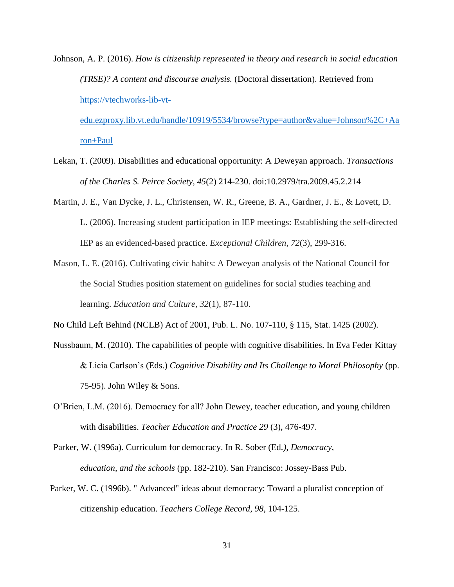Johnson, A. P. (2016). *How is citizenship represented in theory and research in social education (TRSE)? A content and discourse analysis.* (Doctoral dissertation). Retrieved from [https://vtechworks-lib-vt](https://vtechworks-lib-vt-edu.ezproxy.lib.vt.edu/handle/10919/5534/browse?type=author&value=Johnson%2C+Aaron+Paul)[edu.ezproxy.lib.vt.edu/handle/10919/5534/browse?type=author&value=Johnson%2C+Aa](https://vtechworks-lib-vt-edu.ezproxy.lib.vt.edu/handle/10919/5534/browse?type=author&value=Johnson%2C+Aaron+Paul)

[ron+Paul](https://vtechworks-lib-vt-edu.ezproxy.lib.vt.edu/handle/10919/5534/browse?type=author&value=Johnson%2C+Aaron+Paul)

- Lekan, T. (2009). Disabilities and educational opportunity: A Deweyan approach. *Transactions of the Charles S. Peirce Society, 45*(2) 214-230. doi:10.2979/tra.2009.45.2.214
- Martin, J. E., Van Dycke, J. L., Christensen, W. R., Greene, B. A., Gardner, J. E., & Lovett, D. L. (2006). Increasing student participation in IEP meetings: Establishing the self-directed IEP as an evidenced-based practice. *Exceptional Children*, *72*(3), 299-316.
- Mason, L. E. (2016). Cultivating civic habits: A Deweyan analysis of the National Council for the Social Studies position statement on guidelines for social studies teaching and learning. *Education and Culture*, *32*(1), 87-110.
- No Child Left Behind (NCLB) Act of 2001, Pub. L. No. 107-110, § 115, Stat. 1425 (2002).
- Nussbaum, M. (2010). The capabilities of people with cognitive disabilities. In Eva Feder Kittay & Licia Carlson's (Eds.) *Cognitive Disability and Its Challenge to Moral Philosophy* (pp. 75-95). John Wiley & Sons.
- O'Brien, L.M. (2016). Democracy for all? John Dewey, teacher education, and young children with disabilities. *Teacher Education and Practice 29* (3), 476-497.

Parker, W. (1996a). Curriculum for democracy. In R. Sober (Ed*.), Democracy, education, and the schools* (pp. 182-210). San Francisco: Jossey-Bass Pub.

Parker, W. C. (1996b). " Advanced" ideas about democracy: Toward a pluralist conception of citizenship education. *Teachers College Record, 98*, 104-125.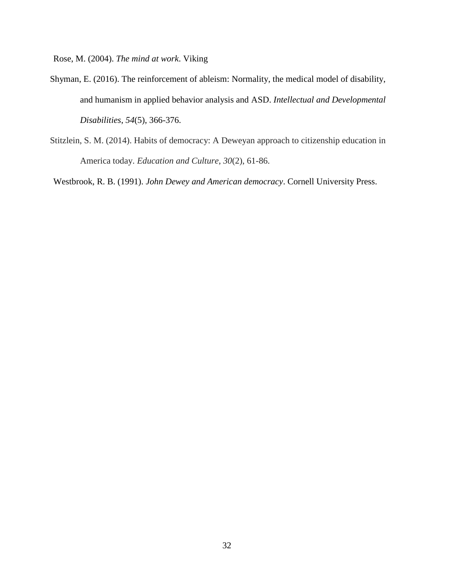Rose, M. (2004). *The mind at work*. Viking

- Shyman, E. (2016). The reinforcement of ableism: Normality, the medical model of disability, and humanism in applied behavior analysis and ASD. *Intellectual and Developmental Disabilities*, *54*(5), 366-376.
- Stitzlein, S. M. (2014). Habits of democracy: A Deweyan approach to citizenship education in America today. *Education and Culture*, *30*(2), 61-86.

Westbrook, R. B. (1991). *John Dewey and American democracy*. Cornell University Press.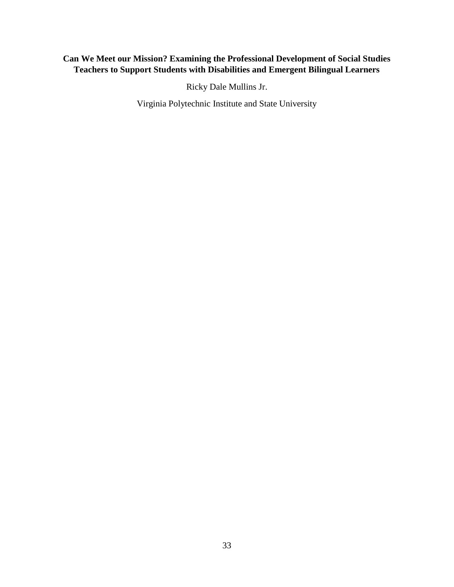# **Can We Meet our Mission? Examining the Professional Development of Social Studies Teachers to Support Students with Disabilities and Emergent Bilingual Learners**

Ricky Dale Mullins Jr.

Virginia Polytechnic Institute and State University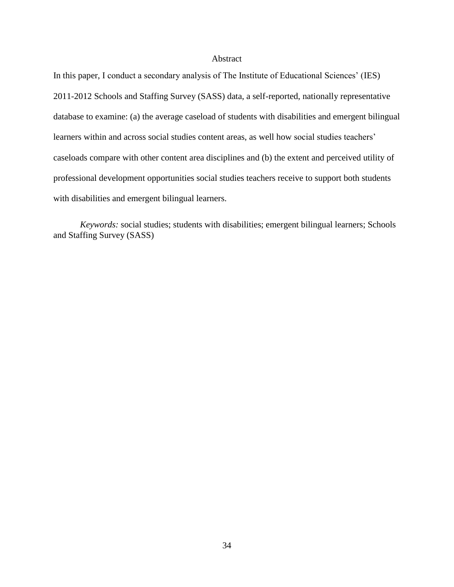#### Abstract

In this paper, I conduct a secondary analysis of The Institute of Educational Sciences' (IES) 2011-2012 Schools and Staffing Survey (SASS) data, a self-reported, nationally representative database to examine: (a) the average caseload of students with disabilities and emergent bilingual learners within and across social studies content areas, as well how social studies teachers' caseloads compare with other content area disciplines and (b) the extent and perceived utility of professional development opportunities social studies teachers receive to support both students with disabilities and emergent bilingual learners.

*Keywords:* social studies; students with disabilities; emergent bilingual learners; Schools and Staffing Survey (SASS)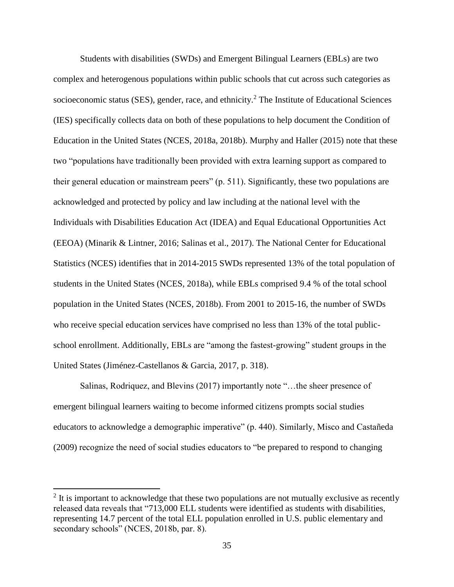Students with disabilities (SWDs) and Emergent Bilingual Learners (EBLs) are two complex and heterogenous populations within public schools that cut across such categories as socioeconomic status (SES), gender, race, and ethnicity.<sup>2</sup> The Institute of Educational Sciences (IES) specifically collects data on both of these populations to help document the Condition of Education in the United States (NCES, 2018a, 2018b). Murphy and Haller (2015) note that these two "populations have traditionally been provided with extra learning support as compared to their general education or mainstream peers" (p. 511). Significantly, these two populations are acknowledged and protected by policy and law including at the national level with the Individuals with Disabilities Education Act (IDEA) and Equal Educational Opportunities Act (EEOA) (Minarik & Lintner, 2016; Salinas et al., 2017). The National Center for Educational Statistics (NCES) identifies that in 2014-2015 SWDs represented 13% of the total population of students in the United States (NCES, 2018a), while EBLs comprised 9.4 % of the total school population in the United States (NCES, 2018b). From 2001 to 2015-16, the number of SWDs who receive special education services have comprised no less than 13% of the total publicschool enrollment. Additionally, EBLs are "among the fastest-growing" student groups in the United States (Jiménez-Castellanos & Garcia, 2017, p. 318).

Salinas, Rodriquez, and Blevins (2017) importantly note "…the sheer presence of emergent bilingual learners waiting to become informed citizens prompts social studies educators to acknowledge a demographic imperative" (p. 440). Similarly, Misco and Castañeda (2009) recognize the need of social studies educators to "be prepared to respond to changing

l

 $2$  It is important to acknowledge that these two populations are not mutually exclusive as recently released data reveals that "713,000 ELL students were identified as students with disabilities, representing 14.7 percent of the total ELL population enrolled in U.S. public elementary and secondary schools" (NCES, 2018b, par. 8).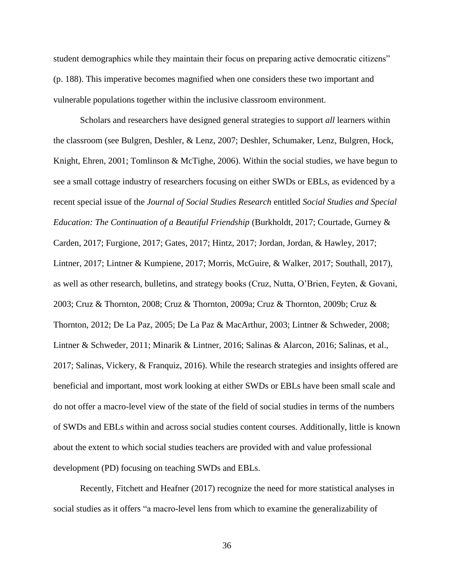student demographics while they maintain their focus on preparing active democratic citizens" (p. 188). This imperative becomes magnified when one considers these two important and vulnerable populations together within the inclusive classroom environment.

Scholars and researchers have designed general strategies to support *all* learners within the classroom (see Bulgren, Deshler, & Lenz, 2007; Deshler, Schumaker, Lenz, Bulgren, Hock, Knight, Ehren, 2001; Tomlinson & McTighe, 2006). Within the social studies, we have begun to see a small cottage industry of researchers focusing on either SWDs or EBLs, as evidenced by a recent special issue of the *Journal of Social Studies Research* entitled *Social Studies and Special Education: The Continuation of a Beautiful Friendship* (Burkholdt, 2017; Courtade, Gurney & Carden, 2017; Furgione, 2017; Gates, 2017; Hintz, 2017; Jordan, Jordan, & Hawley, 2017; Lintner, 2017; Lintner & Kumpiene, 2017; Morris, McGuire, & Walker, 2017; Southall, 2017), as well as other research, bulletins, and strategy books (Cruz, Nutta, O'Brien, Feyten, & Govani, 2003; Cruz & Thornton, 2008; Cruz & Thornton, 2009a; Cruz & Thornton, 2009b; Cruz & Thornton, 2012; De La Paz, 2005; De La Paz & MacArthur, 2003; Lintner & Schweder, 2008; Lintner & Schweder, 2011; Minarik & Lintner, 2016; Salinas & Alarcon, 2016; Salinas, et al., 2017; Salinas, Vickery, & Franquiz, 2016). While the research strategies and insights offered are beneficial and important, most work looking at either SWDs or EBLs have been small scale and do not offer a macro-level view of the state of the field of social studies in terms of the numbers of SWDs and EBLs within and across social studies content courses. Additionally, little is known about the extent to which social studies teachers are provided with and value professional development (PD) focusing on teaching SWDs and EBLs.

Recently, Fitchett and Heafner (2017) recognize the need for more statistical analyses in social studies as it offers "a macro-level lens from which to examine the generalizability of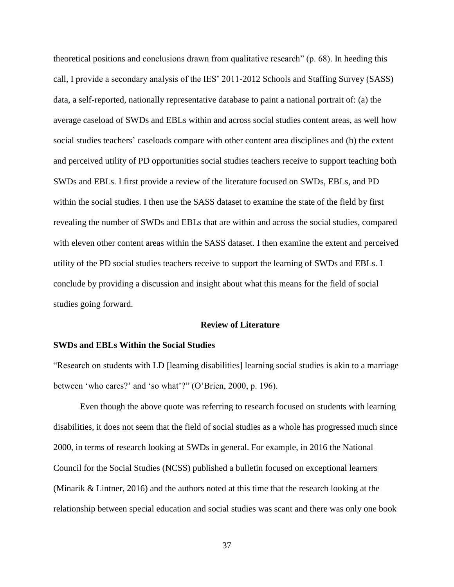theoretical positions and conclusions drawn from qualitative research" (p. 68). In heeding this call, I provide a secondary analysis of the IES' 2011-2012 Schools and Staffing Survey (SASS) data, a self-reported, nationally representative database to paint a national portrait of: (a) the average caseload of SWDs and EBLs within and across social studies content areas, as well how social studies teachers' caseloads compare with other content area disciplines and (b) the extent and perceived utility of PD opportunities social studies teachers receive to support teaching both SWDs and EBLs. I first provide a review of the literature focused on SWDs, EBLs, and PD within the social studies. I then use the SASS dataset to examine the state of the field by first revealing the number of SWDs and EBLs that are within and across the social studies, compared with eleven other content areas within the SASS dataset. I then examine the extent and perceived utility of the PD social studies teachers receive to support the learning of SWDs and EBLs. I conclude by providing a discussion and insight about what this means for the field of social studies going forward.

## **Review of Literature**

### **SWDs and EBLs Within the Social Studies**

"Research on students with LD [learning disabilities] learning social studies is akin to a marriage between 'who cares?' and 'so what'?" (O'Brien, 2000, p. 196).

Even though the above quote was referring to research focused on students with learning disabilities, it does not seem that the field of social studies as a whole has progressed much since 2000, in terms of research looking at SWDs in general. For example, in 2016 the National Council for the Social Studies (NCSS) published a bulletin focused on exceptional learners (Minarik & Lintner, 2016) and the authors noted at this time that the research looking at the relationship between special education and social studies was scant and there was only one book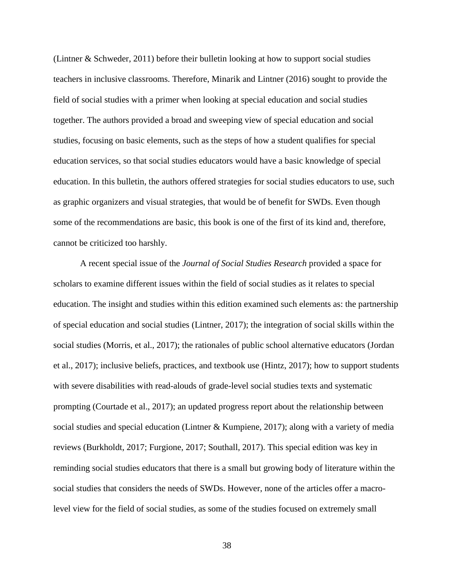(Lintner & Schweder, 2011) before their bulletin looking at how to support social studies teachers in inclusive classrooms. Therefore, Minarik and Lintner (2016) sought to provide the field of social studies with a primer when looking at special education and social studies together. The authors provided a broad and sweeping view of special education and social studies, focusing on basic elements, such as the steps of how a student qualifies for special education services, so that social studies educators would have a basic knowledge of special education. In this bulletin, the authors offered strategies for social studies educators to use, such as graphic organizers and visual strategies, that would be of benefit for SWDs. Even though some of the recommendations are basic, this book is one of the first of its kind and, therefore, cannot be criticized too harshly.

A recent special issue of the *Journal of Social Studies Research* provided a space for scholars to examine different issues within the field of social studies as it relates to special education. The insight and studies within this edition examined such elements as: the partnership of special education and social studies (Lintner, 2017); the integration of social skills within the social studies (Morris, et al., 2017); the rationales of public school alternative educators (Jordan et al., 2017); inclusive beliefs, practices, and textbook use (Hintz, 2017); how to support students with severe disabilities with read-alouds of grade-level social studies texts and systematic prompting (Courtade et al., 2017); an updated progress report about the relationship between social studies and special education (Lintner & Kumpiene, 2017); along with a variety of media reviews (Burkholdt, 2017; Furgione, 2017; Southall, 2017). This special edition was key in reminding social studies educators that there is a small but growing body of literature within the social studies that considers the needs of SWDs. However, none of the articles offer a macrolevel view for the field of social studies, as some of the studies focused on extremely small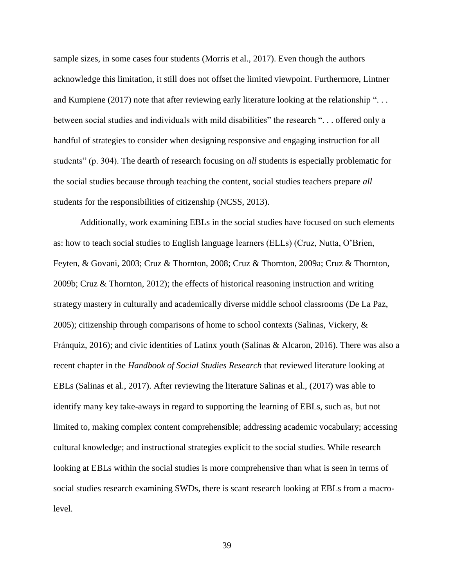sample sizes, in some cases four students (Morris et al., 2017). Even though the authors acknowledge this limitation, it still does not offset the limited viewpoint. Furthermore, Lintner and Kumpiene (2017) note that after reviewing early literature looking at the relationship "... between social studies and individuals with mild disabilities" the research ". . . offered only a handful of strategies to consider when designing responsive and engaging instruction for all students" (p. 304). The dearth of research focusing on *all* students is especially problematic for the social studies because through teaching the content, social studies teachers prepare *all* students for the responsibilities of citizenship (NCSS, 2013).

Additionally, work examining EBLs in the social studies have focused on such elements as: how to teach social studies to English language learners (ELLs) (Cruz, Nutta, O'Brien, Feyten, & Govani, 2003; Cruz & Thornton, 2008; Cruz & Thornton, 2009a; Cruz & Thornton, 2009b; Cruz & Thornton, 2012); the effects of historical reasoning instruction and writing strategy mastery in culturally and academically diverse middle school classrooms (De La Paz, 2005); citizenship through comparisons of home to school contexts (Salinas, Vickery, & Fránquiz, 2016); and civic identities of Latinx youth (Salinas & Alcaron, 2016). There was also a recent chapter in the *Handbook of Social Studies Research* that reviewed literature looking at EBLs (Salinas et al., 2017). After reviewing the literature Salinas et al., (2017) was able to identify many key take-aways in regard to supporting the learning of EBLs, such as, but not limited to, making complex content comprehensible; addressing academic vocabulary; accessing cultural knowledge; and instructional strategies explicit to the social studies. While research looking at EBLs within the social studies is more comprehensive than what is seen in terms of social studies research examining SWDs, there is scant research looking at EBLs from a macrolevel.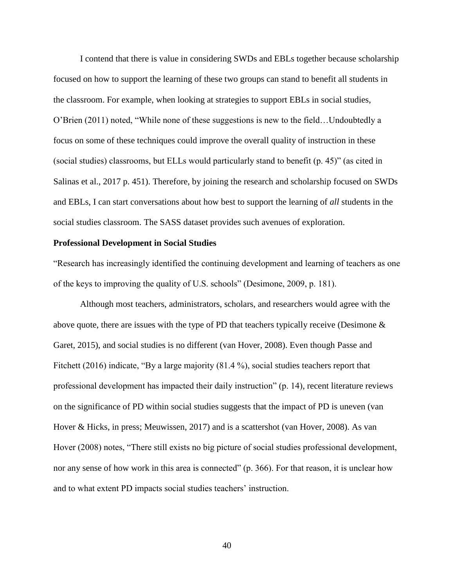I contend that there is value in considering SWDs and EBLs together because scholarship focused on how to support the learning of these two groups can stand to benefit all students in the classroom. For example, when looking at strategies to support EBLs in social studies, O'Brien (2011) noted, "While none of these suggestions is new to the field…Undoubtedly a focus on some of these techniques could improve the overall quality of instruction in these (social studies) classrooms, but ELLs would particularly stand to benefit (p. 45)" (as cited in Salinas et al., 2017 p. 451). Therefore, by joining the research and scholarship focused on SWDs and EBLs, I can start conversations about how best to support the learning of *all* students in the social studies classroom. The SASS dataset provides such avenues of exploration.

#### **Professional Development in Social Studies**

"Research has increasingly identified the continuing development and learning of teachers as one of the keys to improving the quality of U.S. schools" (Desimone, 2009, p. 181).

Although most teachers, administrators, scholars, and researchers would agree with the above quote, there are issues with the type of PD that teachers typically receive (Desimone & Garet, 2015), and social studies is no different (van Hover, 2008). Even though Passe and Fitchett (2016) indicate, "By a large majority (81.4 %), social studies teachers report that professional development has impacted their daily instruction" (p. 14), recent literature reviews on the significance of PD within social studies suggests that the impact of PD is uneven (van Hover & Hicks, in press; Meuwissen, 2017) and is a scattershot (van Hover, 2008). As van Hover (2008) notes, "There still exists no big picture of social studies professional development, nor any sense of how work in this area is connected" (p. 366). For that reason, it is unclear how and to what extent PD impacts social studies teachers' instruction.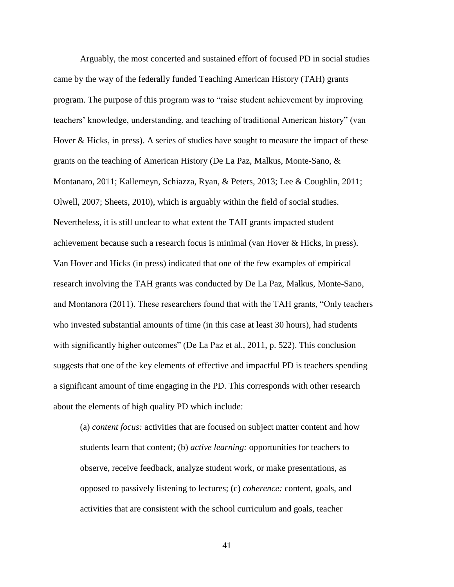Arguably, the most concerted and sustained effort of focused PD in social studies came by the way of the federally funded Teaching American History (TAH) grants program. The purpose of this program was to "raise student achievement by improving teachers' knowledge, understanding, and teaching of traditional American history" (van Hover  $\&$  Hicks, in press). A series of studies have sought to measure the impact of these grants on the teaching of American History (De La Paz, Malkus, Monte-Sano, & Montanaro, 2011; Kallemeyn, Schiazza, Ryan, & Peters, 2013; Lee & Coughlin, 2011; Olwell, 2007; Sheets, 2010), which is arguably within the field of social studies. Nevertheless, it is still unclear to what extent the TAH grants impacted student achievement because such a research focus is minimal (van Hover & Hicks, in press). Van Hover and Hicks (in press) indicated that one of the few examples of empirical research involving the TAH grants was conducted by De La Paz, Malkus, Monte-Sano, and Montanora (2011). These researchers found that with the TAH grants, "Only teachers who invested substantial amounts of time (in this case at least 30 hours), had students with significantly higher outcomes" (De La Paz et al., 2011, p. 522). This conclusion suggests that one of the key elements of effective and impactful PD is teachers spending a significant amount of time engaging in the PD. This corresponds with other research about the elements of high quality PD which include:

(a) *content focus:* activities that are focused on subject matter content and how students learn that content; (b) *active learning:* opportunities for teachers to observe, receive feedback, analyze student work, or make presentations, as opposed to passively listening to lectures; (c) *coherence:* content, goals, and activities that are consistent with the school curriculum and goals, teacher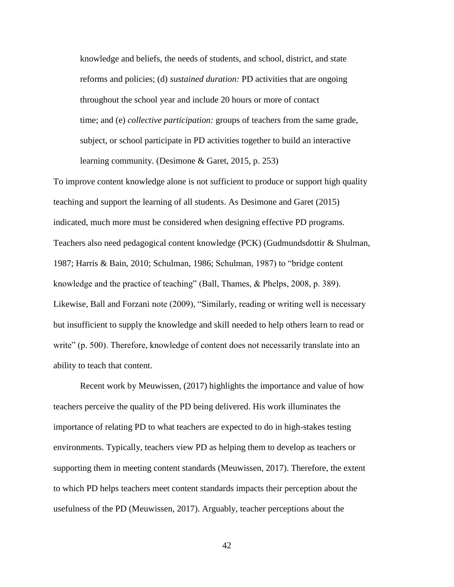knowledge and beliefs, the needs of students, and school, district, and state reforms and policies; (d) *sustained duration:* PD activities that are ongoing throughout the school year and include 20 hours or more of contact time; and (e) *collective participation:* groups of teachers from the same grade, subject, or school participate in PD activities together to build an interactive learning community. (Desimone & Garet, 2015, p. 253)

To improve content knowledge alone is not sufficient to produce or support high quality teaching and support the learning of all students. As Desimone and Garet (2015) indicated, much more must be considered when designing effective PD programs. Teachers also need pedagogical content knowledge (PCK) (Gudmundsdottir & Shulman, 1987; Harris & Bain, 2010; Schulman, 1986; Schulman, 1987) to "bridge content knowledge and the practice of teaching" (Ball, Thames, & Phelps, 2008, p. 389). Likewise, Ball and Forzani note (2009), "Similarly, reading or writing well is necessary but insufficient to supply the knowledge and skill needed to help others learn to read or write" (p. 500). Therefore, knowledge of content does not necessarily translate into an ability to teach that content.

Recent work by Meuwissen, (2017) highlights the importance and value of how teachers perceive the quality of the PD being delivered. His work illuminates the importance of relating PD to what teachers are expected to do in high-stakes testing environments. Typically, teachers view PD as helping them to develop as teachers or supporting them in meeting content standards (Meuwissen, 2017). Therefore, the extent to which PD helps teachers meet content standards impacts their perception about the usefulness of the PD (Meuwissen, 2017). Arguably, teacher perceptions about the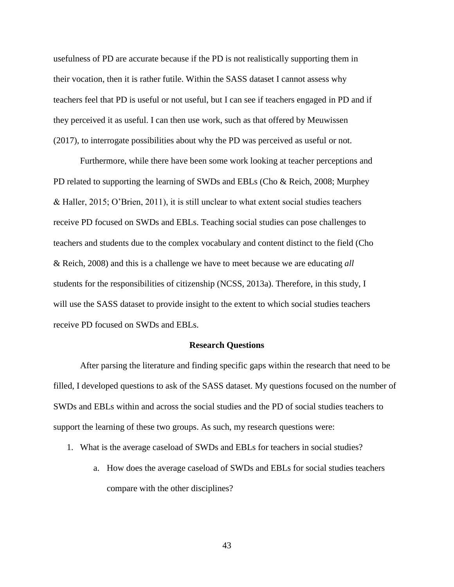usefulness of PD are accurate because if the PD is not realistically supporting them in their vocation, then it is rather futile. Within the SASS dataset I cannot assess why teachers feel that PD is useful or not useful, but I can see if teachers engaged in PD and if they perceived it as useful. I can then use work, such as that offered by Meuwissen (2017), to interrogate possibilities about why the PD was perceived as useful or not.

Furthermore, while there have been some work looking at teacher perceptions and PD related to supporting the learning of SWDs and EBLs (Cho & Reich, 2008; Murphey & Haller, 2015; O'Brien, 2011), it is still unclear to what extent social studies teachers receive PD focused on SWDs and EBLs. Teaching social studies can pose challenges to teachers and students due to the complex vocabulary and content distinct to the field (Cho & Reich, 2008) and this is a challenge we have to meet because we are educating *all*  students for the responsibilities of citizenship (NCSS, 2013a). Therefore, in this study, I will use the SASS dataset to provide insight to the extent to which social studies teachers receive PD focused on SWDs and EBLs.

#### **Research Questions**

After parsing the literature and finding specific gaps within the research that need to be filled, I developed questions to ask of the SASS dataset. My questions focused on the number of SWDs and EBLs within and across the social studies and the PD of social studies teachers to support the learning of these two groups. As such, my research questions were:

- 1. What is the average caseload of SWDs and EBLs for teachers in social studies?
	- a. How does the average caseload of SWDs and EBLs for social studies teachers compare with the other disciplines?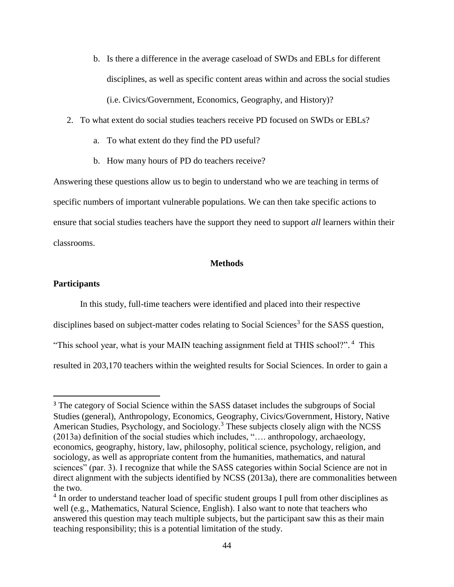- b. Is there a difference in the average caseload of SWDs and EBLs for different disciplines, as well as specific content areas within and across the social studies (i.e. Civics/Government, Economics, Geography, and History)?
- 2. To what extent do social studies teachers receive PD focused on SWDs or EBLs?
	- a. To what extent do they find the PD useful?
	- b. How many hours of PD do teachers receive?

Answering these questions allow us to begin to understand who we are teaching in terms of specific numbers of important vulnerable populations. We can then take specific actions to ensure that social studies teachers have the support they need to support *all* learners within their classrooms.

## **Methods**

## **Participants**

 $\overline{\phantom{a}}$ 

In this study, full-time teachers were identified and placed into their respective disciplines based on subject-matter codes relating to Social Sciences<sup>3</sup> for the SASS question, "This school year, what is your MAIN teaching assignment field at THIS school?".<sup>4</sup> This resulted in 203,170 teachers within the weighted results for Social Sciences. In order to gain a

<sup>&</sup>lt;sup>3</sup> The category of Social Science within the SASS dataset includes the subgroups of Social Studies (general), Anthropology, Economics, Geography, Civics/Government, History, Native American Studies, Psychology, and Sociology.<sup>3</sup> These subjects closely align with the NCSS (2013a) definition of the social studies which includes, "…. anthropology, archaeology, economics, geography, history, law, philosophy, political science, psychology, religion, and sociology, as well as appropriate content from the humanities, mathematics, and natural sciences" (par. 3). I recognize that while the SASS categories within Social Science are not in direct alignment with the subjects identified by NCSS (2013a), there are commonalities between the two.

<sup>&</sup>lt;sup>4</sup> In order to understand teacher load of specific student groups I pull from other disciplines as well (e.g., Mathematics, Natural Science, English). I also want to note that teachers who answered this question may teach multiple subjects, but the participant saw this as their main teaching responsibility; this is a potential limitation of the study.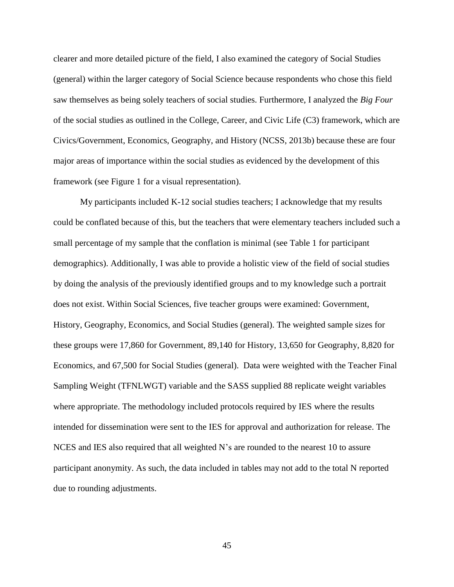clearer and more detailed picture of the field, I also examined the category of Social Studies (general) within the larger category of Social Science because respondents who chose this field saw themselves as being solely teachers of social studies. Furthermore, I analyzed the *Big Four* of the social studies as outlined in the College, Career, and Civic Life (C3) framework, which are Civics/Government, Economics, Geography, and History (NCSS, 2013b) because these are four major areas of importance within the social studies as evidenced by the development of this framework (see Figure 1 for a visual representation).

My participants included K-12 social studies teachers; I acknowledge that my results could be conflated because of this, but the teachers that were elementary teachers included such a small percentage of my sample that the conflation is minimal (see Table 1 for participant demographics). Additionally, I was able to provide a holistic view of the field of social studies by doing the analysis of the previously identified groups and to my knowledge such a portrait does not exist. Within Social Sciences, five teacher groups were examined: Government, History, Geography, Economics, and Social Studies (general). The weighted sample sizes for these groups were 17,860 for Government, 89,140 for History, 13,650 for Geography, 8,820 for Economics, and 67,500 for Social Studies (general). Data were weighted with the Teacher Final Sampling Weight (TFNLWGT) variable and the SASS supplied 88 replicate weight variables where appropriate. The methodology included protocols required by IES where the results intended for dissemination were sent to the IES for approval and authorization for release. The NCES and IES also required that all weighted N's are rounded to the nearest 10 to assure participant anonymity. As such, the data included in tables may not add to the total N reported due to rounding adjustments.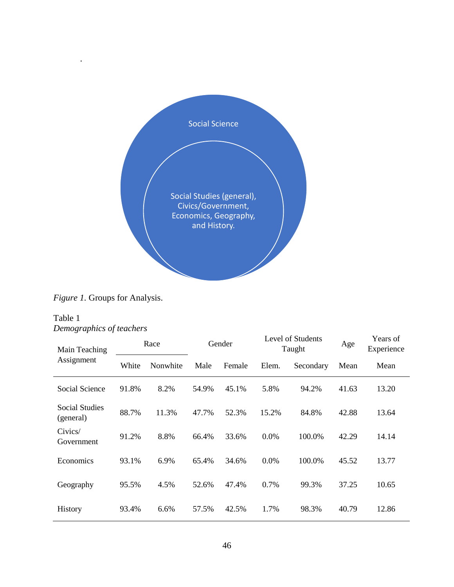

*Figure 1.* Groups for Analysis.

# Table 1 *Demographics of teachers*

.

| Main Teaching               | Race  |          | Gender |        | Level of Students<br>Taught |           | Age   | Years of<br>Experience |
|-----------------------------|-------|----------|--------|--------|-----------------------------|-----------|-------|------------------------|
| Assignment                  | White | Nonwhite | Male   | Female | Elem.                       | Secondary | Mean  | Mean                   |
| Social Science              | 91.8% | 8.2%     | 54.9%  | 45.1%  | 5.8%                        | 94.2%     | 41.63 | 13.20                  |
| Social Studies<br>(general) | 88.7% | 11.3%    | 47.7%  | 52.3%  | 15.2%                       | 84.8%     | 42.88 | 13.64                  |
| Civics/<br>Government       | 91.2% | 8.8%     | 66.4%  | 33.6%  | 0.0%                        | 100.0%    | 42.29 | 14.14                  |
| Economics                   | 93.1% | 6.9%     | 65.4%  | 34.6%  | 0.0%                        | 100.0%    | 45.52 | 13.77                  |
| Geography                   | 95.5% | 4.5%     | 52.6%  | 47.4%  | 0.7%                        | 99.3%     | 37.25 | 10.65                  |
| History                     | 93.4% | 6.6%     | 57.5%  | 42.5%  | 1.7%                        | 98.3%     | 40.79 | 12.86                  |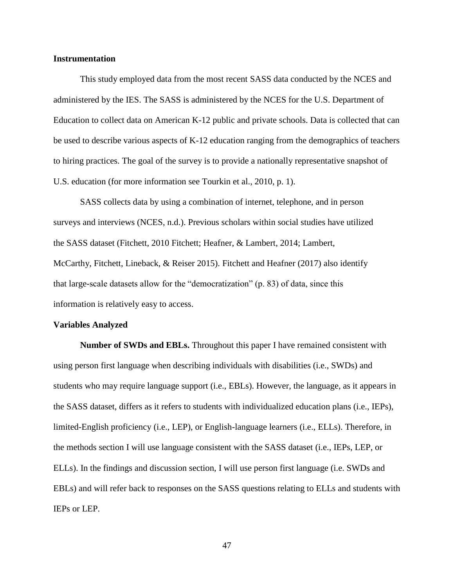## **Instrumentation**

This study employed data from the most recent SASS data conducted by the NCES and administered by the IES. The SASS is administered by the NCES for the U.S. Department of Education to collect data on American K-12 public and private schools. Data is collected that can be used to describe various aspects of K-12 education ranging from the demographics of teachers to hiring practices. The goal of the survey is to provide a nationally representative snapshot of U.S. education (for more information see Tourkin et al., 2010, p. 1).

SASS collects data by using a combination of internet, telephone, and in person surveys and interviews (NCES, n.d.). Previous scholars within social studies have utilized the SASS dataset (Fitchett, 2010 Fitchett; Heafner, & Lambert, 2014; Lambert, McCarthy, Fitchett, Lineback, & Reiser 2015). Fitchett and Heafner (2017) also identify that large-scale datasets allow for the "democratization" (p. 83) of data, since this information is relatively easy to access.

#### **Variables Analyzed**

**Number of SWDs and EBLs.** Throughout this paper I have remained consistent with using person first language when describing individuals with disabilities (i.e., SWDs) and students who may require language support (i.e., EBLs). However, the language, as it appears in the SASS dataset, differs as it refers to students with individualized education plans (i.e., IEPs), limited-English proficiency (i.e., LEP), or English-language learners (i.e., ELLs). Therefore, in the methods section I will use language consistent with the SASS dataset (i.e., IEPs, LEP, or ELLs). In the findings and discussion section, I will use person first language (i.e. SWDs and EBLs) and will refer back to responses on the SASS questions relating to ELLs and students with IEPs or LEP.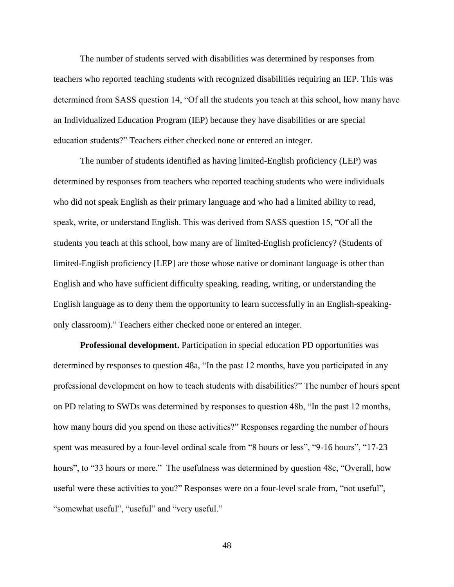The number of students served with disabilities was determined by responses from teachers who reported teaching students with recognized disabilities requiring an IEP. This was determined from SASS question 14, "Of all the students you teach at this school, how many have an Individualized Education Program (IEP) because they have disabilities or are special education students?" Teachers either checked none or entered an integer.

The number of students identified as having limited-English proficiency (LEP) was determined by responses from teachers who reported teaching students who were individuals who did not speak English as their primary language and who had a limited ability to read, speak, write, or understand English. This was derived from SASS question 15, "Of all the students you teach at this school, how many are of limited-English proficiency? (Students of limited-English proficiency [LEP] are those whose native or dominant language is other than English and who have sufficient difficulty speaking, reading, writing, or understanding the English language as to deny them the opportunity to learn successfully in an English-speakingonly classroom)." Teachers either checked none or entered an integer.

**Professional development.** Participation in special education PD opportunities was determined by responses to question 48a, "In the past 12 months, have you participated in any professional development on how to teach students with disabilities?" The number of hours spent on PD relating to SWDs was determined by responses to question 48b, "In the past 12 months, how many hours did you spend on these activities?" Responses regarding the number of hours spent was measured by a four-level ordinal scale from "8 hours or less", "9-16 hours", "17-23 hours", to "33 hours or more." The usefulness was determined by question 48c, "Overall, how useful were these activities to you?" Responses were on a four-level scale from, "not useful", "somewhat useful", "useful" and "very useful."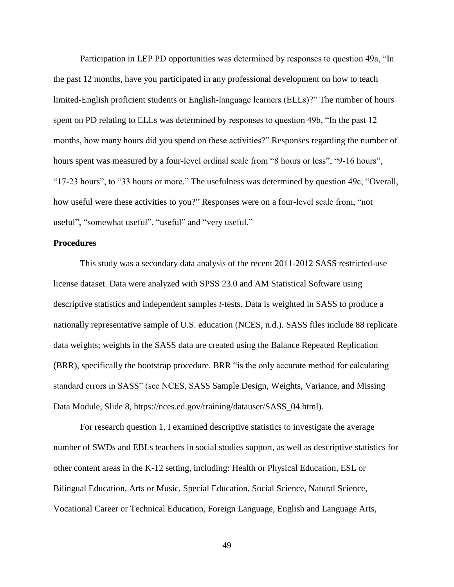Participation in LEP PD opportunities was determined by responses to question 49a, "In the past 12 months, have you participated in any professional development on how to teach limited-English proficient students or English-language learners (ELLs)?" The number of hours spent on PD relating to ELLs was determined by responses to question 49b, "In the past 12 months, how many hours did you spend on these activities?" Responses regarding the number of hours spent was measured by a four-level ordinal scale from "8 hours or less", "9-16 hours", "17-23 hours", to "33 hours or more." The usefulness was determined by question 49c, "Overall, how useful were these activities to you?" Responses were on a four-level scale from, "not useful", "somewhat useful", "useful" and "very useful."

#### **Procedures**

This study was a secondary data analysis of the recent 2011-2012 SASS restricted-use license dataset. Data were analyzed with SPSS 23.0 and AM Statistical Software using descriptive statistics and independent samples *t*-tests. Data is weighted in SASS to produce a nationally representative sample of U.S. education (NCES, n.d.). SASS files include 88 replicate data weights; weights in the SASS data are created using the Balance Repeated Replication (BRR), specifically the bootstrap procedure. BRR "is the only accurate method for calculating standard errors in SASS" (see NCES, SASS Sample Design, Weights, Variance, and Missing Data Module, Slide 8, https://nces.ed.gov/training/datauser/SASS\_04.html).

For research question 1, I examined descriptive statistics to investigate the average number of SWDs and EBLs teachers in social studies support, as well as descriptive statistics for other content areas in the K-12 setting, including: Health or Physical Education, ESL or Bilingual Education, Arts or Music, Special Education, Social Science, Natural Science, Vocational Career or Technical Education, Foreign Language, English and Language Arts,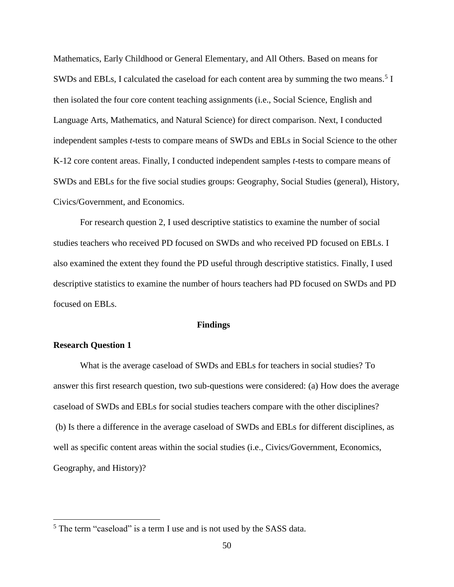Mathematics, Early Childhood or General Elementary, and All Others. Based on means for SWDs and EBLs, I calculated the caseload for each content area by summing the two means.<sup>5</sup> I then isolated the four core content teaching assignments (i.e., Social Science, English and Language Arts, Mathematics, and Natural Science) for direct comparison. Next, I conducted independent samples *t*-tests to compare means of SWDs and EBLs in Social Science to the other K-12 core content areas. Finally, I conducted independent samples *t*-tests to compare means of SWDs and EBLs for the five social studies groups: Geography, Social Studies (general), History, Civics/Government, and Economics.

For research question 2, I used descriptive statistics to examine the number of social studies teachers who received PD focused on SWDs and who received PD focused on EBLs. I also examined the extent they found the PD useful through descriptive statistics. Finally, I used descriptive statistics to examine the number of hours teachers had PD focused on SWDs and PD focused on EBLs.

## **Findings**

## **Research Question 1**

 $\overline{\phantom{a}}$ 

What is the average caseload of SWDs and EBLs for teachers in social studies? To answer this first research question, two sub-questions were considered: (a) How does the average caseload of SWDs and EBLs for social studies teachers compare with the other disciplines? (b) Is there a difference in the average caseload of SWDs and EBLs for different disciplines, as well as specific content areas within the social studies (i.e., Civics/Government, Economics, Geography, and History)?

<sup>&</sup>lt;sup>5</sup> The term "caseload" is a term I use and is not used by the SASS data.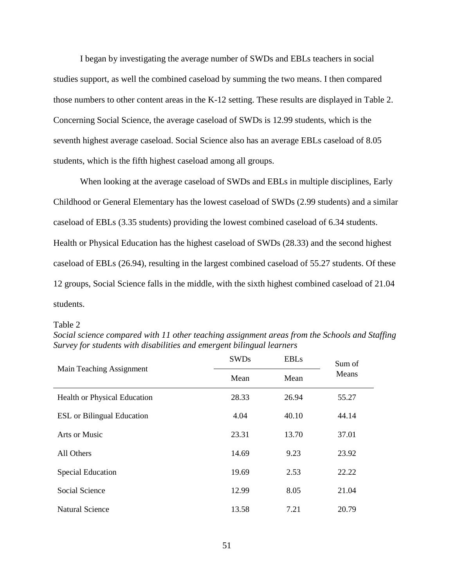I began by investigating the average number of SWDs and EBLs teachers in social studies support, as well the combined caseload by summing the two means. I then compared those numbers to other content areas in the K-12 setting. These results are displayed in Table 2. Concerning Social Science, the average caseload of SWDs is 12.99 students, which is the seventh highest average caseload. Social Science also has an average EBLs caseload of 8.05 students, which is the fifth highest caseload among all groups.

When looking at the average caseload of SWDs and EBLs in multiple disciplines, Early Childhood or General Elementary has the lowest caseload of SWDs (2.99 students) and a similar caseload of EBLs (3.35 students) providing the lowest combined caseload of 6.34 students. Health or Physical Education has the highest caseload of SWDs (28.33) and the second highest caseload of EBLs (26.94), resulting in the largest combined caseload of 55.27 students. Of these 12 groups, Social Science falls in the middle, with the sixth highest combined caseload of 21.04 students.

|                                     | <b>SWDs</b> | <b>EBLs</b> | Sum of |
|-------------------------------------|-------------|-------------|--------|
| Main Teaching Assignment            | Mean        | Mean        | Means  |
| <b>Health or Physical Education</b> | 28.33       | 26.94       | 55.27  |
| <b>ESL</b> or Bilingual Education   | 4.04        | 40.10       | 44.14  |
| Arts or Music                       | 23.31       | 13.70       | 37.01  |
| All Others                          | 14.69       | 9.23        | 23.92  |
| <b>Special Education</b>            | 19.69       | 2.53        | 22.22  |
| Social Science                      | 12.99       | 8.05        | 21.04  |
| <b>Natural Science</b>              | 13.58       | 7.21        | 20.79  |

*Social science compared with 11 other teaching assignment areas from the Schools and Staffing Survey for students with disabilities and emergent bilingual learners*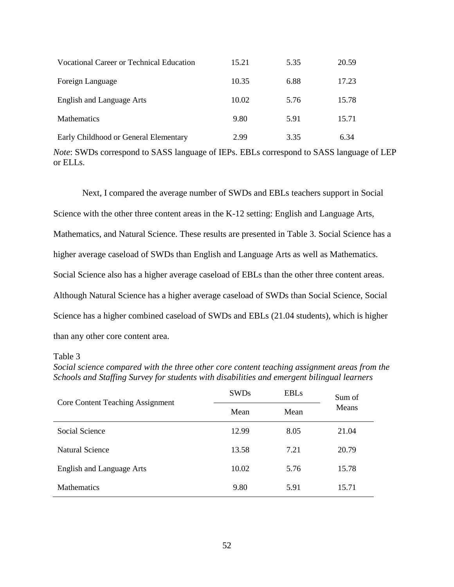| Vocational Career or Technical Education | 15.21 | 5.35 | 20.59 |
|------------------------------------------|-------|------|-------|
| Foreign Language                         | 10.35 | 6.88 | 17.23 |
| English and Language Arts                | 10.02 | 5.76 | 15.78 |
| <b>Mathematics</b>                       | 9.80  | 5.91 | 15.71 |
| Early Childhood or General Elementary    | 2.99  | 3.35 | 6.34  |

*Note*: SWDs correspond to SASS language of IEPs. EBLs correspond to SASS language of LEP or ELLs.

Next, I compared the average number of SWDs and EBLs teachers support in Social Science with the other three content areas in the K-12 setting: English and Language Arts, Mathematics, and Natural Science. These results are presented in Table 3. Social Science has a higher average caseload of SWDs than English and Language Arts as well as Mathematics. Social Science also has a higher average caseload of EBLs than the other three content areas. Although Natural Science has a higher average caseload of SWDs than Social Science, Social Science has a higher combined caseload of SWDs and EBLs (21.04 students), which is higher than any other core content area.

*Social science compared with the three other core content teaching assignment areas from the Schools and Staffing Survey for students with disabilities and emergent bilingual learners*

| <b>Core Content Teaching Assignment</b> | <b>SWDs</b> | <b>EBLs</b> | Sum of |  |
|-----------------------------------------|-------------|-------------|--------|--|
|                                         | Mean        | Mean        | Means  |  |
| Social Science                          | 12.99       | 8.05        | 21.04  |  |
| Natural Science                         | 13.58       | 7.21        | 20.79  |  |
| <b>English and Language Arts</b>        | 10.02       | 5.76        | 15.78  |  |
| <b>Mathematics</b>                      | 9.80        | 5.91        | 15.71  |  |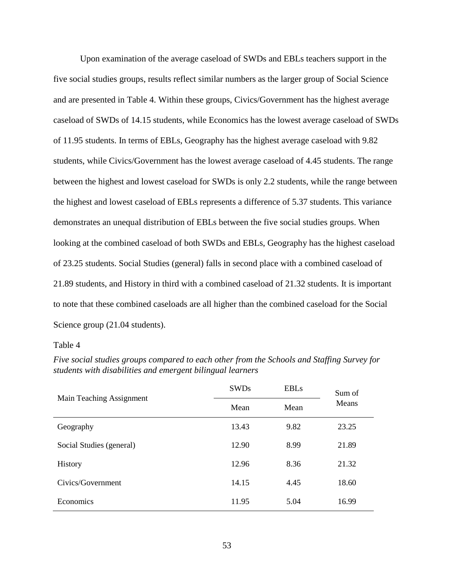Upon examination of the average caseload of SWDs and EBLs teachers support in the five social studies groups, results reflect similar numbers as the larger group of Social Science and are presented in Table 4. Within these groups, Civics/Government has the highest average caseload of SWDs of 14.15 students, while Economics has the lowest average caseload of SWDs of 11.95 students. In terms of EBLs, Geography has the highest average caseload with 9.82 students, while Civics/Government has the lowest average caseload of 4.45 students. The range between the highest and lowest caseload for SWDs is only 2.2 students, while the range between the highest and lowest caseload of EBLs represents a difference of 5.37 students. This variance demonstrates an unequal distribution of EBLs between the five social studies groups. When looking at the combined caseload of both SWDs and EBLs, Geography has the highest caseload of 23.25 students. Social Studies (general) falls in second place with a combined caseload of 21.89 students, and History in third with a combined caseload of 21.32 students. It is important to note that these combined caseloads are all higher than the combined caseload for the Social Science group (21.04 students).

| Main Teaching Assignment | <b>SWDs</b> | <b>EBLs</b> | Sum of |
|--------------------------|-------------|-------------|--------|
|                          | Mean        | Mean        | Means  |
| Geography                | 13.43       | 9.82        | 23.25  |
| Social Studies (general) | 12.90       | 8.99        | 21.89  |
| History                  | 12.96       | 8.36        | 21.32  |
| Civics/Government        | 14.15       | 4.45        | 18.60  |
| Economics                | 11.95       | 5.04        | 16.99  |

*Five social studies groups compared to each other from the Schools and Staffing Survey for students with disabilities and emergent bilingual learners*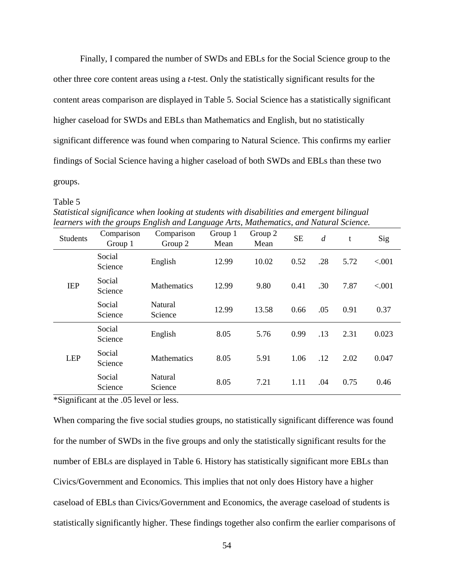Finally, I compared the number of SWDs and EBLs for the Social Science group to the other three core content areas using a *t*-test. Only the statistically significant results for the content areas comparison are displayed in Table 5. Social Science has a statistically significant higher caseload for SWDs and EBLs than Mathematics and English, but no statistically significant difference was found when comparing to Natural Science. This confirms my earlier findings of Social Science having a higher caseload of both SWDs and EBLs than these two groups.

#### Table 5

| <b>Students</b> | Comparison<br>Group 1 | Comparison<br>Group 2 | Group 1<br>Mean | Group 2<br>Mean | <b>SE</b> | $\overline{d}$ | t    | Sig    |
|-----------------|-----------------------|-----------------------|-----------------|-----------------|-----------|----------------|------|--------|
|                 | Social<br>Science     | English               | 12.99           | 10.02           | 0.52      | .28            | 5.72 | < .001 |
| <b>IEP</b>      | Social<br>Science     | <b>Mathematics</b>    | 12.99           | 9.80            | 0.41      | .30            | 7.87 | < .001 |
|                 | Social<br>Science     | Natural<br>Science    | 12.99           | 13.58           | 0.66      | .05            | 0.91 | 0.37   |
|                 | Social<br>Science     | English               | 8.05            | 5.76            | 0.99      | .13            | 2.31 | 0.023  |
| <b>LEP</b>      | Social<br>Science     | <b>Mathematics</b>    | 8.05            | 5.91            | 1.06      | .12            | 2.02 | 0.047  |
|                 | Social<br>Science     | Natural<br>Science    | 8.05            | 7.21            | 1.11      | .04            | 0.75 | 0.46   |

*Statistical significance when looking at students with disabilities and emergent bilingual learners with the groups English and Language Arts, Mathematics, and Natural Science.*

\*Significant at the .05 level or less.

When comparing the five social studies groups, no statistically significant difference was found for the number of SWDs in the five groups and only the statistically significant results for the number of EBLs are displayed in Table 6. History has statistically significant more EBLs than Civics/Government and Economics. This implies that not only does History have a higher caseload of EBLs than Civics/Government and Economics, the average caseload of students is statistically significantly higher. These findings together also confirm the earlier comparisons of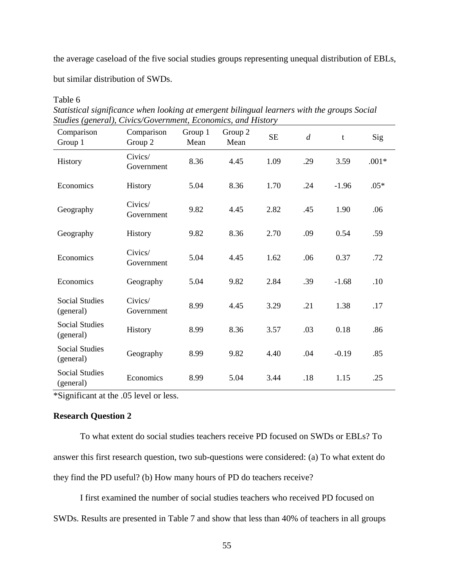the average caseload of the five social studies groups representing unequal distribution of EBLs,

but similar distribution of SWDs.

Table 6

| Comparison<br>Group 1              | Comparison<br>Group 2 | Group 1<br>Mean | Group 2<br>Mean | <b>SE</b> | $\overline{d}$ | t       | Sig     |
|------------------------------------|-----------------------|-----------------|-----------------|-----------|----------------|---------|---------|
| History                            | Civics/<br>Government | 8.36            | 4.45            | 1.09      | .29            | 3.59    | $.001*$ |
| Economics                          | History               | 5.04            | 8.36            | 1.70      | .24            | $-1.96$ | $.05*$  |
| Geography                          | Civics/<br>Government | 9.82            | 4.45            | 2.82      | .45            | 1.90    | .06     |
| Geography                          | History               | 9.82            | 8.36            | 2.70      | .09            | 0.54    | .59     |
| Economics                          | Civics/<br>Government | 5.04            | 4.45            | 1.62      | .06            | 0.37    | .72     |
| Economics                          | Geography             | 5.04            | 9.82            | 2.84      | .39            | $-1.68$ | .10     |
| <b>Social Studies</b><br>(general) | Civics/<br>Government | 8.99            | 4.45            | 3.29      | .21            | 1.38    | .17     |
| <b>Social Studies</b><br>(general) | History               | 8.99            | 8.36            | 3.57      | .03            | 0.18    | .86     |
| <b>Social Studies</b><br>(general) | Geography             | 8.99            | 9.82            | 4.40      | .04            | $-0.19$ | .85     |
| <b>Social Studies</b><br>(general) | Economics             | 8.99            | 5.04            | 3.44      | .18            | 1.15    | .25     |

*Statistical significance when looking at emergent bilingual learners with the groups Social Studies (general), Civics/Government, Economics, and History* 

\*Significant at the .05 level or less.

## **Research Question 2**

To what extent do social studies teachers receive PD focused on SWDs or EBLs? To answer this first research question, two sub-questions were considered: (a) To what extent do they find the PD useful? (b) How many hours of PD do teachers receive?

I first examined the number of social studies teachers who received PD focused on SWDs. Results are presented in Table 7 and show that less than 40% of teachers in all groups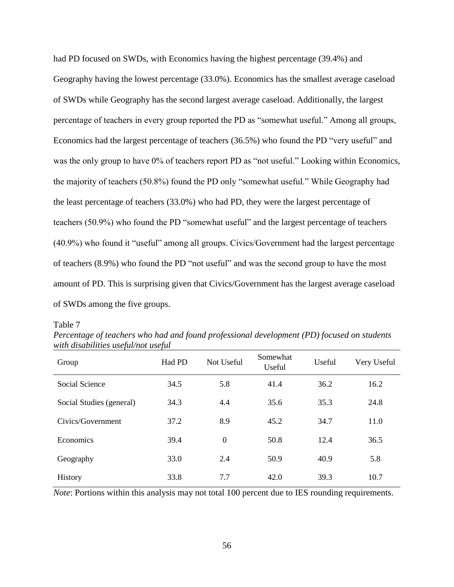had PD focused on SWDs, with Economics having the highest percentage (39.4%) and Geography having the lowest percentage (33.0%). Economics has the smallest average caseload of SWDs while Geography has the second largest average caseload. Additionally, the largest percentage of teachers in every group reported the PD as "somewhat useful." Among all groups, Economics had the largest percentage of teachers (36.5%) who found the PD "very useful" and was the only group to have 0% of teachers report PD as "not useful." Looking within Economics, the majority of teachers (50.8%) found the PD only "somewhat useful." While Geography had the least percentage of teachers (33.0%) who had PD, they were the largest percentage of teachers (50.9%) who found the PD "somewhat useful" and the largest percentage of teachers (40.9%) who found it "useful" among all groups. Civics/Government had the largest percentage of teachers (8.9%) who found the PD "not useful" and was the second group to have the most amount of PD. This is surprising given that Civics/Government has the largest average caseload of SWDs among the five groups.

Table 7

Group Had PD Not Useful Somewhat Somewhat<br>Useful Useful Very Useful Social Science  $\begin{array}{cccc} 34.5 & 5.8 & 41.4 & 36.2 & 16.2 \end{array}$ Social Studies (general) 34.3 4.4 35.6 35.3 24.8 Civics/Government 37.2 8.9 45.2 34.7 11.0 Economics 39.4 0 50.8 12.4 36.5 Geography 33.0 2.4 50.9 40.9 5.8 History 33.8 7.7 42.0 39.3 10.7

*Percentage of teachers who had and found professional development (PD) focused on students with disabilities useful/not useful*

*Note*: Portions within this analysis may not total 100 percent due to IES rounding requirements.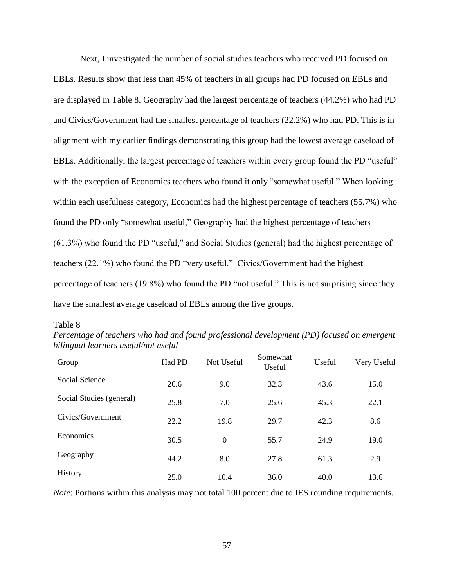Next, I investigated the number of social studies teachers who received PD focused on EBLs. Results show that less than 45% of teachers in all groups had PD focused on EBLs and are displayed in Table 8. Geography had the largest percentage of teachers (44.2%) who had PD and Civics/Government had the smallest percentage of teachers (22.2%) who had PD. This is in alignment with my earlier findings demonstrating this group had the lowest average caseload of EBLs. Additionally, the largest percentage of teachers within every group found the PD "useful" with the exception of Economics teachers who found it only "somewhat useful." When looking within each usefulness category, Economics had the highest percentage of teachers (55.7%) who found the PD only "somewhat useful," Geography had the highest percentage of teachers (61.3%) who found the PD "useful," and Social Studies (general) had the highest percentage of teachers (22.1%) who found the PD "very useful." Civics/Government had the highest percentage of teachers (19.8%) who found the PD "not useful." This is not surprising since they have the smallest average caseload of EBLs among the five groups.

Table 8

| <i>ouunguut teurners usefuunot usefut</i> |        |            |                    |        |             |  |  |  |
|-------------------------------------------|--------|------------|--------------------|--------|-------------|--|--|--|
| Group                                     | Had PD | Not Useful | Somewhat<br>Useful | Useful | Very Useful |  |  |  |
| Social Science                            | 26.6   | 9.0        | 32.3               | 43.6   | 15.0        |  |  |  |
| Social Studies (general)                  | 25.8   | 7.0        | 25.6               | 45.3   | 22.1        |  |  |  |
| Civics/Government                         | 22.2   | 19.8       | 29.7               | 42.3   | 8.6         |  |  |  |
| Economics                                 | 30.5   | $\theta$   | 55.7               | 24.9   | 19.0        |  |  |  |
| Geography                                 | 44.2   | 8.0        | 27.8               | 61.3   | 2.9         |  |  |  |
| History                                   | 25.0   | 10.4       | 36.0               | 40.0   | 13.6        |  |  |  |
|                                           |        |            |                    |        |             |  |  |  |

*Percentage of teachers who had and found professional development (PD) focused on emergent bilingual learners useful/not useful*

*Note*: Portions within this analysis may not total 100 percent due to IES rounding requirements.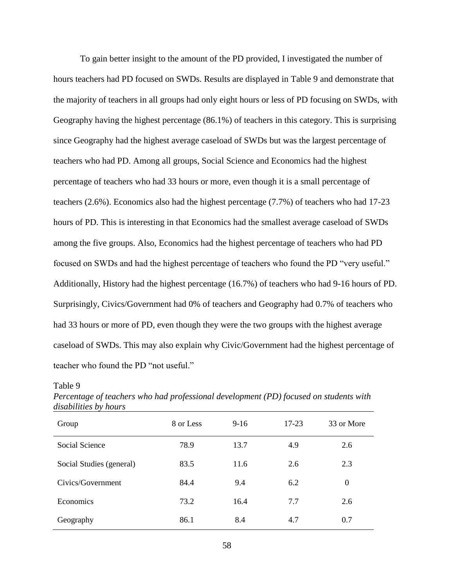To gain better insight to the amount of the PD provided, I investigated the number of hours teachers had PD focused on SWDs. Results are displayed in Table 9 and demonstrate that the majority of teachers in all groups had only eight hours or less of PD focusing on SWDs, with Geography having the highest percentage (86.1%) of teachers in this category. This is surprising since Geography had the highest average caseload of SWDs but was the largest percentage of teachers who had PD. Among all groups, Social Science and Economics had the highest percentage of teachers who had 33 hours or more, even though it is a small percentage of teachers (2.6%). Economics also had the highest percentage (7.7%) of teachers who had 17-23 hours of PD. This is interesting in that Economics had the smallest average caseload of SWDs among the five groups. Also, Economics had the highest percentage of teachers who had PD focused on SWDs and had the highest percentage of teachers who found the PD "very useful." Additionally, History had the highest percentage (16.7%) of teachers who had 9-16 hours of PD. Surprisingly, Civics/Government had 0% of teachers and Geography had 0.7% of teachers who had 33 hours or more of PD, even though they were the two groups with the highest average caseload of SWDs. This may also explain why Civic/Government had the highest percentage of teacher who found the PD "not useful."

| $\mu$ isubtititus b $\mu$ nomis |           |        |       |                  |
|---------------------------------|-----------|--------|-------|------------------|
| Group                           | 8 or Less | $9-16$ | 17-23 | 33 or More       |
| Social Science                  | 78.9      | 13.7   | 4.9   | 2.6              |
| Social Studies (general)        | 83.5      | 11.6   | 2.6   | 2.3              |
| Civics/Government               | 84.4      | 9.4    | 6.2   | $\boldsymbol{0}$ |
| Economics                       | 73.2      | 16.4   | 7.7   | 2.6              |
| Geography                       | 86.1      | 8.4    | 4.7   | 0.7              |

*Percentage of teachers who had professional development (PD) focused on students with disabilities by hours*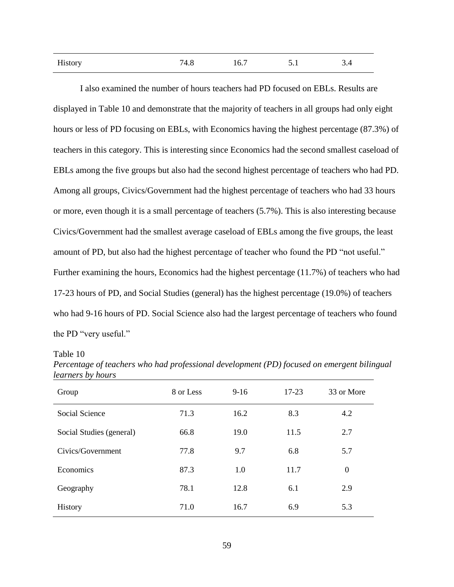| History | 74.8 | 16.7 | 5.1 | 3.4 |
|---------|------|------|-----|-----|
|         |      |      |     |     |

I also examined the number of hours teachers had PD focused on EBLs. Results are displayed in Table 10 and demonstrate that the majority of teachers in all groups had only eight hours or less of PD focusing on EBLs, with Economics having the highest percentage (87.3%) of teachers in this category. This is interesting since Economics had the second smallest caseload of EBLs among the five groups but also had the second highest percentage of teachers who had PD. Among all groups, Civics/Government had the highest percentage of teachers who had 33 hours or more, even though it is a small percentage of teachers (5.7%). This is also interesting because Civics/Government had the smallest average caseload of EBLs among the five groups, the least amount of PD, but also had the highest percentage of teacher who found the PD "not useful." Further examining the hours, Economics had the highest percentage (11.7%) of teachers who had 17-23 hours of PD, and Social Studies (general) has the highest percentage (19.0%) of teachers who had 9-16 hours of PD. Social Science also had the largest percentage of teachers who found the PD "very useful."

| Group                    | 8 or Less | $9-16$ | 17-23 | 33 or More |
|--------------------------|-----------|--------|-------|------------|
| Social Science           | 71.3      | 16.2   | 8.3   | 4.2        |
| Social Studies (general) | 66.8      | 19.0   | 11.5  | 2.7        |
| Civics/Government        | 77.8      | 9.7    | 6.8   | 5.7        |
| Economics                | 87.3      | 1.0    | 11.7  | $\theta$   |
| Geography                | 78.1      | 12.8   | 6.1   | 2.9        |
| History                  | 71.0      | 16.7   | 6.9   | 5.3        |

*Percentage of teachers who had professional development (PD) focused on emergent bilingual learners by hours*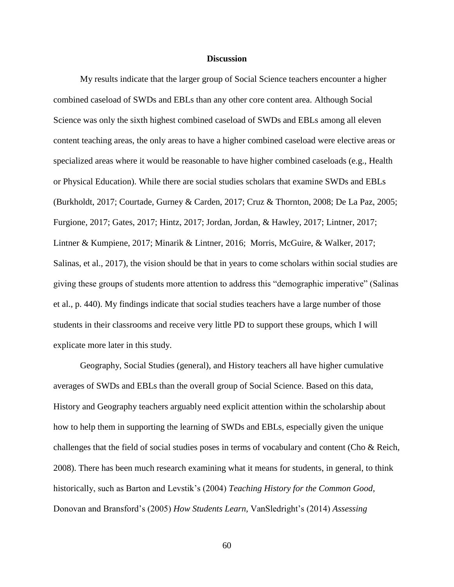## **Discussion**

My results indicate that the larger group of Social Science teachers encounter a higher combined caseload of SWDs and EBLs than any other core content area. Although Social Science was only the sixth highest combined caseload of SWDs and EBLs among all eleven content teaching areas, the only areas to have a higher combined caseload were elective areas or specialized areas where it would be reasonable to have higher combined caseloads (e.g., Health or Physical Education). While there are social studies scholars that examine SWDs and EBLs (Burkholdt, 2017; Courtade, Gurney & Carden, 2017; Cruz & Thornton, 2008; De La Paz, 2005; Furgione, 2017; Gates, 2017; Hintz, 2017; Jordan, Jordan, & Hawley, 2017; Lintner, 2017; Lintner & Kumpiene, 2017; Minarik & Lintner, 2016; Morris, McGuire, & Walker, 2017; Salinas, et al., 2017), the vision should be that in years to come scholars within social studies are giving these groups of students more attention to address this "demographic imperative" (Salinas et al., p. 440). My findings indicate that social studies teachers have a large number of those students in their classrooms and receive very little PD to support these groups, which I will explicate more later in this study.

Geography, Social Studies (general), and History teachers all have higher cumulative averages of SWDs and EBLs than the overall group of Social Science. Based on this data, History and Geography teachers arguably need explicit attention within the scholarship about how to help them in supporting the learning of SWDs and EBLs, especially given the unique challenges that the field of social studies poses in terms of vocabulary and content (Cho & Reich, 2008). There has been much research examining what it means for students, in general, to think historically, such as Barton and Levstik's (2004) *Teaching History for the Common Good,*  Donovan and Bransford's (2005) *How Students Learn,* VanSledright's (2014) *Assessing*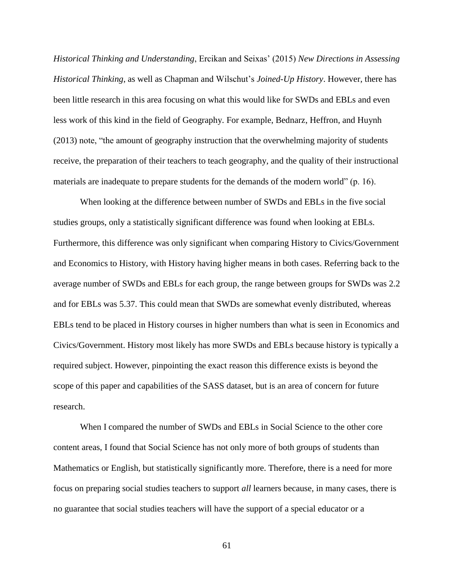*Historical Thinking and Understanding*, Ercikan and Seixas' (2015) *New Directions in Assessing Historical Thinking*, as well as Chapman and Wilschut's *Joined-Up History*. However, there has been little research in this area focusing on what this would like for SWDs and EBLs and even less work of this kind in the field of Geography. For example, Bednarz, Heffron, and Huynh (2013) note, "the amount of geography instruction that the overwhelming majority of students receive, the preparation of their teachers to teach geography, and the quality of their instructional materials are inadequate to prepare students for the demands of the modern world" (p. 16).

When looking at the difference between number of SWDs and EBLs in the five social studies groups, only a statistically significant difference was found when looking at EBLs. Furthermore, this difference was only significant when comparing History to Civics/Government and Economics to History, with History having higher means in both cases. Referring back to the average number of SWDs and EBLs for each group, the range between groups for SWDs was 2.2 and for EBLs was 5.37. This could mean that SWDs are somewhat evenly distributed, whereas EBLs tend to be placed in History courses in higher numbers than what is seen in Economics and Civics/Government. History most likely has more SWDs and EBLs because history is typically a required subject. However, pinpointing the exact reason this difference exists is beyond the scope of this paper and capabilities of the SASS dataset, but is an area of concern for future research.

When I compared the number of SWDs and EBLs in Social Science to the other core content areas, I found that Social Science has not only more of both groups of students than Mathematics or English, but statistically significantly more. Therefore, there is a need for more focus on preparing social studies teachers to support *all* learners because, in many cases, there is no guarantee that social studies teachers will have the support of a special educator or a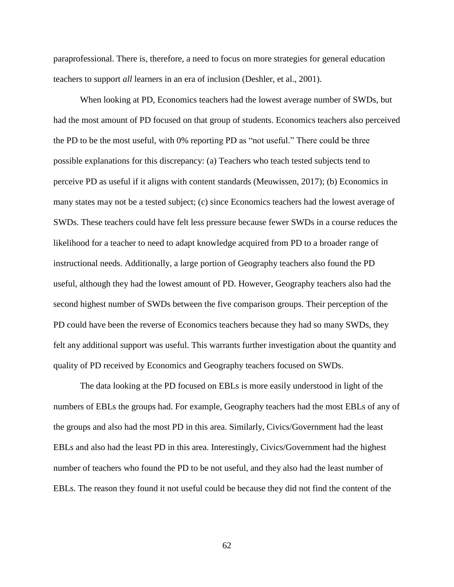paraprofessional. There is, therefore, a need to focus on more strategies for general education teachers to support *all* learners in an era of inclusion (Deshler, et al., 2001).

When looking at PD, Economics teachers had the lowest average number of SWDs, but had the most amount of PD focused on that group of students. Economics teachers also perceived the PD to be the most useful, with 0% reporting PD as "not useful." There could be three possible explanations for this discrepancy: (a) Teachers who teach tested subjects tend to perceive PD as useful if it aligns with content standards (Meuwissen, 2017); (b) Economics in many states may not be a tested subject; (c) since Economics teachers had the lowest average of SWDs. These teachers could have felt less pressure because fewer SWDs in a course reduces the likelihood for a teacher to need to adapt knowledge acquired from PD to a broader range of instructional needs. Additionally, a large portion of Geography teachers also found the PD useful, although they had the lowest amount of PD. However, Geography teachers also had the second highest number of SWDs between the five comparison groups. Their perception of the PD could have been the reverse of Economics teachers because they had so many SWDs, they felt any additional support was useful. This warrants further investigation about the quantity and quality of PD received by Economics and Geography teachers focused on SWDs.

The data looking at the PD focused on EBLs is more easily understood in light of the numbers of EBLs the groups had. For example, Geography teachers had the most EBLs of any of the groups and also had the most PD in this area. Similarly, Civics/Government had the least EBLs and also had the least PD in this area. Interestingly, Civics/Government had the highest number of teachers who found the PD to be not useful, and they also had the least number of EBLs. The reason they found it not useful could be because they did not find the content of the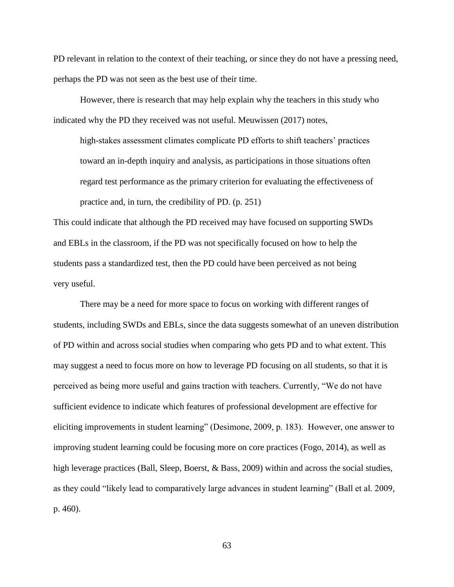PD relevant in relation to the context of their teaching, or since they do not have a pressing need, perhaps the PD was not seen as the best use of their time.

However, there is research that may help explain why the teachers in this study who indicated why the PD they received was not useful. Meuwissen (2017) notes,

high-stakes assessment climates complicate PD efforts to shift teachers' practices toward an in-depth inquiry and analysis, as participations in those situations often regard test performance as the primary criterion for evaluating the effectiveness of practice and, in turn, the credibility of PD. (p. 251)

This could indicate that although the PD received may have focused on supporting SWDs and EBLs in the classroom, if the PD was not specifically focused on how to help the students pass a standardized test, then the PD could have been perceived as not being very useful.

There may be a need for more space to focus on working with different ranges of students, including SWDs and EBLs, since the data suggests somewhat of an uneven distribution of PD within and across social studies when comparing who gets PD and to what extent. This may suggest a need to focus more on how to leverage PD focusing on all students, so that it is perceived as being more useful and gains traction with teachers. Currently, "We do not have sufficient evidence to indicate which features of professional development are effective for eliciting improvements in student learning" (Desimone, 2009, p. 183). However, one answer to improving student learning could be focusing more on core practices (Fogo, 2014), as well as high leverage practices (Ball, Sleep, Boerst, & Bass, 2009) within and across the social studies, as they could "likely lead to comparatively large advances in student learning" (Ball et al. 2009, p. 460).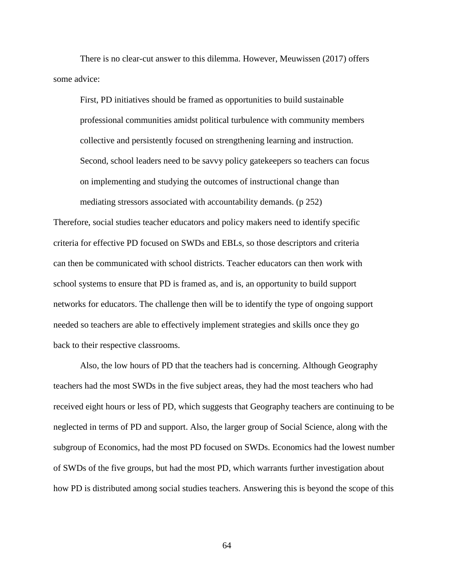There is no clear-cut answer to this dilemma. However, Meuwissen (2017) offers some advice:

First, PD initiatives should be framed as opportunities to build sustainable professional communities amidst political turbulence with community members collective and persistently focused on strengthening learning and instruction. Second, school leaders need to be savvy policy gatekeepers so teachers can focus on implementing and studying the outcomes of instructional change than mediating stressors associated with accountability demands. (p 252)

Therefore, social studies teacher educators and policy makers need to identify specific criteria for effective PD focused on SWDs and EBLs, so those descriptors and criteria can then be communicated with school districts. Teacher educators can then work with school systems to ensure that PD is framed as, and is, an opportunity to build support networks for educators. The challenge then will be to identify the type of ongoing support needed so teachers are able to effectively implement strategies and skills once they go back to their respective classrooms.

Also, the low hours of PD that the teachers had is concerning. Although Geography teachers had the most SWDs in the five subject areas, they had the most teachers who had received eight hours or less of PD, which suggests that Geography teachers are continuing to be neglected in terms of PD and support. Also, the larger group of Social Science, along with the subgroup of Economics, had the most PD focused on SWDs. Economics had the lowest number of SWDs of the five groups, but had the most PD, which warrants further investigation about how PD is distributed among social studies teachers. Answering this is beyond the scope of this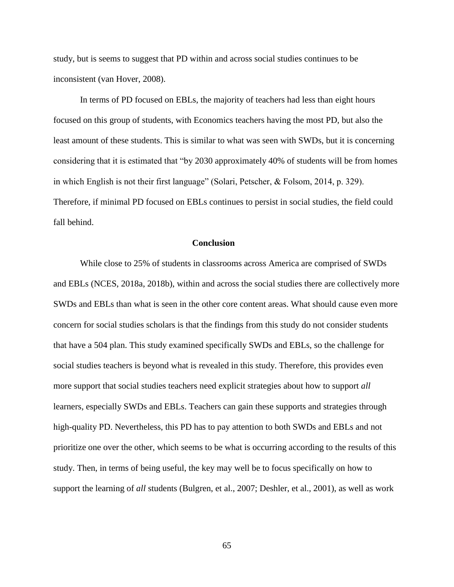study, but is seems to suggest that PD within and across social studies continues to be inconsistent (van Hover, 2008).

In terms of PD focused on EBLs, the majority of teachers had less than eight hours focused on this group of students, with Economics teachers having the most PD, but also the least amount of these students. This is similar to what was seen with SWDs, but it is concerning considering that it is estimated that "by 2030 approximately 40% of students will be from homes in which English is not their first language" (Solari, Petscher, & Folsom, 2014, p. 329). Therefore, if minimal PD focused on EBLs continues to persist in social studies, the field could fall behind.

## **Conclusion**

While close to 25% of students in classrooms across America are comprised of SWDs and EBLs (NCES, 2018a, 2018b), within and across the social studies there are collectively more SWDs and EBLs than what is seen in the other core content areas. What should cause even more concern for social studies scholars is that the findings from this study do not consider students that have a 504 plan. This study examined specifically SWDs and EBLs, so the challenge for social studies teachers is beyond what is revealed in this study. Therefore, this provides even more support that social studies teachers need explicit strategies about how to support *all*  learners, especially SWDs and EBLs. Teachers can gain these supports and strategies through high-quality PD. Nevertheless, this PD has to pay attention to both SWDs and EBLs and not prioritize one over the other, which seems to be what is occurring according to the results of this study. Then, in terms of being useful, the key may well be to focus specifically on how to support the learning of *all* students (Bulgren, et al., 2007; Deshler, et al., 2001), as well as work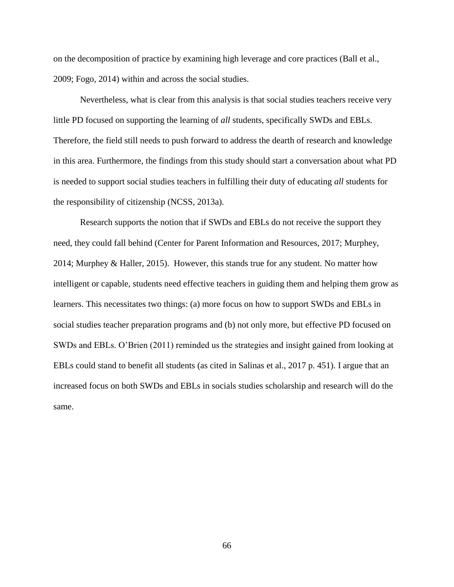on the decomposition of practice by examining high leverage and core practices (Ball et al., 2009; Fogo, 2014) within and across the social studies.

Nevertheless, what is clear from this analysis is that social studies teachers receive very little PD focused on supporting the learning of *all* students, specifically SWDs and EBLs. Therefore, the field still needs to push forward to address the dearth of research and knowledge in this area. Furthermore, the findings from this study should start a conversation about what PD is needed to support social studies teachers in fulfilling their duty of educating *all* students for the responsibility of citizenship (NCSS, 2013a).

Research supports the notion that if SWDs and EBLs do not receive the support they need, they could fall behind (Center for Parent Information and Resources, 2017; Murphey, 2014; Murphey & Haller, 2015). However, this stands true for any student. No matter how intelligent or capable, students need effective teachers in guiding them and helping them grow as learners. This necessitates two things: (a) more focus on how to support SWDs and EBLs in social studies teacher preparation programs and (b) not only more, but effective PD focused on SWDs and EBLs. O'Brien (2011) reminded us the strategies and insight gained from looking at EBLs could stand to benefit all students (as cited in Salinas et al., 2017 p. 451). I argue that an increased focus on both SWDs and EBLs in socials studies scholarship and research will do the same.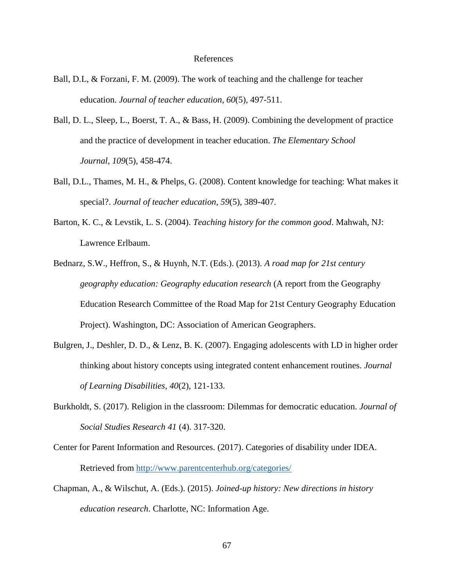### References

- Ball, D.L, & Forzani, F. M. (2009). The work of teaching and the challenge for teacher education. *Journal of teacher education*, *60*(5), 497-511.
- Ball, D. L., Sleep, L., Boerst, T. A., & Bass, H. (2009). Combining the development of practice and the practice of development in teacher education. *The Elementary School Journal*, *109*(5), 458-474.
- Ball, D.L., Thames, M. H., & Phelps, G. (2008). Content knowledge for teaching: What makes it special?. *Journal of teacher education*, *59*(5), 389-407.
- Barton, K. C., & Levstik, L. S. (2004). *Teaching history for the common good*. Mahwah, NJ: Lawrence Erlbaum.
- Bednarz, S.W., Heffron, S., & Huynh, N.T. (Eds.). (2013). *A road map for 21st century geography education: Geography education research* (A report from the Geography Education Research Committee of the Road Map for 21st Century Geography Education Project). Washington, DC: Association of American Geographers.
- Bulgren, J., Deshler, D. D., & Lenz, B. K. (2007). Engaging adolescents with LD in higher order thinking about history concepts using integrated content enhancement routines. *Journal of Learning Disabilities*, *40*(2), 121-133.
- Burkholdt, S. (2017). Religion in the classroom: Dilemmas for democratic education. *Journal of Social Studies Research 41* (4). 317-320.
- Center for Parent Information and Resources. (2017). Categories of disability under IDEA. Retrieved from<http://www.parentcenterhub.org/categories/>
- Chapman, A., & Wilschut, A. (Eds.). (2015). *Joined-up history: New directions in history education research*. Charlotte, NC: Information Age.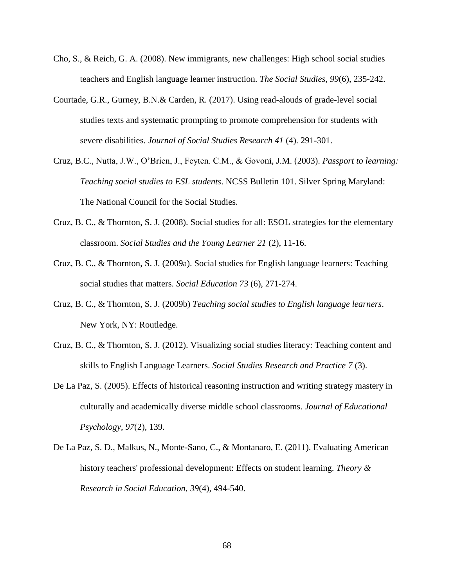- Cho, S., & Reich, G. A. (2008). New immigrants, new challenges: High school social studies teachers and English language learner instruction. *The Social Studies*, *99*(6), 235-242.
- Courtade, G.R., Gurney, B.N.& Carden, R. (2017). Using read-alouds of grade-level social studies texts and systematic prompting to promote comprehension for students with severe disabilities. *Journal of Social Studies Research 41* (4). 291-301.
- Cruz, B.C., Nutta, J.W., O'Brien, J., Feyten. C.M., & Govoni, J.M. (2003). *Passport to learning: Teaching social studies to ESL students*. NCSS Bulletin 101. Silver Spring Maryland: The National Council for the Social Studies.
- Cruz, B. C., & Thornton, S. J. (2008). Social studies for all: ESOL strategies for the elementary classroom. *Social Studies and the Young Learner 21* (2), 11-16.
- Cruz, B. C., & Thornton, S. J. (2009a). Social studies for English language learners: Teaching social studies that matters. *Social Education 73* (6), 271-274.
- Cruz, B. C., & Thornton, S. J. (2009b) *Teaching social studies to English language learners*. New York, NY: Routledge.
- Cruz, B. C., & Thornton, S. J. (2012). Visualizing social studies literacy: Teaching content and skills to English Language Learners. *Social Studies Research and Practice 7* (3).
- De La Paz, S. (2005). Effects of historical reasoning instruction and writing strategy mastery in culturally and academically diverse middle school classrooms. *Journal of Educational Psychology*, *97*(2), 139.
- De La Paz, S. D., Malkus, N., Monte-Sano, C., & Montanaro, E. (2011). Evaluating American history teachers' professional development: Effects on student learning. *Theory & Research in Social Education*, *39*(4), 494-540.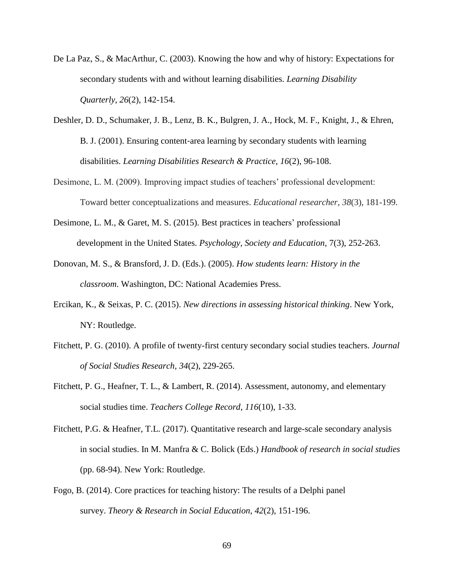- De La Paz, S., & MacArthur, C. (2003). Knowing the how and why of history: Expectations for secondary students with and without learning disabilities. *Learning Disability Quarterly*, *26*(2), 142-154.
- Deshler, D. D., Schumaker, J. B., Lenz, B. K., Bulgren, J. A., Hock, M. F., Knight, J., & Ehren, B. J. (2001). Ensuring content‐area learning by secondary students with learning disabilities. *Learning Disabilities Research & Practice*, *16*(2), 96-108.
- Desimone, L. M. (2009). Improving impact studies of teachers' professional development: Toward better conceptualizations and measures. *Educational researcher*, *38*(3), 181-199.
- Desimone, L. M., & Garet, M. S. (2015). Best practices in teachers' professional development in the United States. *Psychology, Society and Education,* 7(3), 252-263.
- Donovan, M. S., & Bransford, J. D. (Eds.). (2005). *How students learn: History in the classroom*. Washington, DC: National Academies Press.
- Ercikan, K., & Seixas, P. C. (2015). *New directions in assessing historical thinking*. New York, NY: Routledge.
- Fitchett, P. G. (2010). A profile of twenty-first century secondary social studies teachers. *Journal of Social Studies Research, 34*(2), 229-265.
- Fitchett, P. G., Heafner, T. L., & Lambert, R. (2014). Assessment, autonomy, and elementary social studies time. *Teachers College Record*, *116*(10), 1-33.
- Fitchett, P.G. & Heafner, T.L. (2017). Quantitative research and large-scale secondary analysis in social studies. In M. Manfra & C. Bolick (Eds.) *Handbook of research in social studies*  (pp. 68-94). New York: Routledge.
- Fogo, B. (2014). Core practices for teaching history: The results of a Delphi panel survey. *Theory & Research in Social Education*, *42*(2), 151-196.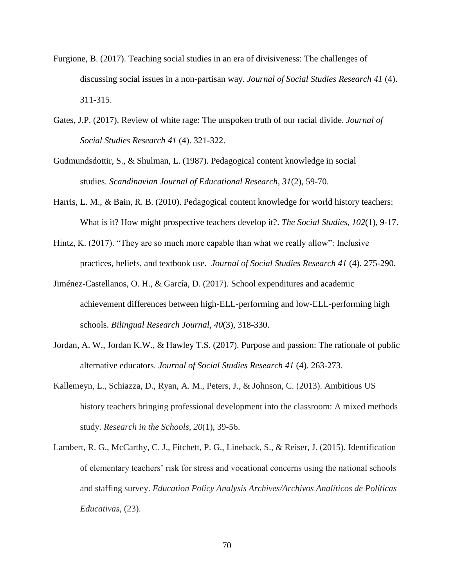- Furgione, B. (2017). Teaching social studies in an era of divisiveness: The challenges of discussing social issues in a non-partisan way. *Journal of Social Studies Research 41* (4). 311-315.
- Gates, J.P. (2017). Review of white rage: The unspoken truth of our racial divide. *Journal of Social Studies Research 41* (4). 321-322.
- Gudmundsdottir, S., & Shulman, L. (1987). Pedagogical content knowledge in social studies. *Scandinavian Journal of Educational Research*, *31*(2), 59-70.
- Harris, L. M., & Bain, R. B. (2010). Pedagogical content knowledge for world history teachers: What is it? How might prospective teachers develop it?. *The Social Studies*, *102*(1), 9-17.
- Hintz, K. (2017). "They are so much more capable than what we really allow": Inclusive practices, beliefs, and textbook use. *Journal of Social Studies Research 41* (4). 275-290.
- Jiménez-Castellanos, O. H., & García, D. (2017). School expenditures and academic achievement differences between high-ELL-performing and low-ELL-performing high schools. *Bilingual Research Journal*, *40*(3), 318-330.
- Jordan, A. W., Jordan K.W., & Hawley T.S. (2017). Purpose and passion: The rationale of public alternative educators. *Journal of Social Studies Research 41* (4). 263-273.
- Kallemeyn, L., Schiazza, D., Ryan, A. M., Peters, J., & Johnson, C. (2013). Ambitious US history teachers bringing professional development into the classroom: A mixed methods study. *Research in the Schools*, *20*(1), 39-56.
- Lambert, R. G., McCarthy, C. J., Fitchett, P. G., Lineback, S., & Reiser, J. (2015). Identification of elementary teachers' risk for stress and vocational concerns using the national schools and staffing survey. *Education Policy Analysis Archives/Archivos Analíticos de Políticas Educativas*, (23).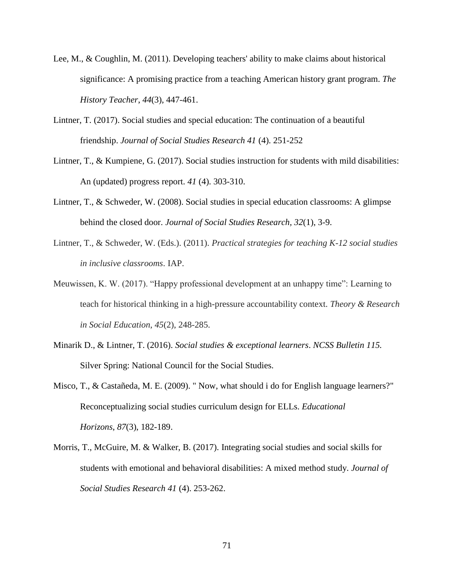- Lee, M., & Coughlin, M. (2011). Developing teachers' ability to make claims about historical significance: A promising practice from a teaching American history grant program. *The History Teacher*, *44*(3), 447-461.
- Lintner, T. (2017). Social studies and special education: The continuation of a beautiful friendship. *Journal of Social Studies Research 41* (4). 251-252
- Lintner, T., & Kumpiene, G. (2017). Social studies instruction for students with mild disabilities: An (updated) progress report. *41* (4). 303-310.
- Lintner, T., & Schweder, W. (2008). Social studies in special education classrooms: A glimpse behind the closed door. *Journal of Social Studies Research, 32*(1), 3-9.
- Lintner, T., & Schweder, W. (Eds.). (2011). *Practical strategies for teaching K-12 social studies in inclusive classrooms*. IAP.
- Meuwissen, K. W. (2017). "Happy professional development at an unhappy time": Learning to teach for historical thinking in a high-pressure accountability context. *Theory & Research in Social Education*, *45*(2), 248-285.
- Minarik D., & Lintner, T. (2016). *Social studies & exceptional learners*. *NCSS Bulletin 115.*  Silver Spring: National Council for the Social Studies.
- Misco, T., & Castañeda, M. E. (2009). " Now, what should i do for English language learners?" Reconceptualizing social studies curriculum design for ELLs. *Educational Horizons*, *87*(3), 182-189.
- Morris, T., McGuire, M. & Walker, B. (2017). Integrating social studies and social skills for students with emotional and behavioral disabilities: A mixed method study. *Journal of Social Studies Research 41* (4). 253-262.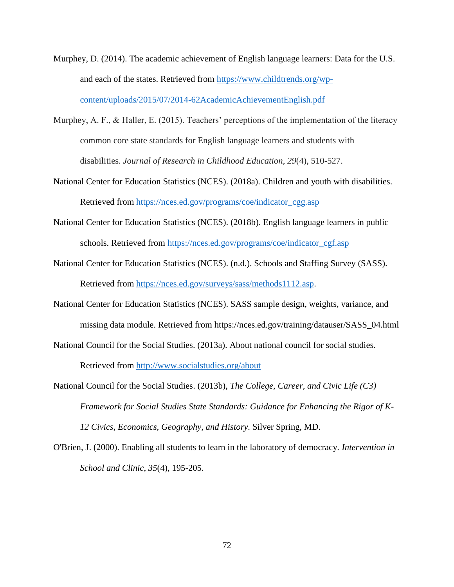- Murphey, D. (2014). The academic achievement of English language learners: Data for the U.S. and each of the states. Retrieved from [https://www.childtrends.org/wp](https://www.childtrends.org/wp-content/uploads/2015/07/2014-62AcademicAchievementEnglish.pdf)[content/uploads/2015/07/2014-62AcademicAchievementEnglish.pdf](https://www.childtrends.org/wp-content/uploads/2015/07/2014-62AcademicAchievementEnglish.pdf)
- Murphey, A. F., & Haller, E. (2015). Teachers' perceptions of the implementation of the literacy common core state standards for English language learners and students with disabilities. *Journal of Research in Childhood Education*, *29*(4), 510-527.
- National Center for Education Statistics (NCES). (2018a). Children and youth with disabilities. Retrieved from [https://nces.ed.gov/programs/coe/indicator\\_cgg.asp](https://nces.ed.gov/programs/coe/indicator_cgg.asp)
- National Center for Education Statistics (NCES). (2018b). English language learners in public schools. Retrieved from [https://nces.ed.gov/programs/coe/indicator\\_cgf.asp](https://nces.ed.gov/programs/coe/indicator_cgf.asp)
- National Center for Education Statistics (NCES). (n.d.). Schools and Staffing Survey (SASS). Retrieved from [https://nces.ed.gov/surveys/sass/methods1112.asp.](https://nces.ed.gov/surveys/sass/methods1112.asp)
- National Center for Education Statistics (NCES). SASS sample design, weights, variance, and missing data module. Retrieved from https://nces.ed.gov/training/datauser/SASS\_04.html
- National Council for the Social Studies. (2013a). About national council for social studies.

Retrieved from<http://www.socialstudies.org/about>

- National Council for the Social Studies. (2013b), *The College, Career, and Civic Life (C3) Framework for Social Studies State Standards: Guidance for Enhancing the Rigor of K-12 Civics, Economics, Geography, and History.* Silver Spring, MD.
- O'Brien, J. (2000). Enabling all students to learn in the laboratory of democracy. *Intervention in School and Clinic*, *35*(4), 195-205.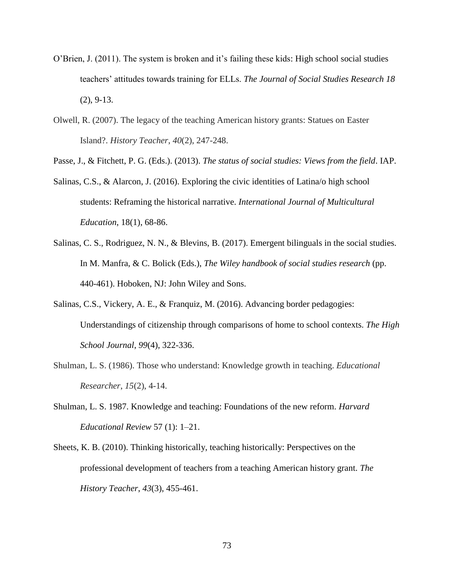- O'Brien, J. (2011). The system is broken and it's failing these kids: High school social studies teachers' attitudes towards training for ELLs. *The Journal of Social Studies Research 18* (2), 9-13.
- Olwell, R. (2007). The legacy of the teaching American history grants: Statues on Easter Island?. *History Teacher*, *40*(2), 247-248.

Passe, J., & Fitchett, P. G. (Eds.). (2013). *The status of social studies: Views from the field*. IAP.

- Salinas, C.S., & Alarcon, J. (2016). Exploring the civic identities of Latina/o high school students: Reframing the historical narrative. *International Journal of Multicultural Education*, 18(1), 68-86.
- Salinas, C. S., Rodriguez, N. N., & Blevins, B. (2017). Emergent bilinguals in the social studies. In M. Manfra, & C. Bolick (Eds.), *The Wiley handbook of social studies research* (pp. 440-461). Hoboken, NJ: John Wiley and Sons.
- Salinas, C.S., Vickery, A. E., & Franquiz, M. (2016). Advancing border pedagogies: Understandings of citizenship through comparisons of home to school contexts. *The High School Journal*, *99*(4), 322-336.
- Shulman, L. S. (1986). Those who understand: Knowledge growth in teaching. *Educational Researcher*, *15*(2), 4-14.
- Shulman, L. S. 1987. Knowledge and teaching: Foundations of the new reform. *Harvard Educational Review* 57 (1): 1–21.
- Sheets, K. B. (2010). Thinking historically, teaching historically: Perspectives on the professional development of teachers from a teaching American history grant. *The History Teacher*, *43*(3), 455-461.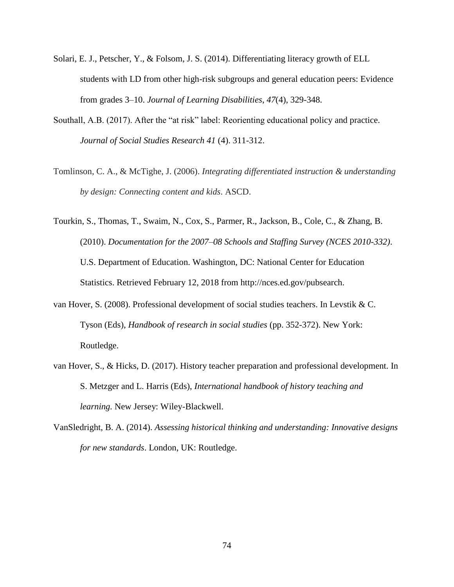- Solari, E. J., Petscher, Y., & Folsom, J. S. (2014). Differentiating literacy growth of ELL students with LD from other high-risk subgroups and general education peers: Evidence from grades 3–10. *Journal of Learning Disabilities*, *47*(4), 329-348.
- Southall, A.B. (2017). After the "at risk" label: Reorienting educational policy and practice. *Journal of Social Studies Research 41* (4). 311-312.
- Tomlinson, C. A., & McTighe, J. (2006). *Integrating differentiated instruction & understanding by design: Connecting content and kids*. ASCD.
- Tourkin, S., Thomas, T., Swaim, N., Cox, S., Parmer, R., Jackson, B., Cole, C., & Zhang, B. (2010). *Documentation for the 2007–08 Schools and Staffing Survey (NCES 2010-332)*. U.S. Department of Education. Washington, DC: National Center for Education Statistics. Retrieved February 12, 2018 from http://nces.ed.gov/pubsearch.
- van Hover, S. (2008). Professional development of social studies teachers. In Levstik & C. Tyson (Eds), *Handbook of research in social studies* (pp. 352-372). New York: Routledge.
- van Hover, S., & Hicks, D. (2017). History teacher preparation and professional development. In S. Metzger and L. Harris (Eds), *International handbook of history teaching and learning.* New Jersey: Wiley-Blackwell.
- VanSledright, B. A. (2014). *Assessing historical thinking and understanding: Innovative designs for new standards*. London, UK: Routledge.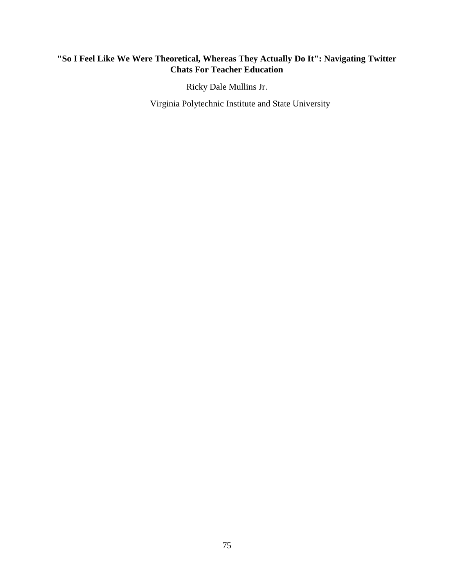# **"So I Feel Like We Were Theoretical, Whereas They Actually Do It": Navigating Twitter Chats For Teacher Education**

Ricky Dale Mullins Jr.

Virginia Polytechnic Institute and State University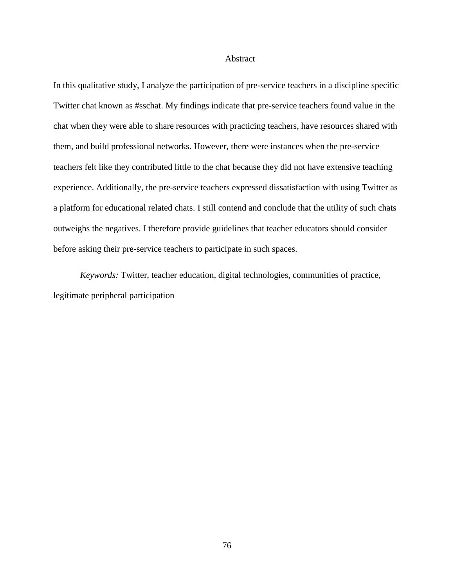#### Abstract

In this qualitative study, I analyze the participation of pre-service teachers in a discipline specific Twitter chat known as #sschat. My findings indicate that pre-service teachers found value in the chat when they were able to share resources with practicing teachers, have resources shared with them, and build professional networks. However, there were instances when the pre-service teachers felt like they contributed little to the chat because they did not have extensive teaching experience. Additionally, the pre-service teachers expressed dissatisfaction with using Twitter as a platform for educational related chats. I still contend and conclude that the utility of such chats outweighs the negatives. I therefore provide guidelines that teacher educators should consider before asking their pre-service teachers to participate in such spaces.

*Keywords:* Twitter, teacher education, digital technologies, communities of practice, legitimate peripheral participation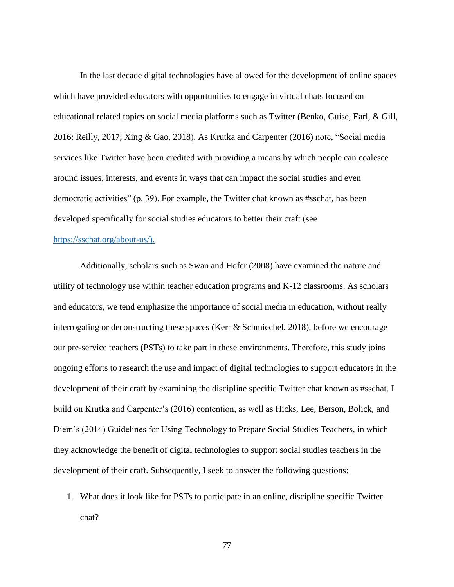In the last decade digital technologies have allowed for the development of online spaces which have provided educators with opportunities to engage in virtual chats focused on educational related topics on social media platforms such as Twitter (Benko, Guise, Earl, & Gill, 2016; Reilly, 2017; Xing & Gao, 2018). As Krutka and Carpenter (2016) note, "Social media services like Twitter have been credited with providing a means by which people can coalesce around issues, interests, and events in ways that can impact the social studies and even democratic activities" (p. 39). For example, the Twitter chat known as #sschat, has been developed specifically for social studies educators to better their craft (see

### [https://sschat.org/about-us/\)](https://sschat.org/about-us/).

Additionally, scholars such as Swan and Hofer (2008) have examined the nature and utility of technology use within teacher education programs and K-12 classrooms. As scholars and educators, we tend emphasize the importance of social media in education, without really interrogating or deconstructing these spaces (Kerr & Schmiechel, 2018), before we encourage our pre-service teachers (PSTs) to take part in these environments. Therefore, this study joins ongoing efforts to research the use and impact of digital technologies to support educators in the development of their craft by examining the discipline specific Twitter chat known as #sschat. I build on Krutka and Carpenter's (2016) contention, as well as Hicks, Lee, Berson, Bolick, and Diem's (2014) Guidelines for Using Technology to Prepare Social Studies Teachers, in which they acknowledge the benefit of digital technologies to support social studies teachers in the development of their craft. Subsequently, I seek to answer the following questions:

1. What does it look like for PSTs to participate in an online, discipline specific Twitter chat?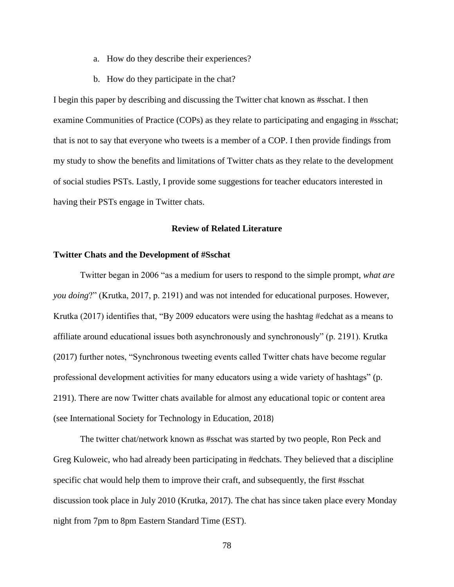- a. How do they describe their experiences?
- b. How do they participate in the chat?

I begin this paper by describing and discussing the Twitter chat known as #sschat. I then examine Communities of Practice (COPs) as they relate to participating and engaging in #sschat; that is not to say that everyone who tweets is a member of a COP. I then provide findings from my study to show the benefits and limitations of Twitter chats as they relate to the development of social studies PSTs. Lastly, I provide some suggestions for teacher educators interested in having their PSTs engage in Twitter chats.

# **Review of Related Literature**

# **Twitter Chats and the Development of #Sschat**

Twitter began in 2006 "as a medium for users to respond to the simple prompt, *what are you doing*?" (Krutka, 2017, p. 2191) and was not intended for educational purposes. However, Krutka (2017) identifies that, "By 2009 educators were using the hashtag #edchat as a means to affiliate around educational issues both asynchronously and synchronously" (p. 2191). Krutka (2017) further notes, "Synchronous tweeting events called Twitter chats have become regular professional development activities for many educators using a wide variety of hashtags" (p. 2191). There are now Twitter chats available for almost any educational topic or content area (see International Society for Technology in Education, 2018)

The twitter chat/network known as #sschat was started by two people, Ron Peck and Greg Kuloweic, who had already been participating in #edchats. They believed that a discipline specific chat would help them to improve their craft, and subsequently, the first #sschat discussion took place in July 2010 (Krutka, 2017). The chat has since taken place every Monday night from 7pm to 8pm Eastern Standard Time (EST).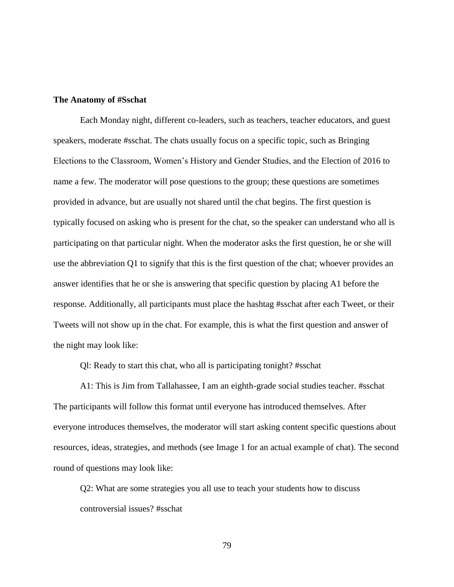## **The Anatomy of #Sschat**

Each Monday night, different co-leaders, such as teachers, teacher educators, and guest speakers, moderate #sschat. The chats usually focus on a specific topic, such as Bringing Elections to the Classroom, Women's History and Gender Studies, and the Election of 2016 to name a few. The moderator will pose questions to the group; these questions are sometimes provided in advance, but are usually not shared until the chat begins. The first question is typically focused on asking who is present for the chat, so the speaker can understand who all is participating on that particular night. When the moderator asks the first question, he or she will use the abbreviation Q1 to signify that this is the first question of the chat; whoever provides an answer identifies that he or she is answering that specific question by placing A1 before the response. Additionally, all participants must place the hashtag #sschat after each Tweet, or their Tweets will not show up in the chat. For example, this is what the first question and answer of the night may look like:

Ql: Ready to start this chat, who all is participating tonight? #sschat

A1: This is Jim from Tallahassee, I am an eighth-grade social studies teacher. #sschat The participants will follow this format until everyone has introduced themselves. After everyone introduces themselves, the moderator will start asking content specific questions about resources, ideas, strategies, and methods (see Image 1 for an actual example of chat). The second round of questions may look like:

Q2: What are some strategies you all use to teach your students how to discuss controversial issues? #sschat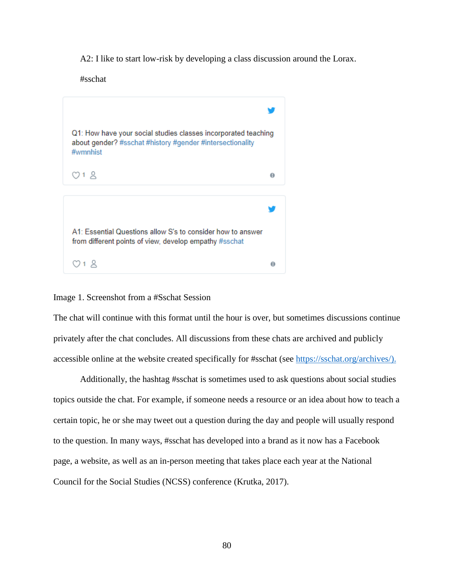A2: I like to start low-risk by developing a class discussion around the Lorax.

#sschat



# Image 1. Screenshot from a #Sschat Session

The chat will continue with this format until the hour is over, but sometimes discussions continue privately after the chat concludes. All discussions from these chats are archived and publicly accessible online at the website created specifically for #sschat (see [https://sschat.org/archives/\)](https://sschat.org/archives/).

Additionally, the hashtag #sschat is sometimes used to ask questions about social studies topics outside the chat. For example, if someone needs a resource or an idea about how to teach a certain topic, he or she may tweet out a question during the day and people will usually respond to the question. In many ways, #sschat has developed into a brand as it now has a Facebook page, a website, as well as an in-person meeting that takes place each year at the National Council for the Social Studies (NCSS) conference (Krutka, 2017).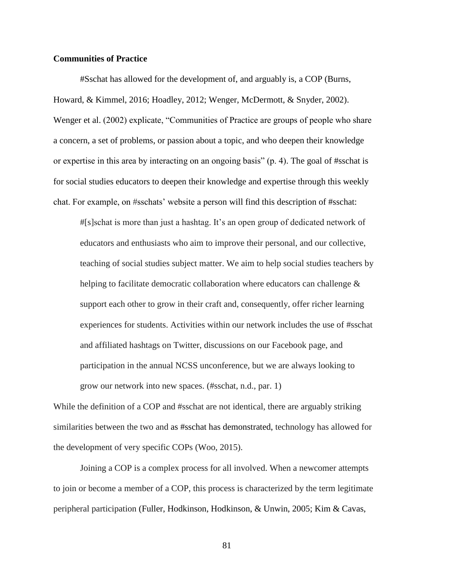# **Communities of Practice**

#Sschat has allowed for the development of, and arguably is, a COP (Burns, Howard, & Kimmel, 2016; Hoadley, 2012; Wenger, McDermott, & Snyder, 2002). Wenger et al. (2002) explicate, "Communities of Practice are groups of people who share a concern, a set of problems, or passion about a topic, and who deepen their knowledge or expertise in this area by interacting on an ongoing basis" (p. 4). The goal of #sschat is for social studies educators to deepen their knowledge and expertise through this weekly chat. For example, on #sschats' website a person will find this description of #sschat:

#[s]schat is more than just a hashtag. It's an open group of dedicated network of educators and enthusiasts who aim to improve their personal, and our collective, teaching of social studies subject matter. We aim to help social studies teachers by helping to facilitate democratic collaboration where educators can challenge  $\&$ support each other to grow in their craft and, consequently, offer richer learning experiences for students. Activities within our network includes the use of #sschat and affiliated hashtags on Twitter, discussions on our Facebook page, and participation in the annual NCSS unconference, but we are always looking to grow our network into new spaces. (#sschat, n.d., par. 1)

While the definition of a COP and #sschat are not identical, there are arguably striking similarities between the two and as #sschat has demonstrated, technology has allowed for the development of very specific COPs (Woo, 2015).

Joining a COP is a complex process for all involved. When a newcomer attempts to join or become a member of a COP, this process is characterized by the term legitimate peripheral participation (Fuller, Hodkinson, Hodkinson, & Unwin, 2005; Kim & Cavas,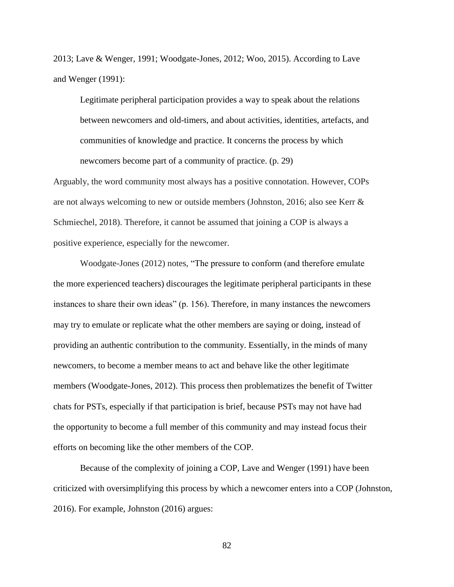2013; Lave & Wenger, 1991; Woodgate-Jones, 2012; Woo, 2015). According to Lave and Wenger (1991):

Legitimate peripheral participation provides a way to speak about the relations between newcomers and old-timers, and about activities, identities, artefacts, and communities of knowledge and practice. It concerns the process by which newcomers become part of a community of practice. (p. 29)

Arguably, the word community most always has a positive connotation. However, COPs are not always welcoming to new or outside members (Johnston, 2016; also see Kerr & Schmiechel, 2018). Therefore, it cannot be assumed that joining a COP is always a positive experience, especially for the newcomer.

Woodgate-Jones (2012) notes, "The pressure to conform (and therefore emulate the more experienced teachers) discourages the legitimate peripheral participants in these instances to share their own ideas" (p. 156). Therefore, in many instances the newcomers may try to emulate or replicate what the other members are saying or doing, instead of providing an authentic contribution to the community. Essentially, in the minds of many newcomers, to become a member means to act and behave like the other legitimate members (Woodgate-Jones, 2012). This process then problematizes the benefit of Twitter chats for PSTs, especially if that participation is brief, because PSTs may not have had the opportunity to become a full member of this community and may instead focus their efforts on becoming like the other members of the COP.

Because of the complexity of joining a COP, Lave and Wenger (1991) have been criticized with oversimplifying this process by which a newcomer enters into a COP (Johnston, 2016). For example, Johnston (2016) argues: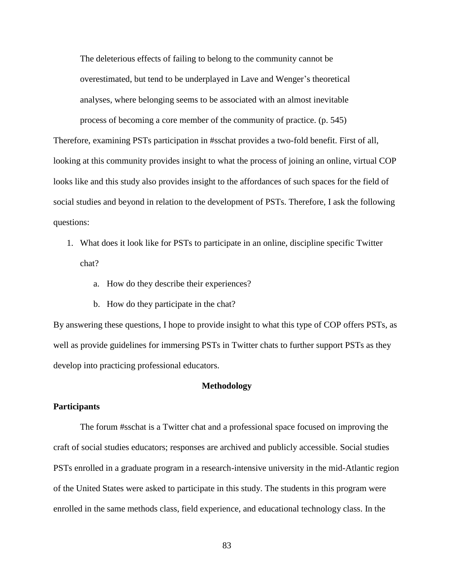The deleterious effects of failing to belong to the community cannot be overestimated, but tend to be underplayed in Lave and Wenger's theoretical analyses, where belonging seems to be associated with an almost inevitable process of becoming a core member of the community of practice. (p. 545)

Therefore, examining PSTs participation in #sschat provides a two-fold benefit. First of all, looking at this community provides insight to what the process of joining an online, virtual COP looks like and this study also provides insight to the affordances of such spaces for the field of social studies and beyond in relation to the development of PSTs. Therefore, I ask the following questions:

- 1. What does it look like for PSTs to participate in an online, discipline specific Twitter chat?
	- a. How do they describe their experiences?
	- b. How do they participate in the chat?

By answering these questions, I hope to provide insight to what this type of COP offers PSTs, as well as provide guidelines for immersing PSTs in Twitter chats to further support PSTs as they develop into practicing professional educators.

#### **Methodology**

## **Participants**

The forum #sschat is a Twitter chat and a professional space focused on improving the craft of social studies educators; responses are archived and publicly accessible. Social studies PSTs enrolled in a graduate program in a research-intensive university in the mid-Atlantic region of the United States were asked to participate in this study. The students in this program were enrolled in the same methods class, field experience, and educational technology class. In the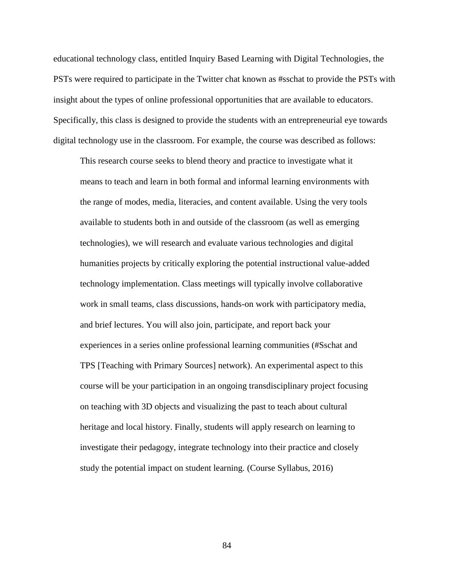educational technology class, entitled Inquiry Based Learning with Digital Technologies, the PSTs were required to participate in the Twitter chat known as #sschat to provide the PSTs with insight about the types of online professional opportunities that are available to educators. Specifically, this class is designed to provide the students with an entrepreneurial eye towards digital technology use in the classroom. For example, the course was described as follows:

This research course seeks to blend theory and practice to investigate what it means to teach and learn in both formal and informal learning environments with the range of modes, media, literacies, and content available. Using the very tools available to students both in and outside of the classroom (as well as emerging technologies), we will research and evaluate various technologies and digital humanities projects by critically exploring the potential instructional value-added technology implementation. Class meetings will typically involve collaborative work in small teams, class discussions, hands-on work with participatory media, and brief lectures. You will also join, participate, and report back your experiences in a series online professional learning communities (#Sschat and TPS [Teaching with Primary Sources] network). An experimental aspect to this course will be your participation in an ongoing transdisciplinary project focusing on teaching with 3D objects and visualizing the past to teach about cultural heritage and local history. Finally, students will apply research on learning to investigate their pedagogy, integrate technology into their practice and closely study the potential impact on student learning. (Course Syllabus, 2016)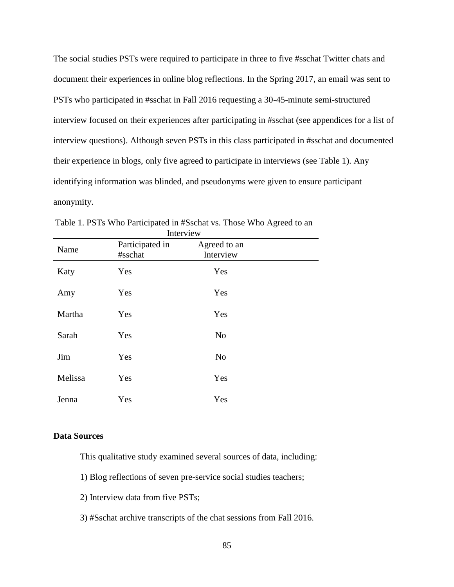The social studies PSTs were required to participate in three to five #sschat Twitter chats and document their experiences in online blog reflections. In the Spring 2017, an email was sent to PSTs who participated in #sschat in Fall 2016 requesting a 30-45-minute semi-structured interview focused on their experiences after participating in #sschat (see appendices for a list of interview questions). Although seven PSTs in this class participated in #sschat and documented their experience in blogs, only five agreed to participate in interviews (see Table 1). Any identifying information was blinded, and pseudonyms were given to ensure participant anonymity.

| <b>ILIULE VIU VV</b> |                            |                           |  |
|----------------------|----------------------------|---------------------------|--|
| Name                 | Participated in<br>#sschat | Agreed to an<br>Interview |  |
| Katy                 | Yes                        | Yes                       |  |
| Amy                  | Yes                        | Yes                       |  |
| Martha               | Yes                        | Yes                       |  |
| Sarah                | Yes                        | N <sub>o</sub>            |  |
| Jim                  | Yes                        | N <sub>o</sub>            |  |
| Melissa              | Yes                        | Yes                       |  |
| Jenna                | Yes                        | Yes                       |  |

Table 1. PSTs Who Participated in #Sschat vs. Those Who Agreed to an Interview

# **Data Sources**

This qualitative study examined several sources of data, including:

- 1) Blog reflections of seven pre-service social studies teachers;
- 2) Interview data from five PSTs;
- 3) #Sschat archive transcripts of the chat sessions from Fall 2016.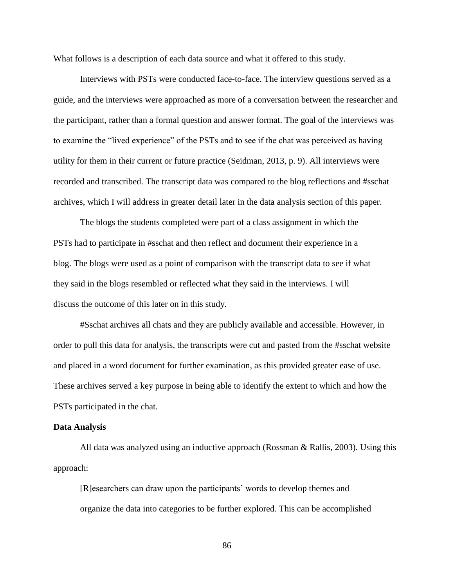What follows is a description of each data source and what it offered to this study.

Interviews with PSTs were conducted face-to-face. The interview questions served as a guide, and the interviews were approached as more of a conversation between the researcher and the participant, rather than a formal question and answer format. The goal of the interviews was to examine the "lived experience" of the PSTs and to see if the chat was perceived as having utility for them in their current or future practice (Seidman, 2013, p. 9). All interviews were recorded and transcribed. The transcript data was compared to the blog reflections and #sschat archives, which I will address in greater detail later in the data analysis section of this paper.

The blogs the students completed were part of a class assignment in which the PSTs had to participate in #sschat and then reflect and document their experience in a blog. The blogs were used as a point of comparison with the transcript data to see if what they said in the blogs resembled or reflected what they said in the interviews. I will discuss the outcome of this later on in this study.

#Sschat archives all chats and they are publicly available and accessible. However, in order to pull this data for analysis, the transcripts were cut and pasted from the #sschat website and placed in a word document for further examination, as this provided greater ease of use. These archives served a key purpose in being able to identify the extent to which and how the PSTs participated in the chat.

#### **Data Analysis**

All data was analyzed using an inductive approach (Rossman & Rallis, 2003). Using this approach:

[R]esearchers can draw upon the participants' words to develop themes and organize the data into categories to be further explored. This can be accomplished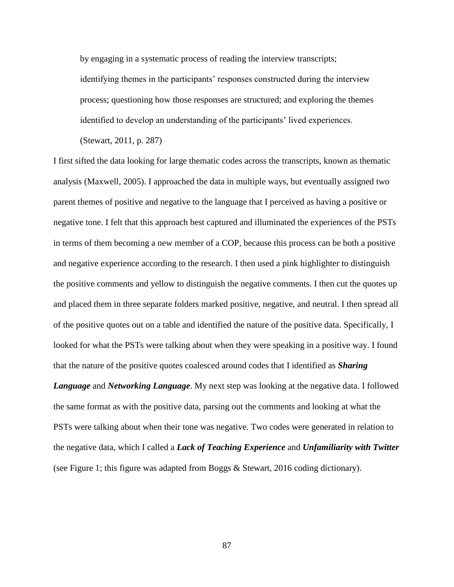by engaging in a systematic process of reading the interview transcripts;

identifying themes in the participants' responses constructed during the interview process; questioning how those responses are structured; and exploring the themes identified to develop an understanding of the participants' lived experiences.

(Stewart, 2011, p. 287)

I first sifted the data looking for large thematic codes across the transcripts, known as thematic analysis (Maxwell, 2005). I approached the data in multiple ways, but eventually assigned two parent themes of positive and negative to the language that I perceived as having a positive or negative tone. I felt that this approach best captured and illuminated the experiences of the PSTs in terms of them becoming a new member of a COP, because this process can be both a positive and negative experience according to the research. I then used a pink highlighter to distinguish the positive comments and yellow to distinguish the negative comments. I then cut the quotes up and placed them in three separate folders marked positive, negative, and neutral. I then spread all of the positive quotes out on a table and identified the nature of the positive data. Specifically, I looked for what the PSTs were talking about when they were speaking in a positive way. I found that the nature of the positive quotes coalesced around codes that I identified as *Sharing* 

*Language* and *Networking Language*. My next step was looking at the negative data. I followed the same format as with the positive data, parsing out the comments and looking at what the PSTs were talking about when their tone was negative. Two codes were generated in relation to the negative data, which I called a *Lack of Teaching Experience* and *Unfamiliarity with Twitter* (see Figure 1; this figure was adapted from Boggs & Stewart, 2016 coding dictionary).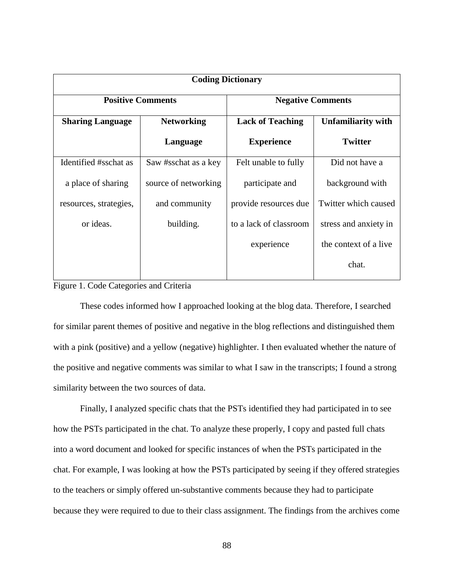| <b>Coding Dictionary</b> |                      |                          |                           |  |
|--------------------------|----------------------|--------------------------|---------------------------|--|
| <b>Positive Comments</b> |                      | <b>Negative Comments</b> |                           |  |
| <b>Sharing Language</b>  | <b>Networking</b>    | <b>Lack of Teaching</b>  | <b>Unfamiliarity with</b> |  |
|                          | Language             | <b>Experience</b>        | <b>Twitter</b>            |  |
| Identified #sschat as    | Saw #sschat as a key | Felt unable to fully     | Did not have a            |  |
| a place of sharing       | source of networking | participate and          | background with           |  |
| resources, strategies,   | and community        | provide resources due    | Twitter which caused      |  |
| or ideas.                | building.            | to a lack of classroom   | stress and anxiety in     |  |
|                          |                      | experience               | the context of a live     |  |
|                          |                      |                          | chat.                     |  |

# Figure 1. Code Categories and Criteria

These codes informed how I approached looking at the blog data. Therefore, I searched for similar parent themes of positive and negative in the blog reflections and distinguished them with a pink (positive) and a yellow (negative) highlighter. I then evaluated whether the nature of the positive and negative comments was similar to what I saw in the transcripts; I found a strong similarity between the two sources of data.

Finally, I analyzed specific chats that the PSTs identified they had participated in to see how the PSTs participated in the chat. To analyze these properly, I copy and pasted full chats into a word document and looked for specific instances of when the PSTs participated in the chat. For example, I was looking at how the PSTs participated by seeing if they offered strategies to the teachers or simply offered un-substantive comments because they had to participate because they were required to due to their class assignment. The findings from the archives come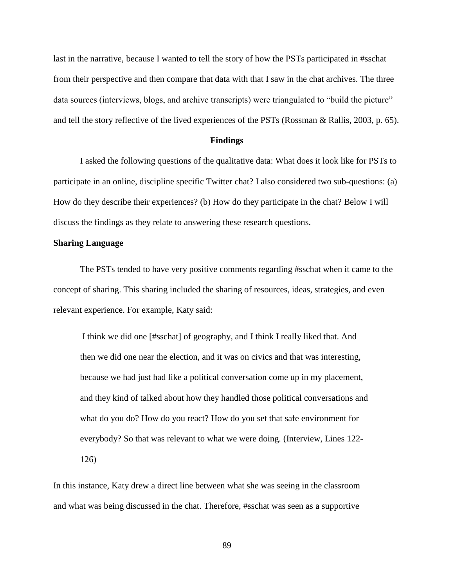last in the narrative, because I wanted to tell the story of how the PSTs participated in #sschat from their perspective and then compare that data with that I saw in the chat archives. The three data sources (interviews, blogs, and archive transcripts) were triangulated to "build the picture" and tell the story reflective of the lived experiences of the PSTs (Rossman & Rallis, 2003, p. 65).

#### **Findings**

I asked the following questions of the qualitative data: What does it look like for PSTs to participate in an online, discipline specific Twitter chat? I also considered two sub-questions: (a) How do they describe their experiences? (b) How do they participate in the chat? Below I will discuss the findings as they relate to answering these research questions.

#### **Sharing Language**

The PSTs tended to have very positive comments regarding #sschat when it came to the concept of sharing. This sharing included the sharing of resources, ideas, strategies, and even relevant experience. For example, Katy said:

I think we did one [#sschat] of geography, and I think I really liked that. And then we did one near the election, and it was on civics and that was interesting, because we had just had like a political conversation come up in my placement, and they kind of talked about how they handled those political conversations and what do you do? How do you react? How do you set that safe environment for everybody? So that was relevant to what we were doing. (Interview, Lines 122- 126)

In this instance, Katy drew a direct line between what she was seeing in the classroom and what was being discussed in the chat. Therefore, #sschat was seen as a supportive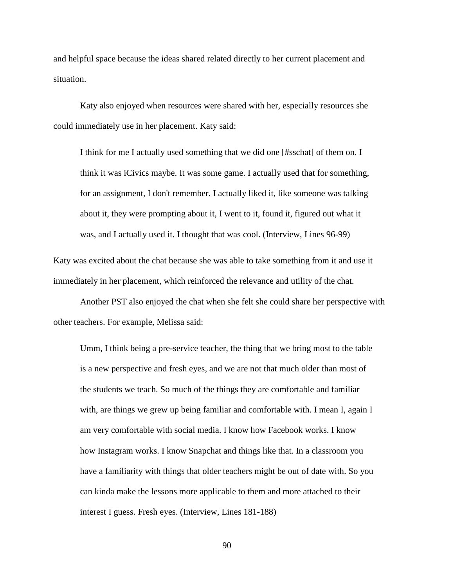and helpful space because the ideas shared related directly to her current placement and situation.

Katy also enjoyed when resources were shared with her, especially resources she could immediately use in her placement. Katy said:

I think for me I actually used something that we did one [#sschat] of them on. I think it was iCivics maybe. It was some game. I actually used that for something, for an assignment, I don't remember. I actually liked it, like someone was talking about it, they were prompting about it, I went to it, found it, figured out what it was, and I actually used it. I thought that was cool. (Interview, Lines 96-99)

Katy was excited about the chat because she was able to take something from it and use it immediately in her placement, which reinforced the relevance and utility of the chat.

Another PST also enjoyed the chat when she felt she could share her perspective with other teachers. For example, Melissa said:

Umm, I think being a pre-service teacher, the thing that we bring most to the table is a new perspective and fresh eyes, and we are not that much older than most of the students we teach. So much of the things they are comfortable and familiar with, are things we grew up being familiar and comfortable with. I mean I, again I am very comfortable with social media. I know how Facebook works. I know how Instagram works. I know Snapchat and things like that. In a classroom you have a familiarity with things that older teachers might be out of date with. So you can kinda make the lessons more applicable to them and more attached to their interest I guess. Fresh eyes. (Interview, Lines 181-188)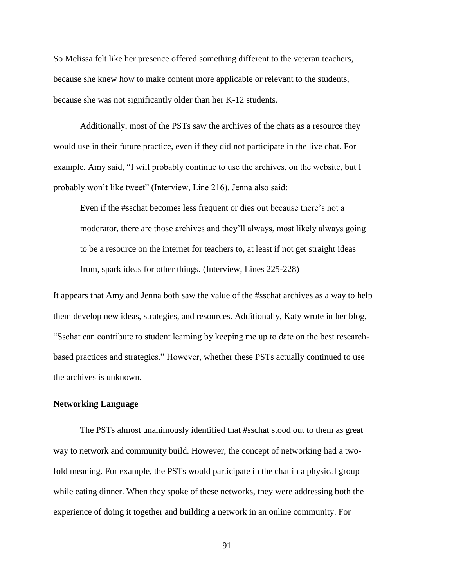So Melissa felt like her presence offered something different to the veteran teachers, because she knew how to make content more applicable or relevant to the students, because she was not significantly older than her K-12 students.

Additionally, most of the PSTs saw the archives of the chats as a resource they would use in their future practice, even if they did not participate in the live chat. For example, Amy said, "I will probably continue to use the archives, on the website, but I probably won't like tweet" (Interview, Line 216). Jenna also said:

Even if the #sschat becomes less frequent or dies out because there's not a moderator, there are those archives and they'll always, most likely always going to be a resource on the internet for teachers to, at least if not get straight ideas from, spark ideas for other things. (Interview, Lines 225-228)

It appears that Amy and Jenna both saw the value of the #sschat archives as a way to help them develop new ideas, strategies, and resources. Additionally, Katy wrote in her blog, "Sschat can contribute to student learning by keeping me up to date on the best researchbased practices and strategies." However, whether these PSTs actually continued to use the archives is unknown.

# **Networking Language**

The PSTs almost unanimously identified that #sschat stood out to them as great way to network and community build. However, the concept of networking had a twofold meaning. For example, the PSTs would participate in the chat in a physical group while eating dinner. When they spoke of these networks, they were addressing both the experience of doing it together and building a network in an online community. For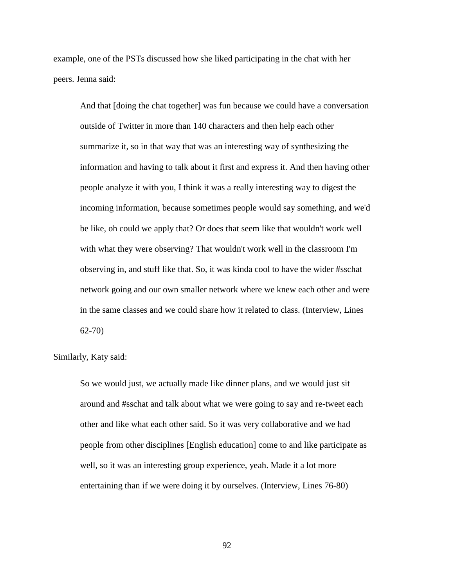example, one of the PSTs discussed how she liked participating in the chat with her peers. Jenna said:

And that [doing the chat together] was fun because we could have a conversation outside of Twitter in more than 140 characters and then help each other summarize it, so in that way that was an interesting way of synthesizing the information and having to talk about it first and express it. And then having other people analyze it with you, I think it was a really interesting way to digest the incoming information, because sometimes people would say something, and we'd be like, oh could we apply that? Or does that seem like that wouldn't work well with what they were observing? That wouldn't work well in the classroom I'm observing in, and stuff like that. So, it was kinda cool to have the wider #sschat network going and our own smaller network where we knew each other and were in the same classes and we could share how it related to class. (Interview, Lines 62-70)

Similarly, Katy said:

So we would just, we actually made like dinner plans, and we would just sit around and #sschat and talk about what we were going to say and re-tweet each other and like what each other said. So it was very collaborative and we had people from other disciplines [English education] come to and like participate as well, so it was an interesting group experience, yeah. Made it a lot more entertaining than if we were doing it by ourselves. (Interview, Lines 76-80)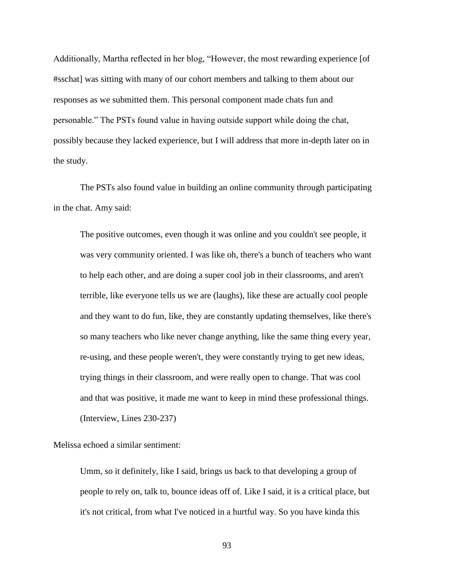Additionally, Martha reflected in her blog, "However, the most rewarding experience [of #sschat] was sitting with many of our cohort members and talking to them about our responses as we submitted them. This personal component made chats fun and personable." The PSTs found value in having outside support while doing the chat, possibly because they lacked experience, but I will address that more in-depth later on in the study.

The PSTs also found value in building an online community through participating in the chat. Amy said:

The positive outcomes, even though it was online and you couldn't see people, it was very community oriented. I was like oh, there's a bunch of teachers who want to help each other, and are doing a super cool job in their classrooms, and aren't terrible, like everyone tells us we are (laughs), like these are actually cool people and they want to do fun, like, they are constantly updating themselves, like there's so many teachers who like never change anything, like the same thing every year, re-using, and these people weren't, they were constantly trying to get new ideas, trying things in their classroom, and were really open to change. That was cool and that was positive, it made me want to keep in mind these professional things. (Interview, Lines 230-237)

Melissa echoed a similar sentiment:

Umm, so it definitely, like I said, brings us back to that developing a group of people to rely on, talk to, bounce ideas off of. Like I said, it is a critical place, but it's not critical, from what I've noticed in a hurtful way. So you have kinda this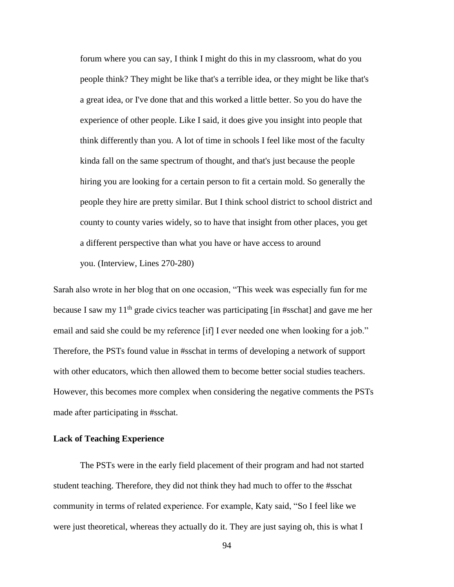forum where you can say, I think I might do this in my classroom, what do you people think? They might be like that's a terrible idea, or they might be like that's a great idea, or I've done that and this worked a little better. So you do have the experience of other people. Like I said, it does give you insight into people that think differently than you. A lot of time in schools I feel like most of the faculty kinda fall on the same spectrum of thought, and that's just because the people hiring you are looking for a certain person to fit a certain mold. So generally the people they hire are pretty similar. But I think school district to school district and county to county varies widely, so to have that insight from other places, you get a different perspective than what you have or have access to around you. (Interview, Lines 270-280)

Sarah also wrote in her blog that on one occasion, "This week was especially fun for me because I saw my  $11<sup>th</sup>$  grade civics teacher was participating [in #sschat] and gave me her email and said she could be my reference [if] I ever needed one when looking for a job." Therefore, the PSTs found value in #sschat in terms of developing a network of support with other educators, which then allowed them to become better social studies teachers. However, this becomes more complex when considering the negative comments the PSTs made after participating in #sschat.

# **Lack of Teaching Experience**

The PSTs were in the early field placement of their program and had not started student teaching. Therefore, they did not think they had much to offer to the #sschat community in terms of related experience. For example, Katy said, "So I feel like we were just theoretical, whereas they actually do it. They are just saying oh, this is what I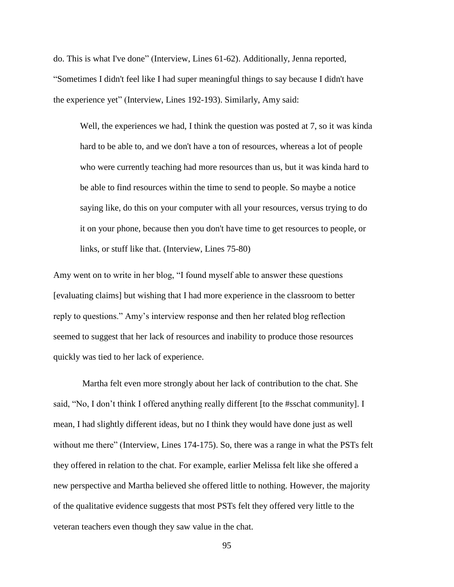do. This is what I've done" (Interview, Lines 61-62). Additionally, Jenna reported, "Sometimes I didn't feel like I had super meaningful things to say because I didn't have the experience yet" (Interview, Lines 192-193). Similarly, Amy said:

Well, the experiences we had, I think the question was posted at 7, so it was kinda hard to be able to, and we don't have a ton of resources, whereas a lot of people who were currently teaching had more resources than us, but it was kinda hard to be able to find resources within the time to send to people. So maybe a notice saying like, do this on your computer with all your resources, versus trying to do it on your phone, because then you don't have time to get resources to people, or links, or stuff like that. (Interview, Lines 75-80)

Amy went on to write in her blog, "I found myself able to answer these questions [evaluating claims] but wishing that I had more experience in the classroom to better reply to questions." Amy's interview response and then her related blog reflection seemed to suggest that her lack of resources and inability to produce those resources quickly was tied to her lack of experience.

Martha felt even more strongly about her lack of contribution to the chat. She said, "No, I don't think I offered anything really different [to the #sschat community]. I mean, I had slightly different ideas, but no I think they would have done just as well without me there" (Interview, Lines 174-175). So, there was a range in what the PSTs felt they offered in relation to the chat. For example, earlier Melissa felt like she offered a new perspective and Martha believed she offered little to nothing. However, the majority of the qualitative evidence suggests that most PSTs felt they offered very little to the veteran teachers even though they saw value in the chat.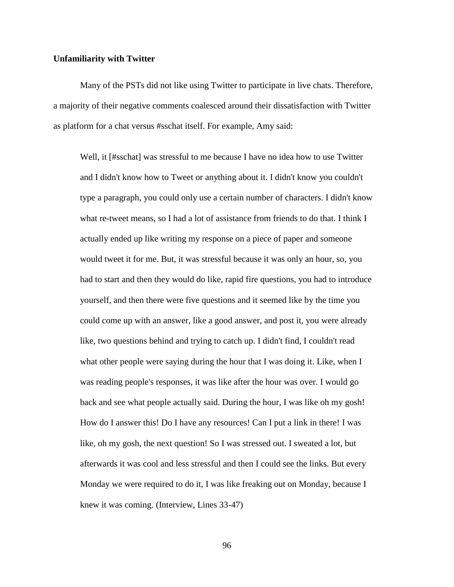#### **Unfamiliarity with Twitter**

Many of the PSTs did not like using Twitter to participate in live chats. Therefore, a majority of their negative comments coalesced around their dissatisfaction with Twitter as platform for a chat versus #sschat itself. For example, Amy said:

Well, it [#sschat] was stressful to me because I have no idea how to use Twitter and I didn't know how to Tweet or anything about it. I didn't know you couldn't type a paragraph, you could only use a certain number of characters. I didn't know what re-tweet means, so I had a lot of assistance from friends to do that. I think I actually ended up like writing my response on a piece of paper and someone would tweet it for me. But, it was stressful because it was only an hour, so, you had to start and then they would do like, rapid fire questions, you had to introduce yourself, and then there were five questions and it seemed like by the time you could come up with an answer, like a good answer, and post it, you were already like, two questions behind and trying to catch up. I didn't find, I couldn't read what other people were saying during the hour that I was doing it. Like, when I was reading people's responses, it was like after the hour was over. I would go back and see what people actually said. During the hour, I was like oh my gosh! How do I answer this! Do I have any resources! Can I put a link in there! I was like, oh my gosh, the next question! So I was stressed out. I sweated a lot, but afterwards it was cool and less stressful and then I could see the links. But every Monday we were required to do it, I was like freaking out on Monday, because I knew it was coming. (Interview, Lines 33-47)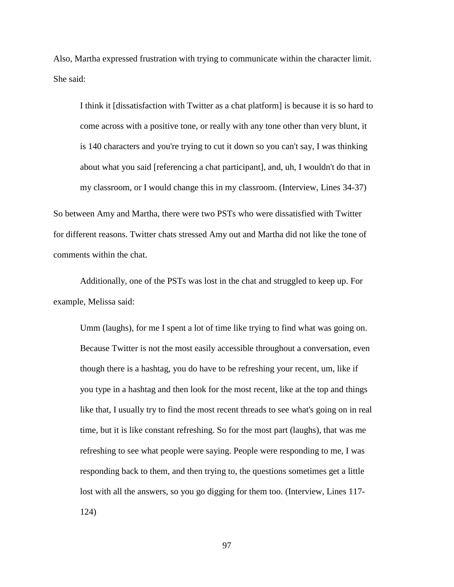Also, Martha expressed frustration with trying to communicate within the character limit. She said:

I think it [dissatisfaction with Twitter as a chat platform] is because it is so hard to come across with a positive tone, or really with any tone other than very blunt, it is 140 characters and you're trying to cut it down so you can't say, I was thinking about what you said [referencing a chat participant], and, uh, I wouldn't do that in my classroom, or I would change this in my classroom. (Interview, Lines 34-37)

So between Amy and Martha, there were two PSTs who were dissatisfied with Twitter for different reasons. Twitter chats stressed Amy out and Martha did not like the tone of comments within the chat.

Additionally, one of the PSTs was lost in the chat and struggled to keep up. For example, Melissa said:

Umm (laughs), for me I spent a lot of time like trying to find what was going on. Because Twitter is not the most easily accessible throughout a conversation, even though there is a hashtag, you do have to be refreshing your recent, um, like if you type in a hashtag and then look for the most recent, like at the top and things like that, I usually try to find the most recent threads to see what's going on in real time, but it is like constant refreshing. So for the most part (laughs), that was me refreshing to see what people were saying. People were responding to me, I was responding back to them, and then trying to, the questions sometimes get a little lost with all the answers, so you go digging for them too. (Interview, Lines 117-124)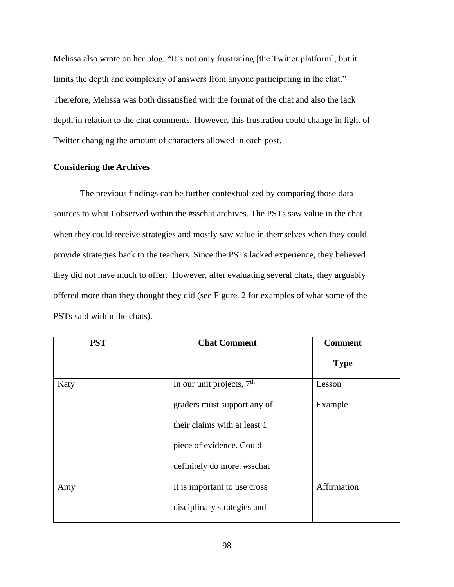Melissa also wrote on her blog, "It's not only frustrating [the Twitter platform], but it limits the depth and complexity of answers from anyone participating in the chat." Therefore, Melissa was both dissatisfied with the format of the chat and also the lack depth in relation to the chat comments. However, this frustration could change in light of Twitter changing the amount of characters allowed in each post.

## **Considering the Archives**

The previous findings can be further contextualized by comparing those data sources to what I observed within the #sschat archives. The PSTs saw value in the chat when they could receive strategies and mostly saw value in themselves when they could provide strategies back to the teachers. Since the PSTs lacked experience, they believed they did not have much to offer. However, after evaluating several chats, they arguably offered more than they thought they did (see Figure. 2 for examples of what some of the PSTs said within the chats).

| <b>PST</b> | <b>Chat Comment</b>          | <b>Comment</b> |
|------------|------------------------------|----------------|
|            |                              | <b>Type</b>    |
| Katy       | In our unit projects, $7th$  | Lesson         |
|            | graders must support any of  | Example        |
|            | their claims with at least 1 |                |
|            | piece of evidence. Could     |                |
|            | definitely do more. #sschat  |                |
| Amy        | It is important to use cross | Affirmation    |
|            | disciplinary strategies and  |                |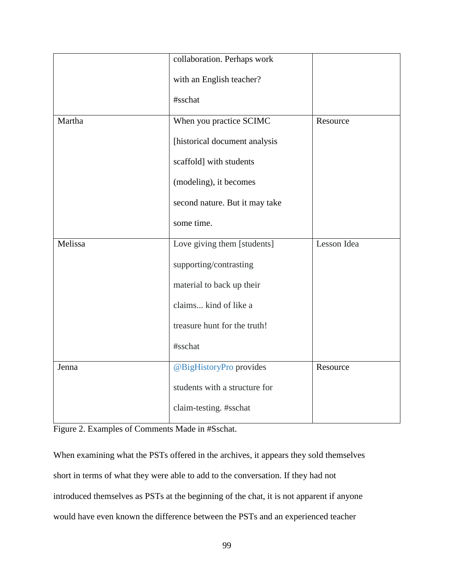|         | collaboration. Perhaps work    |             |
|---------|--------------------------------|-------------|
|         | with an English teacher?       |             |
|         | #sschat                        |             |
| Martha  | When you practice SCIMC        | Resource    |
|         | [historical document analysis  |             |
|         | scaffold] with students        |             |
|         | (modeling), it becomes         |             |
|         | second nature. But it may take |             |
|         | some time.                     |             |
| Melissa | Love giving them [students]    | Lesson Idea |
|         | supporting/contrasting         |             |
|         | material to back up their      |             |
|         | claims kind of like a          |             |
|         | treasure hunt for the truth!   |             |
|         | #sschat                        |             |
| Jenna   | @BigHistoryPro provides        | Resource    |
|         | students with a structure for  |             |
|         | claim-testing. #sschat         |             |

Figure 2. Examples of Comments Made in #Sschat.

When examining what the PSTs offered in the archives, it appears they sold themselves short in terms of what they were able to add to the conversation. If they had not introduced themselves as PSTs at the beginning of the chat, it is not apparent if anyone would have even known the difference between the PSTs and an experienced teacher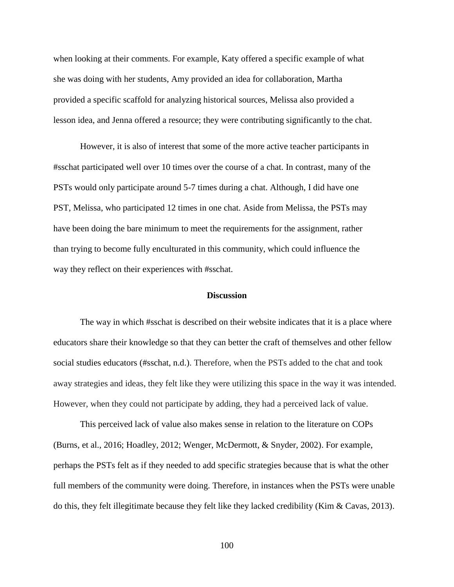when looking at their comments. For example, Katy offered a specific example of what she was doing with her students, Amy provided an idea for collaboration, Martha provided a specific scaffold for analyzing historical sources, Melissa also provided a lesson idea, and Jenna offered a resource; they were contributing significantly to the chat.

However, it is also of interest that some of the more active teacher participants in #sschat participated well over 10 times over the course of a chat. In contrast, many of the PSTs would only participate around 5-7 times during a chat. Although, I did have one PST, Melissa, who participated 12 times in one chat. Aside from Melissa, the PSTs may have been doing the bare minimum to meet the requirements for the assignment, rather than trying to become fully enculturated in this community, which could influence the way they reflect on their experiences with #sschat.

#### **Discussion**

The way in which #sschat is described on their website indicates that it is a place where educators share their knowledge so that they can better the craft of themselves and other fellow social studies educators (#sschat, n.d.). Therefore, when the PSTs added to the chat and took away strategies and ideas, they felt like they were utilizing this space in the way it was intended. However, when they could not participate by adding, they had a perceived lack of value.

This perceived lack of value also makes sense in relation to the literature on COPs (Burns, et al., 2016; Hoadley, 2012; Wenger, McDermott, & Snyder, 2002). For example, perhaps the PSTs felt as if they needed to add specific strategies because that is what the other full members of the community were doing. Therefore, in instances when the PSTs were unable do this, they felt illegitimate because they felt like they lacked credibility (Kim & Cavas, 2013).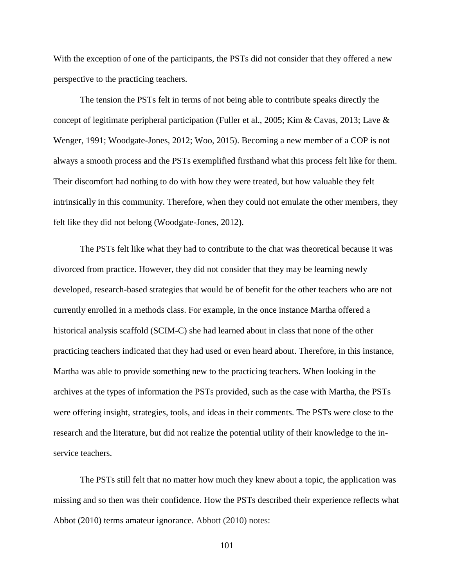With the exception of one of the participants, the PSTs did not consider that they offered a new perspective to the practicing teachers.

The tension the PSTs felt in terms of not being able to contribute speaks directly the concept of legitimate peripheral participation (Fuller et al., 2005; Kim & Cavas, 2013; Lave & Wenger, 1991; Woodgate-Jones, 2012; Woo, 2015). Becoming a new member of a COP is not always a smooth process and the PSTs exemplified firsthand what this process felt like for them. Their discomfort had nothing to do with how they were treated, but how valuable they felt intrinsically in this community. Therefore, when they could not emulate the other members, they felt like they did not belong (Woodgate-Jones, 2012).

The PSTs felt like what they had to contribute to the chat was theoretical because it was divorced from practice. However, they did not consider that they may be learning newly developed, research-based strategies that would be of benefit for the other teachers who are not currently enrolled in a methods class. For example, in the once instance Martha offered a historical analysis scaffold (SCIM-C) she had learned about in class that none of the other practicing teachers indicated that they had used or even heard about. Therefore, in this instance, Martha was able to provide something new to the practicing teachers. When looking in the archives at the types of information the PSTs provided, such as the case with Martha, the PSTs were offering insight, strategies, tools, and ideas in their comments. The PSTs were close to the research and the literature, but did not realize the potential utility of their knowledge to the inservice teachers.

The PSTs still felt that no matter how much they knew about a topic, the application was missing and so then was their confidence. How the PSTs described their experience reflects what Abbot (2010) terms amateur ignorance. Abbott (2010) notes: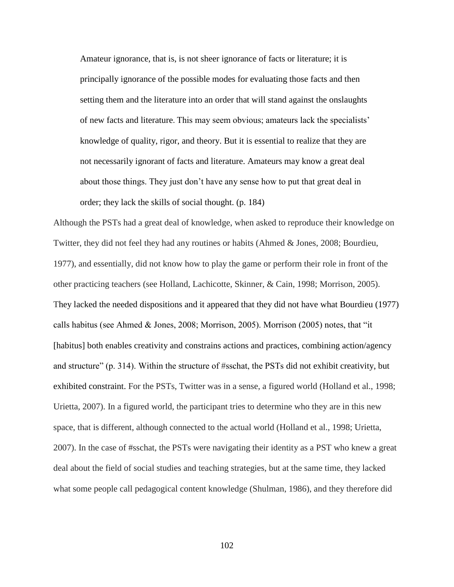Amateur ignorance, that is, is not sheer ignorance of facts or literature; it is principally ignorance of the possible modes for evaluating those facts and then setting them and the literature into an order that will stand against the onslaughts of new facts and literature. This may seem obvious; amateurs lack the specialists' knowledge of quality, rigor, and theory. But it is essential to realize that they are not necessarily ignorant of facts and literature. Amateurs may know a great deal about those things. They just don't have any sense how to put that great deal in order; they lack the skills of social thought. (p. 184)

Although the PSTs had a great deal of knowledge, when asked to reproduce their knowledge on Twitter, they did not feel they had any routines or habits (Ahmed & Jones, 2008; Bourdieu, 1977), and essentially, did not know how to play the game or perform their role in front of the other practicing teachers (see Holland, Lachicotte, Skinner, & Cain, 1998; Morrison, 2005). They lacked the needed dispositions and it appeared that they did not have what Bourdieu (1977) calls habitus (see Ahmed & Jones, 2008; Morrison, 2005). Morrison (2005) notes, that "it [habitus] both enables creativity and constrains actions and practices, combining action/agency and structure" (p. 314). Within the structure of #sschat, the PSTs did not exhibit creativity, but exhibited constraint. For the PSTs, Twitter was in a sense, a figured world (Holland et al., 1998; Urietta, 2007). In a figured world, the participant tries to determine who they are in this new space, that is different, although connected to the actual world (Holland et al., 1998; Urietta, 2007). In the case of #sschat, the PSTs were navigating their identity as a PST who knew a great deal about the field of social studies and teaching strategies, but at the same time, they lacked what some people call pedagogical content knowledge (Shulman, 1986), and they therefore did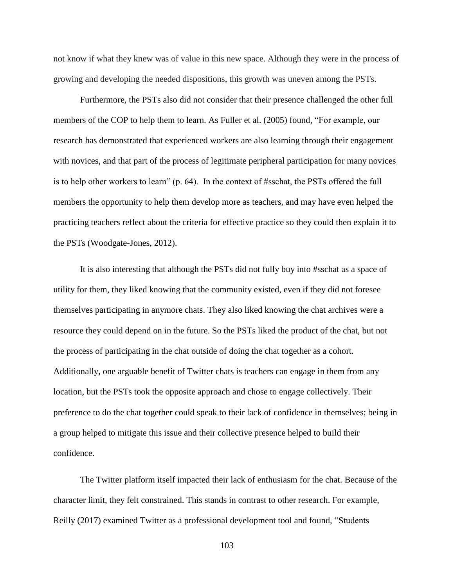not know if what they knew was of value in this new space. Although they were in the process of growing and developing the needed dispositions, this growth was uneven among the PSTs.

Furthermore, the PSTs also did not consider that their presence challenged the other full members of the COP to help them to learn. As Fuller et al. (2005) found, "For example, our research has demonstrated that experienced workers are also learning through their engagement with novices, and that part of the process of legitimate peripheral participation for many novices is to help other workers to learn" (p. 64). In the context of #sschat, the PSTs offered the full members the opportunity to help them develop more as teachers, and may have even helped the practicing teachers reflect about the criteria for effective practice so they could then explain it to the PSTs (Woodgate-Jones, 2012).

It is also interesting that although the PSTs did not fully buy into #sschat as a space of utility for them, they liked knowing that the community existed, even if they did not foresee themselves participating in anymore chats. They also liked knowing the chat archives were a resource they could depend on in the future. So the PSTs liked the product of the chat, but not the process of participating in the chat outside of doing the chat together as a cohort. Additionally, one arguable benefit of Twitter chats is teachers can engage in them from any location, but the PSTs took the opposite approach and chose to engage collectively. Their preference to do the chat together could speak to their lack of confidence in themselves; being in a group helped to mitigate this issue and their collective presence helped to build their confidence.

The Twitter platform itself impacted their lack of enthusiasm for the chat. Because of the character limit, they felt constrained. This stands in contrast to other research. For example, Reilly (2017) examined Twitter as a professional development tool and found, "Students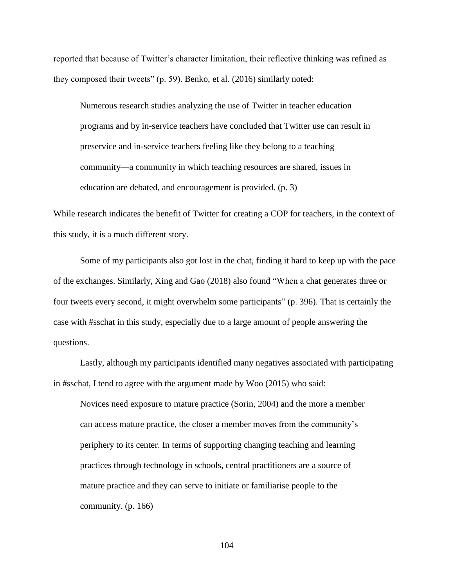reported that because of Twitter's character limitation, their reflective thinking was refined as they composed their tweets" (p. 59). Benko, et al. (2016) similarly noted:

Numerous research studies analyzing the use of Twitter in teacher education programs and by in-service teachers have concluded that Twitter use can result in preservice and in-service teachers feeling like they belong to a teaching community—a community in which teaching resources are shared, issues in education are debated, and encouragement is provided. (p. 3)

While research indicates the benefit of Twitter for creating a COP for teachers, in the context of this study, it is a much different story.

Some of my participants also got lost in the chat, finding it hard to keep up with the pace of the exchanges. Similarly, Xing and Gao (2018) also found "When a chat generates three or four tweets every second, it might overwhelm some participants" (p. 396). That is certainly the case with #sschat in this study, especially due to a large amount of people answering the questions.

Lastly, although my participants identified many negatives associated with participating in #sschat, I tend to agree with the argument made by Woo (2015) who said:

Novices need exposure to mature practice (Sorin, 2004) and the more a member can access mature practice, the closer a member moves from the community's periphery to its center. In terms of supporting changing teaching and learning practices through technology in schools, central practitioners are a source of mature practice and they can serve to initiate or familiarise people to the community. (p. 166)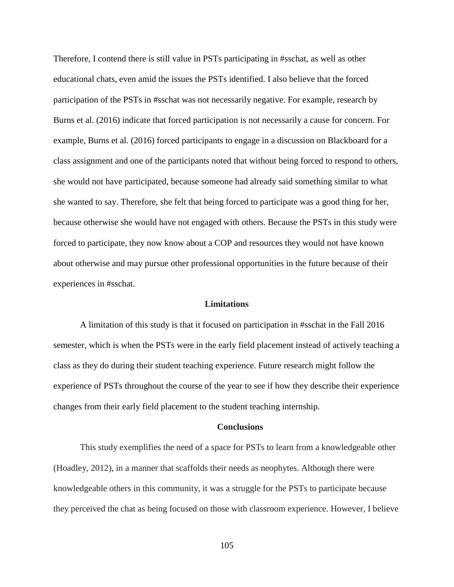Therefore, I contend there is still value in PSTs participating in #sschat, as well as other educational chats, even amid the issues the PSTs identified. I also believe that the forced participation of the PSTs in #sschat was not necessarily negative. For example, research by Burns et al. (2016) indicate that forced participation is not necessarily a cause for concern. For example, Burns et al. (2016) forced participants to engage in a discussion on Blackboard for a class assignment and one of the participants noted that without being forced to respond to others, she would not have participated, because someone had already said something similar to what she wanted to say. Therefore, she felt that being forced to participate was a good thing for her, because otherwise she would have not engaged with others. Because the PSTs in this study were forced to participate, they now know about a COP and resources they would not have known about otherwise and may pursue other professional opportunities in the future because of their experiences in #sschat.

#### **Limitations**

A limitation of this study is that it focused on participation in #sschat in the Fall 2016 semester, which is when the PSTs were in the early field placement instead of actively teaching a class as they do during their student teaching experience. Future research might follow the experience of PSTs throughout the course of the year to see if how they describe their experience changes from their early field placement to the student teaching internship.

#### **Conclusions**

This study exemplifies the need of a space for PSTs to learn from a knowledgeable other (Hoadley, 2012), in a manner that scaffolds their needs as neophytes. Although there were knowledgeable others in this community, it was a struggle for the PSTs to participate because they perceived the chat as being focused on those with classroom experience. However, I believe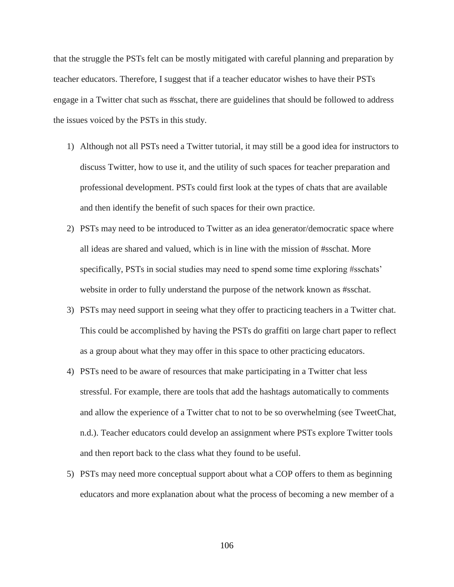that the struggle the PSTs felt can be mostly mitigated with careful planning and preparation by teacher educators. Therefore, I suggest that if a teacher educator wishes to have their PSTs engage in a Twitter chat such as #sschat, there are guidelines that should be followed to address the issues voiced by the PSTs in this study.

- 1) Although not all PSTs need a Twitter tutorial, it may still be a good idea for instructors to discuss Twitter, how to use it, and the utility of such spaces for teacher preparation and professional development. PSTs could first look at the types of chats that are available and then identify the benefit of such spaces for their own practice.
- 2) PSTs may need to be introduced to Twitter as an idea generator/democratic space where all ideas are shared and valued, which is in line with the mission of #sschat. More specifically, PSTs in social studies may need to spend some time exploring #sschats' website in order to fully understand the purpose of the network known as #sschat.
- 3) PSTs may need support in seeing what they offer to practicing teachers in a Twitter chat. This could be accomplished by having the PSTs do graffiti on large chart paper to reflect as a group about what they may offer in this space to other practicing educators.
- 4) PSTs need to be aware of resources that make participating in a Twitter chat less stressful. For example, there are tools that add the hashtags automatically to comments and allow the experience of a Twitter chat to not to be so overwhelming (see TweetChat, n.d.). Teacher educators could develop an assignment where PSTs explore Twitter tools and then report back to the class what they found to be useful.
- 5) PSTs may need more conceptual support about what a COP offers to them as beginning educators and more explanation about what the process of becoming a new member of a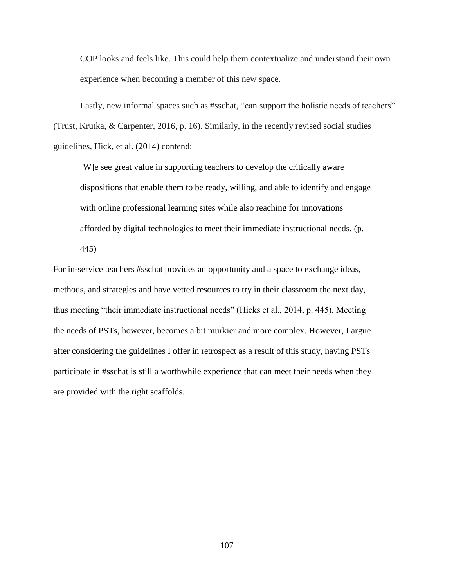COP looks and feels like. This could help them contextualize and understand their own experience when becoming a member of this new space.

Lastly, new informal spaces such as #sschat, "can support the holistic needs of teachers" (Trust, Krutka, & Carpenter, 2016, p. 16). Similarly, in the recently revised social studies guidelines, Hick, et al. (2014) contend:

[W]e see great value in supporting teachers to develop the critically aware dispositions that enable them to be ready, willing, and able to identify and engage with online professional learning sites while also reaching for innovations afforded by digital technologies to meet their immediate instructional needs. (p. 445)

For in-service teachers #sschat provides an opportunity and a space to exchange ideas, methods, and strategies and have vetted resources to try in their classroom the next day, thus meeting "their immediate instructional needs" (Hicks et al., 2014, p. 445). Meeting the needs of PSTs, however, becomes a bit murkier and more complex. However, I argue after considering the guidelines I offer in retrospect as a result of this study, having PSTs participate in #sschat is still a worthwhile experience that can meet their needs when they are provided with the right scaffolds.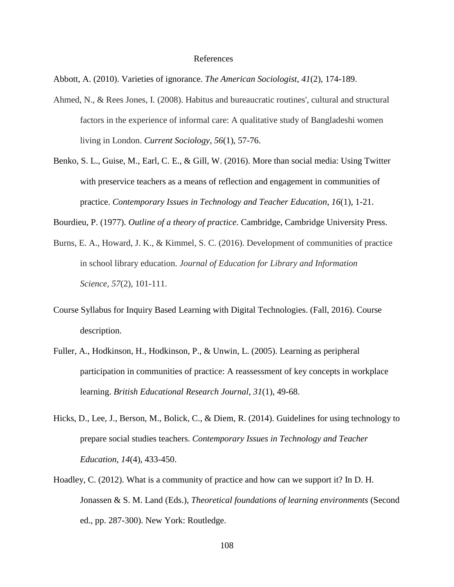#### References

Abbott, A. (2010). Varieties of ignorance. *The American Sociologist*, *41*(2), 174-189.

- Ahmed, N., & Rees Jones, I. (2008). Habitus and bureaucratic routines', cultural and structural factors in the experience of informal care: A qualitative study of Bangladeshi women living in London. *Current Sociology*, *56*(1), 57-76.
- Benko, S. L., Guise, M., Earl, C. E., & Gill, W. (2016). More than social media: Using Twitter with preservice teachers as a means of reflection and engagement in communities of practice. *Contemporary Issues in Technology and Teacher Education, 16*(1), 1-21.
- Bourdieu, P. (1977). *Outline of a theory of practice*. Cambridge, Cambridge University Press.
- Burns, E. A., Howard, J. K., & Kimmel, S. C. (2016). Development of communities of practice in school library education. *Journal of Education for Library and Information Science*, *57*(2), 101-111.
- Course Syllabus for Inquiry Based Learning with Digital Technologies. (Fall, 2016). Course description.
- Fuller, A., Hodkinson, H., Hodkinson, P., & Unwin, L. (2005). Learning as peripheral participation in communities of practice: A reassessment of key concepts in workplace learning. *British Educational Research Journal*, *31*(1), 49-68.
- Hicks, D., Lee, J., Berson, M., Bolick, C., & Diem, R. (2014). Guidelines for using technology to prepare social studies teachers. *Contemporary Issues in Technology and Teacher Education*, *14*(4), 433-450.
- Hoadley, C. (2012). What is a community of practice and how can we support it? In D. H. Jonassen & S. M. Land (Eds.), *Theoretical foundations of learning environments* (Second ed., pp. 287-300). New York: Routledge.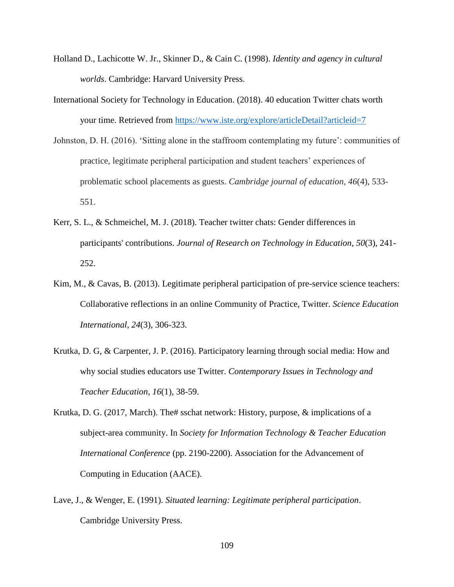- Holland D., Lachicotte W. Jr., Skinner D., & Cain C. (1998). *Identity and agency in cultural worlds*. Cambridge: Harvard University Press.
- International Society for Technology in Education. (2018). 40 education Twitter chats worth your time. Retrieved from<https://www.iste.org/explore/articleDetail?articleid=7>
- Johnston, D. H. (2016). 'Sitting alone in the staffroom contemplating my future': communities of practice, legitimate peripheral participation and student teachers' experiences of problematic school placements as guests. *Cambridge journal of education*, *46*(4), 533- 551.
- Kerr, S. L., & Schmeichel, M. J. (2018). Teacher twitter chats: Gender differences in participants' contributions. *Journal of Research on Technology in Education*, *50*(3), 241- 252.
- Kim, M., & Cavas, B. (2013). Legitimate peripheral participation of pre-service science teachers: Collaborative reflections in an online Community of Practice, Twitter. *Science Education International*, *24*(3), 306-323.
- Krutka, D. G, & Carpenter, J. P. (2016). Participatory learning through social media: How and why social studies educators use Twitter. *Contemporary Issues in Technology and Teacher Education*, *16*(1), 38-59.
- Krutka, D. G. (2017, March). The# sschat network: History, purpose, & implications of a subject-area community. In *Society for Information Technology & Teacher Education International Conference* (pp. 2190-2200). Association for the Advancement of Computing in Education (AACE).
- Lave, J., & Wenger, E. (1991). *Situated learning: Legitimate peripheral participation*. Cambridge University Press.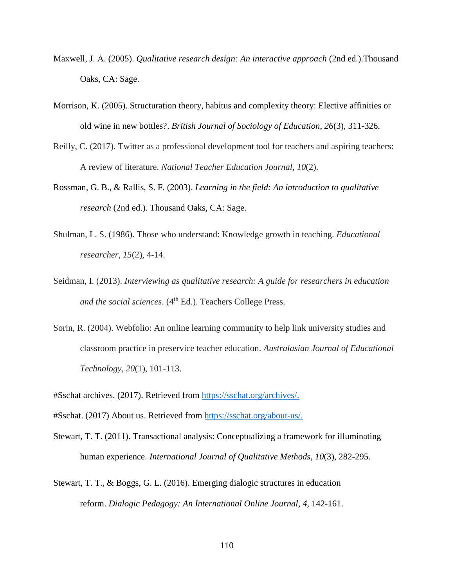- Maxwell, J. A. (2005). *Qualitative research design: An interactive approach* (2nd ed.).Thousand Oaks, CA: Sage.
- Morrison, K. (2005). Structuration theory, habitus and complexity theory: Elective affinities or old wine in new bottles?. *British Journal of Sociology of Education*, *26*(3), 311-326.
- Reilly, C. (2017). Twitter as a professional development tool for teachers and aspiring teachers: A review of literature. *National Teacher Education Journal*, *10*(2).
- Rossman, G. B., & Rallis, S. F. (2003). *Learning in the field: An introduction to qualitative research* (2nd ed.). Thousand Oaks, CA: Sage.
- Shulman, L. S. (1986). Those who understand: Knowledge growth in teaching. *Educational researcher*, *15*(2), 4-14.
- Seidman, I. (2013). *Interviewing as qualitative research: A guide for researchers in education*  and the social sciences. (4<sup>th</sup> Ed.). Teachers College Press.
- Sorin, R. (2004). Webfolio: An online learning community to help link university studies and classroom practice in preservice teacher education. *Australasian Journal of Educational Technology, 20*(1), 101-113.
- #Sschat archives. (2017). Retrieved from [https://sschat.org/archives/.](https://sschat.org/archives/)
- #Sschat. (2017) About us. Retrieved from [https://sschat.org/about-us/.](https://sschat.org/about-us/)
- Stewart, T. T. (2011). Transactional analysis: Conceptualizing a framework for illuminating human experience. *International Journal of Qualitative Methods*, *10*(3), 282-295.
- Stewart, T. T., & Boggs, G. L. (2016). Emerging dialogic structures in education reform. *Dialogic Pedagogy: An International Online Journal*, *4*, 142-161.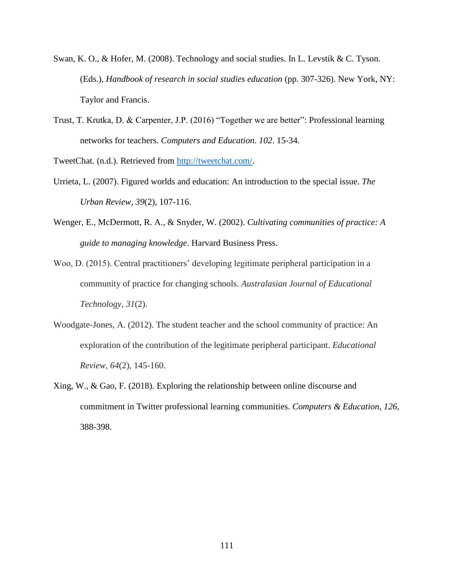- Swan, K. O., & Hofer, M. (2008). Technology and social studies. In L. Levstik & C. Tyson. (Eds.), *Handbook of research in social studies education* (pp. 307-326). New York, NY: Taylor and Francis.
- Trust, T. Krutka, D. & Carpenter, J.P. (2016) "Together we are better": Professional learning networks for teachers. *Computers and Education*. *102*. 15-34.

TweetChat. (n.d.). Retrieved from [http://tweetchat.com/.](http://tweetchat.com/)

- Urrieta, L. (2007). Figured worlds and education: An introduction to the special issue. *The Urban Review*, *39*(2), 107-116.
- Wenger, E., McDermott, R. A., & Snyder, W. (2002). *Cultivating communities of practice: A guide to managing knowledge*. Harvard Business Press.
- Woo, D. (2015). Central practitioners' developing legitimate peripheral participation in a community of practice for changing schools. *Australasian Journal of Educational Technology*, *31*(2).
- Woodgate-Jones, A. (2012). The student teacher and the school community of practice: An exploration of the contribution of the legitimate peripheral participant. *Educational Review*, *64*(2), 145-160.
- Xing, W., & Gao, F. (2018). Exploring the relationship between online discourse and commitment in Twitter professional learning communities. *Computers & Education*, *126*, 388-398.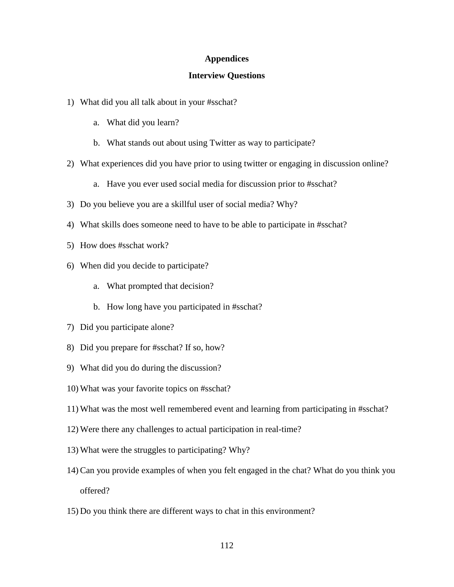### **Appendices**

#### **Interview Questions**

- 1) What did you all talk about in your #sschat?
	- a. What did you learn?
	- b. What stands out about using Twitter as way to participate?
- 2) What experiences did you have prior to using twitter or engaging in discussion online?
	- a. Have you ever used social media for discussion prior to #sschat?
- 3) Do you believe you are a skillful user of social media? Why?
- 4) What skills does someone need to have to be able to participate in #sschat?
- 5) How does #sschat work?
- 6) When did you decide to participate?
	- a. What prompted that decision?
	- b. How long have you participated in #sschat?
- 7) Did you participate alone?
- 8) Did you prepare for #sschat? If so, how?
- 9) What did you do during the discussion?
- 10) What was your favorite topics on #sschat?
- 11) What was the most well remembered event and learning from participating in #sschat?
- 12) Were there any challenges to actual participation in real-time?
- 13) What were the struggles to participating? Why?
- 14)Can you provide examples of when you felt engaged in the chat? What do you think you offered?
- 15) Do you think there are different ways to chat in this environment?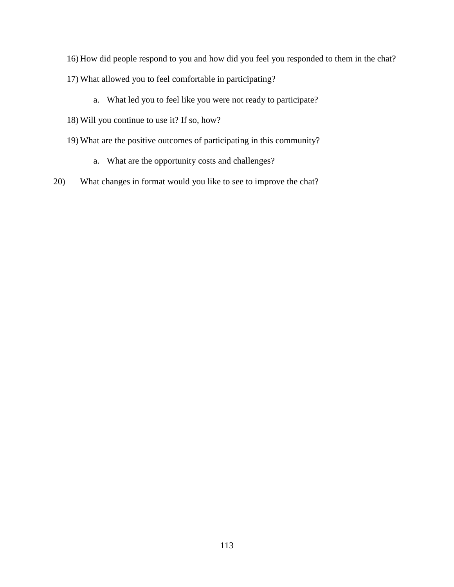- 16) How did people respond to you and how did you feel you responded to them in the chat?
- 17) What allowed you to feel comfortable in participating?
	- a. What led you to feel like you were not ready to participate?
- 18) Will you continue to use it? If so, how?
- 19) What are the positive outcomes of participating in this community?
	- a. What are the opportunity costs and challenges?
- 20) What changes in format would you like to see to improve the chat?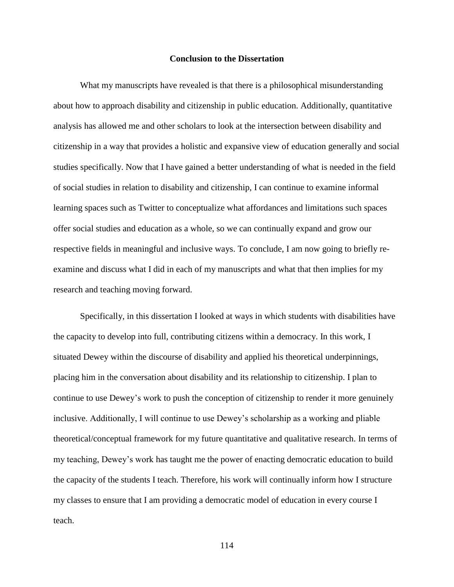#### **Conclusion to the Dissertation**

What my manuscripts have revealed is that there is a philosophical misunderstanding about how to approach disability and citizenship in public education. Additionally, quantitative analysis has allowed me and other scholars to look at the intersection between disability and citizenship in a way that provides a holistic and expansive view of education generally and social studies specifically. Now that I have gained a better understanding of what is needed in the field of social studies in relation to disability and citizenship, I can continue to examine informal learning spaces such as Twitter to conceptualize what affordances and limitations such spaces offer social studies and education as a whole, so we can continually expand and grow our respective fields in meaningful and inclusive ways. To conclude, I am now going to briefly reexamine and discuss what I did in each of my manuscripts and what that then implies for my research and teaching moving forward.

Specifically, in this dissertation I looked at ways in which students with disabilities have the capacity to develop into full, contributing citizens within a democracy. In this work, I situated Dewey within the discourse of disability and applied his theoretical underpinnings, placing him in the conversation about disability and its relationship to citizenship. I plan to continue to use Dewey's work to push the conception of citizenship to render it more genuinely inclusive. Additionally, I will continue to use Dewey's scholarship as a working and pliable theoretical/conceptual framework for my future quantitative and qualitative research. In terms of my teaching, Dewey's work has taught me the power of enacting democratic education to build the capacity of the students I teach. Therefore, his work will continually inform how I structure my classes to ensure that I am providing a democratic model of education in every course I teach.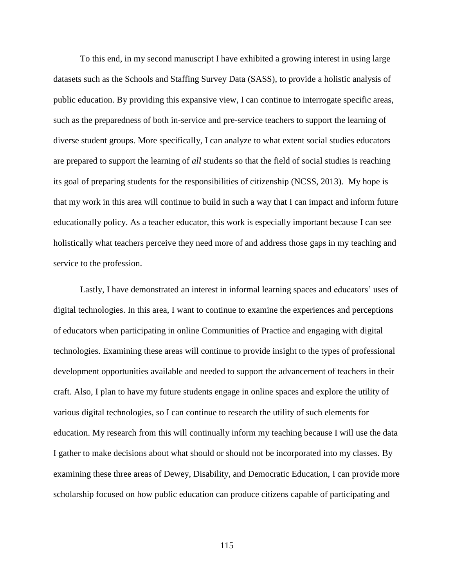To this end, in my second manuscript I have exhibited a growing interest in using large datasets such as the Schools and Staffing Survey Data (SASS), to provide a holistic analysis of public education. By providing this expansive view, I can continue to interrogate specific areas, such as the preparedness of both in-service and pre-service teachers to support the learning of diverse student groups. More specifically, I can analyze to what extent social studies educators are prepared to support the learning of *all* students so that the field of social studies is reaching its goal of preparing students for the responsibilities of citizenship (NCSS, 2013). My hope is that my work in this area will continue to build in such a way that I can impact and inform future educationally policy. As a teacher educator, this work is especially important because I can see holistically what teachers perceive they need more of and address those gaps in my teaching and service to the profession.

Lastly, I have demonstrated an interest in informal learning spaces and educators' uses of digital technologies. In this area, I want to continue to examine the experiences and perceptions of educators when participating in online Communities of Practice and engaging with digital technologies. Examining these areas will continue to provide insight to the types of professional development opportunities available and needed to support the advancement of teachers in their craft. Also, I plan to have my future students engage in online spaces and explore the utility of various digital technologies, so I can continue to research the utility of such elements for education. My research from this will continually inform my teaching because I will use the data I gather to make decisions about what should or should not be incorporated into my classes. By examining these three areas of Dewey, Disability, and Democratic Education, I can provide more scholarship focused on how public education can produce citizens capable of participating and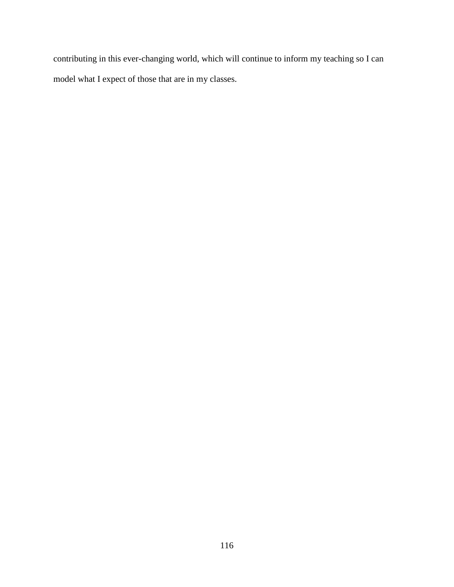contributing in this ever-changing world, which will continue to inform my teaching so I can model what I expect of those that are in my classes.